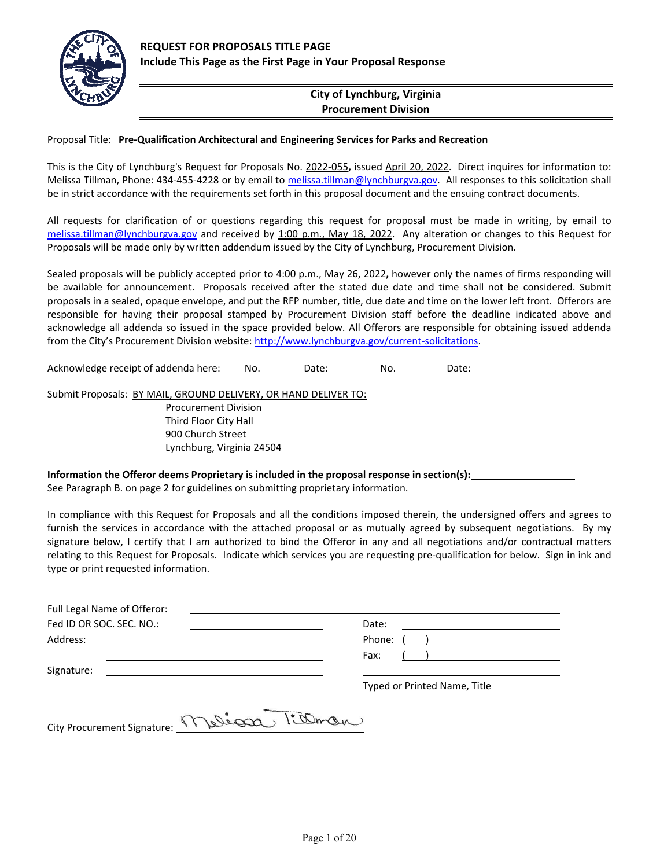

#### **City of Lynchburg, Virginia Procurement Division**

#### Proposal Title: **Pre‐Qualification Architectural and Engineering Services for Parks and Recreation**

This is the City of Lynchburg's Request for Proposals No. 2022‐055**,** issued April 20, 2022. Direct inquires for information to: Melissa Tillman, Phone: 434-455-4228 or by email to melissa.tillman@lynchburgva.gov. All responses to this solicitation shall be in strict accordance with the requirements set forth in this proposal document and the ensuing contract documents.

All requests for clarification of or questions regarding this request for proposal must be made in writing, by email to melissa.tillman@lynchburgva.gov and received by 1:00 p.m., May 18, 2022. Any alteration or changes to this Request for Proposals will be made only by written addendum issued by the City of Lynchburg, Procurement Division.

Sealed proposals will be publicly accepted prior to 4:00 p.m., May 26, 2022**,** however only the names of firms responding will be available for announcement. Proposals received after the stated due date and time shall not be considered. Submit proposals in a sealed, opaque envelope, and put the RFP number, title, due date and time on the lower left front. Offerors are responsible for having their proposal stamped by Procurement Division staff before the deadline indicated above and acknowledge all addenda so issued in the space provided below. All Offerors are responsible for obtaining issued addenda from the City's Procurement Division website: http://www.lynchburgva.gov/current-solicitations.

Acknowledge receipt of addenda here: No. \_\_\_\_\_\_\_\_ Date: \_\_\_\_\_\_\_\_\_\_ No. \_\_\_\_\_\_\_\_\_\_ Date:

Submit Proposals: BY MAIL, GROUND DELIVERY, OR HAND DELIVER TO:

Procurement Division Third Floor City Hall 900 Church Street Lynchburg, Virginia 24504

#### **Information the Offeror deems Proprietary is included in the proposal response in section(s):**

See Paragraph B. on page 2 for guidelines on submitting proprietary information.

In compliance with this Request for Proposals and all the conditions imposed therein, the undersigned offers and agrees to furnish the services in accordance with the attached proposal or as mutually agreed by subsequent negotiations. By my signature below, I certify that I am authorized to bind the Offeror in any and all negotiations and/or contractual matters relating to this Request for Proposals. Indicate which services you are requesting pre‐qualification for below. Sign in ink and type or print requested information.

| Full Legal Name of Offeror:<br><u> 1980 - Jan Sammer, amerikansk politiker (</u> |                                                                                                                                |
|----------------------------------------------------------------------------------|--------------------------------------------------------------------------------------------------------------------------------|
| Fed ID OR SOC. SEC. NO.:                                                         | Date:<br><u> 1980 - Jan Samuel Barbara, martin a shekara 1980 - An tsa a tsa a tsa a tsa a tsa a tsa a tsa a tsa a tsa a t</u> |
| Address:                                                                         |                                                                                                                                |
|                                                                                  | Fax: Fax<br>$\begin{pmatrix} 1 & 1 \end{pmatrix}$                                                                              |
| Signature:<br><u> 1989 - John Stein, Amerikaansk politiker (</u>                 |                                                                                                                                |
|                                                                                  | Typed or Printed Name, Title                                                                                                   |

| City Procurement Signature: <u>\</u> | Melion Killman |  |
|--------------------------------------|----------------|--|
|                                      |                |  |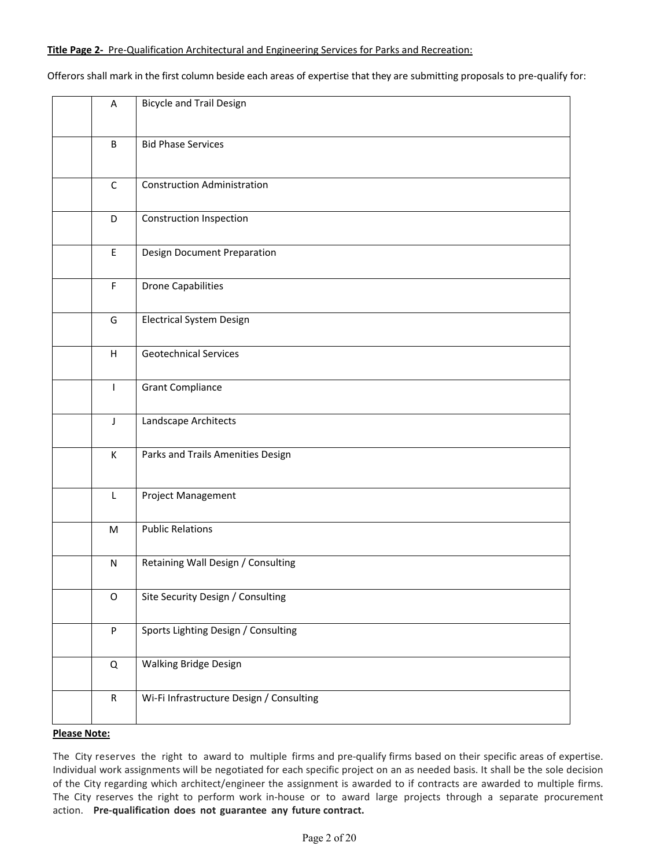Offerors shall mark in the first column beside each areas of expertise that they are submitting proposals to pre‐qualify for:

| A            | <b>Bicycle and Trail Design</b>          |
|--------------|------------------------------------------|
| B            | <b>Bid Phase Services</b>                |
| $\mathsf{C}$ | <b>Construction Administration</b>       |
| D            | <b>Construction Inspection</b>           |
| $\mathsf E$  | <b>Design Document Preparation</b>       |
| $\mathsf F$  | <b>Drone Capabilities</b>                |
| G            | <b>Electrical System Design</b>          |
| H            | <b>Geotechnical Services</b>             |
| $\mathsf{I}$ | <b>Grant Compliance</b>                  |
| $\mathsf{J}$ | Landscape Architects                     |
| К            | Parks and Trails Amenities Design        |
| $\mathsf L$  | Project Management                       |
| M            | <b>Public Relations</b>                  |
| ${\sf N}$    | Retaining Wall Design / Consulting       |
| $\mathsf O$  | Site Security Design / Consulting        |
| $\sf P$      | Sports Lighting Design / Consulting      |
| $\mathsf Q$  | Walking Bridge Design                    |
| ${\sf R}$    | Wi-Fi Infrastructure Design / Consulting |

#### **Please Note:**

The City reserves the right to award to multiple firms and pre‐qualify firms based on their specific areas of expertise. Individual work assignments will be negotiated for each specific project on an as needed basis. It shall be the sole decision of the City regarding which architect/engineer the assignment is awarded to if contracts are awarded to multiple firms. The City reserves the right to perform work in-house or to award large projects through a separate procurement action. **Pre‐qualification does not guarantee any future contract.**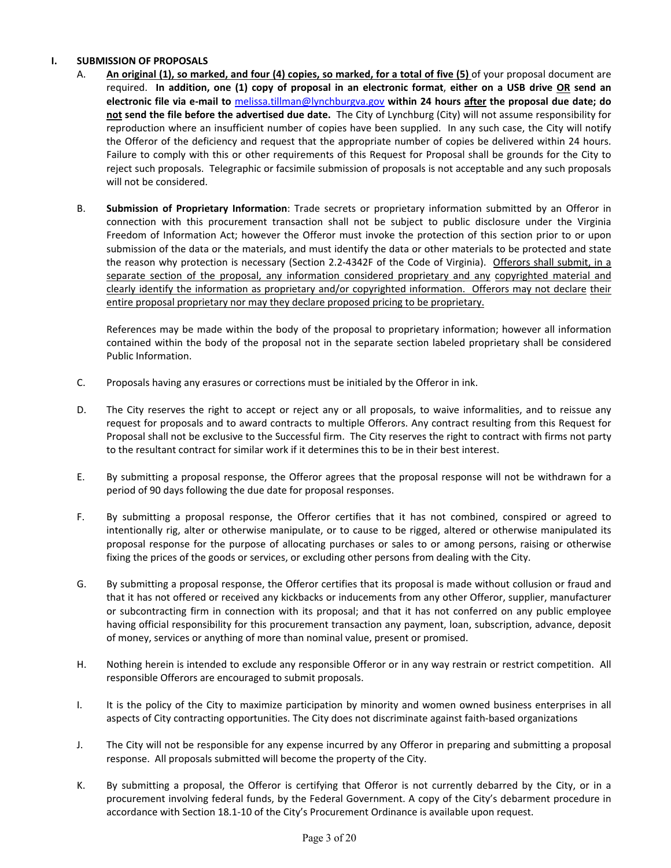#### **I. SUBMISSION OF PROPOSALS**

- A. **An original (1), so marked, and four (4) copies, so marked, for a total of five (5)** of your proposal document are required. **In addition, one (1) copy of proposal in an electronic format**, **either on a USB drive OR send an electronic file via e‐mail to** melissa.tillman@lynchburgva.gov **within 24 hours after the proposal due date; do not send the file before the advertised due date.** The City of Lynchburg (City) will not assume responsibility for reproduction where an insufficient number of copies have been supplied. In any such case, the City will notify the Offeror of the deficiency and request that the appropriate number of copies be delivered within 24 hours. Failure to comply with this or other requirements of this Request for Proposal shall be grounds for the City to reject such proposals. Telegraphic or facsimile submission of proposals is not acceptable and any such proposals will not be considered.
- B. **Submission of Proprietary Information**: Trade secrets or proprietary information submitted by an Offeror in connection with this procurement transaction shall not be subject to public disclosure under the Virginia Freedom of Information Act; however the Offeror must invoke the protection of this section prior to or upon submission of the data or the materials, and must identify the data or other materials to be protected and state the reason why protection is necessary (Section 2.2‐4342F of the Code of Virginia). Offerors shall submit, in a separate section of the proposal, any information considered proprietary and any copyrighted material and clearly identify the information as proprietary and/or copyrighted information. Offerors may not declare their entire proposal proprietary nor may they declare proposed pricing to be proprietary.

 References may be made within the body of the proposal to proprietary information; however all information contained within the body of the proposal not in the separate section labeled proprietary shall be considered Public Information.

- C. Proposals having any erasures or corrections must be initialed by the Offeror in ink.
- D. The City reserves the right to accept or reject any or all proposals, to waive informalities, and to reissue any request for proposals and to award contracts to multiple Offerors. Any contract resulting from this Request for Proposal shall not be exclusive to the Successful firm. The City reserves the right to contract with firms not party to the resultant contract for similar work if it determines this to be in their best interest.
- E. By submitting a proposal response, the Offeror agrees that the proposal response will not be withdrawn for a period of 90 days following the due date for proposal responses.
- F. By submitting a proposal response, the Offeror certifies that it has not combined, conspired or agreed to intentionally rig, alter or otherwise manipulate, or to cause to be rigged, altered or otherwise manipulated its proposal response for the purpose of allocating purchases or sales to or among persons, raising or otherwise fixing the prices of the goods or services, or excluding other persons from dealing with the City.
- G. By submitting a proposal response, the Offeror certifies that its proposal is made without collusion or fraud and that it has not offered or received any kickbacks or inducements from any other Offeror, supplier, manufacturer or subcontracting firm in connection with its proposal; and that it has not conferred on any public employee having official responsibility for this procurement transaction any payment, loan, subscription, advance, deposit of money, services or anything of more than nominal value, present or promised.
- H. Nothing herein is intended to exclude any responsible Offeror or in any way restrain or restrict competition. All responsible Offerors are encouraged to submit proposals.
- I. It is the policy of the City to maximize participation by minority and women owned business enterprises in all aspects of City contracting opportunities. The City does not discriminate against faith‐based organizations
- J. The City will not be responsible for any expense incurred by any Offeror in preparing and submitting a proposal response. All proposals submitted will become the property of the City.
- K. By submitting a proposal, the Offeror is certifying that Offeror is not currently debarred by the City, or in a procurement involving federal funds, by the Federal Government. A copy of the City's debarment procedure in accordance with Section 18.1‐10 of the City's Procurement Ordinance is available upon request.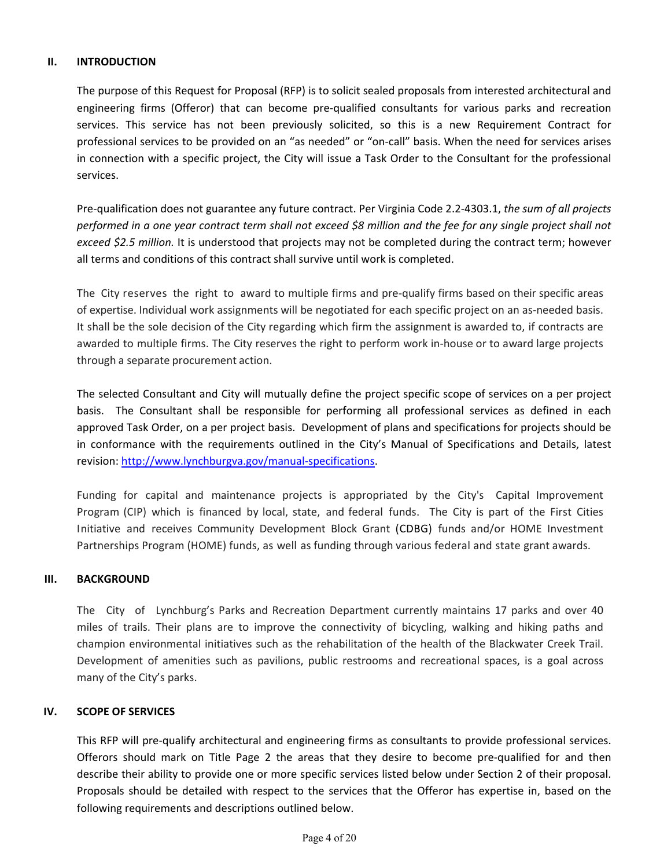#### **II. INTRODUCTION**

The purpose of this Request for Proposal (RFP) is to solicit sealed proposals from interested architectural and engineering firms (Offeror) that can become pre-qualified consultants for various parks and recreation services. This service has not been previously solicited, so this is a new Requirement Contract for professional services to be provided on an "as needed" or "on-call" basis. When the need for services arises in connection with a specific project, the City will issue a Task Order to the Consultant for the professional services.

Pre‐qualification does not guarantee any future contract. Per Virginia Code 2.2‐4303.1, *the sum of all projects performed in a one year contract term shall not exceed \$8 million and the fee for any single project shall not exceed \$2.5 million.* It is understood that projects may not be completed during the contract term; however all terms and conditions of this contract shall survive until work is completed.

The City reserves the right to award to multiple firms and pre‐qualify firms based on their specific areas of expertise. Individual work assignments will be negotiated for each specific project on an as-needed basis. It shall be the sole decision of the City regarding which firm the assignment is awarded to, if contracts are awarded to multiple firms. The City reserves the right to perform work in-house or to award large projects through a separate procurement action.

The selected Consultant and City will mutually define the project specific scope of services on a per project basis. The Consultant shall be responsible for performing all professional services as defined in each approved Task Order, on a per project basis. Development of plans and specifications for projects should be in conformance with the requirements outlined in the City's Manual of Specifications and Details, latest revision: http://www.lynchburgva.gov/manual‐specifications.

Funding for capital and maintenance projects is appropriated by the City's Capital Improvement Program (CIP) which is financed by local, state, and federal funds. The City is part of the First Cities Initiative and receives Community Development Block Grant (CDBG) funds and/or HOME Investment Partnerships Program (HOME) funds, as well as funding through various federal and state grant awards.

#### **III. BACKGROUND**

The City of Lynchburg's Parks and Recreation Department currently maintains 17 parks and over 40 miles of trails. Their plans are to improve the connectivity of bicycling, walking and hiking paths and champion environmental initiatives such as the rehabilitation of the health of the Blackwater Creek Trail. Development of amenities such as pavilions, public restrooms and recreational spaces, is a goal across many of the City's parks.

#### **IV. SCOPE OF SERVICES**

This RFP will pre‐qualify architectural and engineering firms as consultants to provide professional services. Offerors should mark on Title Page 2 the areas that they desire to become pre‐qualified for and then describe their ability to provide one or more specific services listed below under Section 2 of their proposal. Proposals should be detailed with respect to the services that the Offeror has expertise in, based on the following requirements and descriptions outlined below.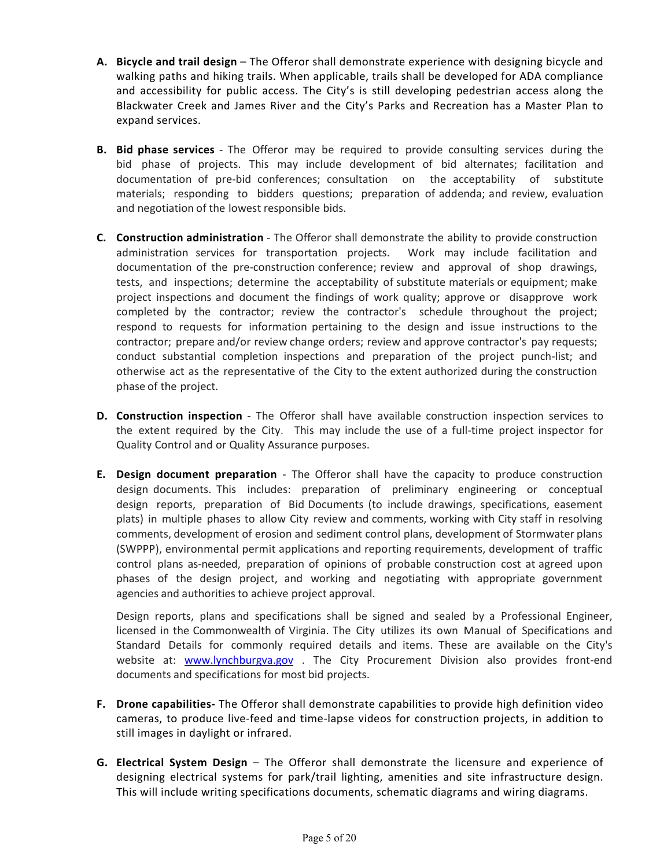- **A. Bicycle and trail design** The Offeror shall demonstrate experience with designing bicycle and walking paths and hiking trails. When applicable, trails shall be developed for ADA compliance and accessibility for public access. The City's is still developing pedestrian access along the Blackwater Creek and James River and the City's Parks and Recreation has a Master Plan to expand services.
- **B.** Bid phase services The Offeror may be required to provide consulting services during the bid phase of projects. This may include development of bid alternates; facilitation and documentation of pre-bid conferences; consultation on the acceptability of substitute materials; responding to bidders questions; preparation of addenda; and review, evaluation and negotiation of the lowest responsible bids.
- **C. Construction administration** ‐ The Offeror shall demonstrate the ability to provide construction administration services for transportation projects. Work may include facilitation and documentation of the pre-construction conference; review and approval of shop drawings, tests, and inspections; determine the acceptability of substitute materials or equipment; make project inspections and document the findings of work quality; approve or disapprove work completed by the contractor; review the contractor's schedule throughout the project; respond to requests for information pertaining to the design and issue instructions to the contractor; prepare and/or review change orders; review and approve contractor's pay requests; conduct substantial completion inspections and preparation of the project punch-list; and otherwise act as the representative of the City to the extent authorized during the construction phase of the project.
- **D.** Construction inspection The Offeror shall have available construction inspection services to the extent required by the City. This may include the use of a full-time project inspector for Quality Control and or Quality Assurance purposes.
- **E. Design document preparation** The Offeror shall have the capacity to produce construction design documents. This includes: preparation of preliminary engineering or conceptual design reports, preparation of Bid Documents (to include drawings, specifications, easement plats) in multiple phases to allow City review and comments, working with City staff in resolving comments, development of erosion and sediment control plans, development of Stormwater plans (SWPPP), environmental permit applications and reporting requirements, development of traffic control plans as‐needed, preparation of opinions of probable construction cost at agreed upon phases of the design project, and working and negotiating with appropriate government agencies and authorities to achieve project approval.

Design reports, plans and specifications shall be signed and sealed by a Professional Engineer, licensed in the Commonwealth of Virginia. The City utilizes its own Manual of Specifications and Standard Details for commonly required details and items. These are available on the City's website at: **www.lynchburgva.gov** . The City Procurement Division also provides front-end documents and specifications for most bid projects.

- **F. Drone capabilities‐** The Offeror shall demonstrate capabilities to provide high definition video cameras, to produce live‐feed and time‐lapse videos for construction projects, in addition to still images in daylight or infrared.
- **G. Electrical System Design** – The Offeror shall demonstrate the licensure and experience of designing electrical systems for park/trail lighting, amenities and site infrastructure design. This will include writing specifications documents, schematic diagrams and wiring diagrams.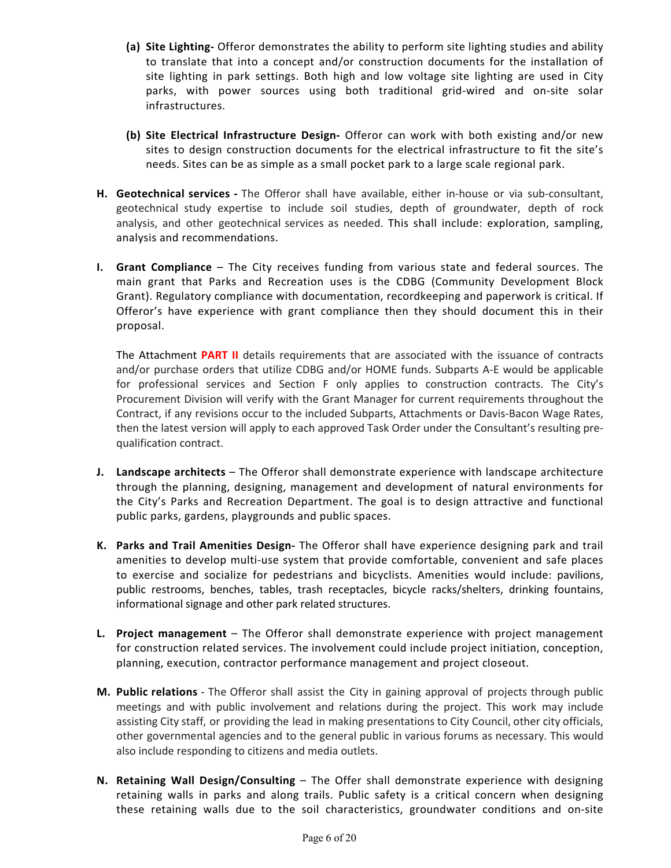- **(a) Site Lighting‐** Offeror demonstrates the ability to perform site lighting studies and ability to translate that into a concept and/or construction documents for the installation of site lighting in park settings. Both high and low voltage site lighting are used in City parks, with power sources using both traditional grid‐wired and on‐site solar infrastructures.
- **(b) Site Electrical Infrastructure Design‐**  Offeror can work with both existing and/or new sites to design construction documents for the electrical infrastructure to fit the site's needs. Sites can be as simple as a small pocket park to a large scale regional park.
- **H. Geotechnical services ‐** The Offeror shall have available, either in‐house or via sub‐consultant, geotechnical study expertise to include soil studies, depth of groundwater, depth of rock analysis, and other geotechnical services as needed. This shall include: exploration, sampling, analysis and recommendations.
- **I.** Grant Compliance The City receives funding from various state and federal sources. The main grant that Parks and Recreation uses is the CDBG (Community Development Block Grant). Regulatory compliance with documentation, recordkeeping and paperwork is critical. If Offeror's have experience with grant compliance then they should document this in their proposal.

The Attachment **PART II** details requirements that are associated with the issuance of contracts and/or purchase orders that utilize CDBG and/or HOME funds. Subparts A‐E would be applicable for professional services and Section F only applies to construction contracts. The City's Procurement Division will verify with the Grant Manager for current requirements throughout the Contract, if any revisions occur to the included Subparts, Attachments or Davis‐Bacon Wage Rates, then the latest version will apply to each approved Task Order under the Consultant's resulting pre‐ qualification contract.

- **J. Landscape architects** The Offeror shall demonstrate experience with landscape architecture through the planning, designing, management and development of natural environments for the City's Parks and Recreation Department. The goal is to design attractive and functional public parks, gardens, playgrounds and public spaces.
- **K. Parks and Trail Amenities Design‐** The Offeror shall have experience designing park and trail amenities to develop multi-use system that provide comfortable, convenient and safe places to exercise and socialize for pedestrians and bicyclists. Amenities would include: pavilions, public restrooms, benches, tables, trash receptacles, bicycle racks/shelters, drinking fountains, informational signage and other park related structures.
- **L. Project management** – The Offeror shall demonstrate experience with project management for construction related services. The involvement could include project initiation, conception, planning, execution, contractor performance management and project closeout.
- **M. Public relations** ‐ The Offeror shall assist the City in gaining approval of projects through public meetings and with public involvement and relations during the project. This work may include assisting City staff, or providing the lead in making presentations to City Council, other city officials, other governmental agencies and to the general public in various forums as necessary. This would also include responding to citizens and media outlets.
- **N.** Retaining Wall Design/Consulting The Offer shall demonstrate experience with designing retaining walls in parks and along trails. Public safety is a critical concern when designing these retaining walls due to the soil characteristics, groundwater conditions and on-site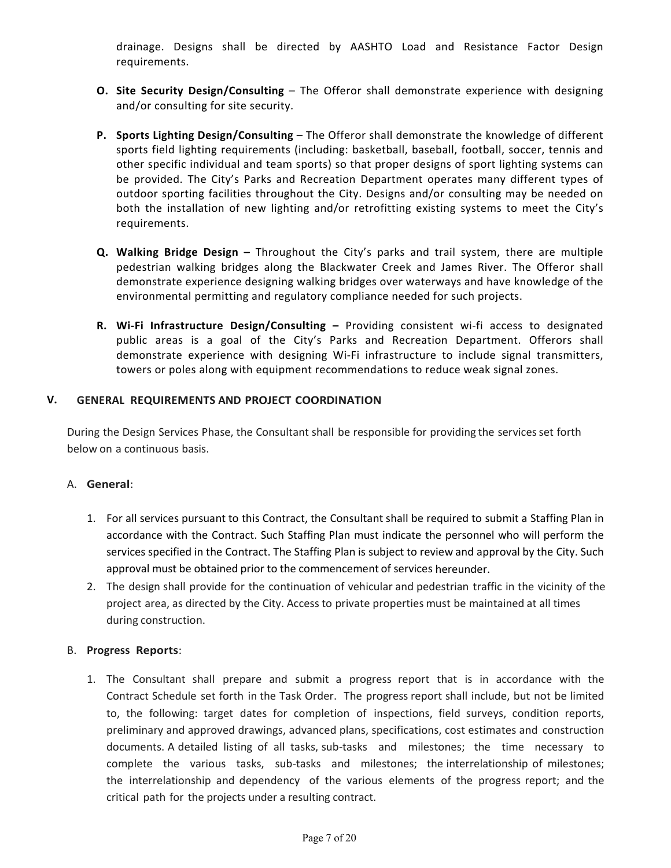drainage. Designs shall be directed by AASHTO Load and Resistance Factor Design requirements.

- **O.** Site Security Design/Consulting The Offeror shall demonstrate experience with designing and/or consulting for site security.
- **P. Sports Lighting Design/Consulting**  The Offeror shall demonstrate the knowledge of different sports field lighting requirements (including: basketball, baseball, football, soccer, tennis and other specific individual and team sports) so that proper designs of sport lighting systems can be provided. The City's Parks and Recreation Department operates many different types of outdoor sporting facilities throughout the City. Designs and/or consulting may be needed on both the installation of new lighting and/or retrofitting existing systems to meet the City's requirements.
- **Q.** Walking Bridge Design Throughout the City's parks and trail system, there are multiple pedestrian walking bridges along the Blackwater Creek and James River. The Offeror shall demonstrate experience designing walking bridges over waterways and have knowledge of the environmental permitting and regulatory compliance needed for such projects.
- **R. Wi‐Fi Infrastructure Design/Consulting**  Providing consistent wi‐fi access to designated public areas is a goal of the City's Parks and Recreation Department. Offerors shall demonstrate experience with designing Wi-Fi infrastructure to include signal transmitters, towers or poles along with equipment recommendations to reduce weak signal zones.

#### **V. GENERAL REQUIREMENTS AND PROJECT COORDINATION**

During the Design Services Phase, the Consultant shall be responsible for providing the services set forth below on a continuous basis.

#### A. **General**:

- 1. For all services pursuant to this Contract, the Consultant shall be required to submit a Staffing Plan in accordance with the Contract. Such Staffing Plan must indicate the personnel who will perform the services specified in the Contract. The Staffing Plan is subject to review and approval by the City. Such approval must be obtained prior to the commencement of services hereunder.
- 2. The design shall provide for the continuation of vehicular and pedestrian traffic in the vicinity of the project area, as directed by the City. Access to private properties must be maintained at all times during construction.

#### B. **Progress Reports**:

1. The Consultant shall prepare and submit a progress report that is in accordance with the Contract Schedule set forth in the Task Order. The progress report shall include, but not be limited to, the following: target dates for completion of inspections, field surveys, condition reports, preliminary and approved drawings, advanced plans, specifications, cost estimates and construction documents. A detailed listing of all tasks, sub-tasks and milestones; the time necessary to complete the various tasks, sub-tasks and milestones; the interrelationship of milestones; the interrelationship and dependency of the various elements of the progress report; and the critical path for the projects under a resulting contract.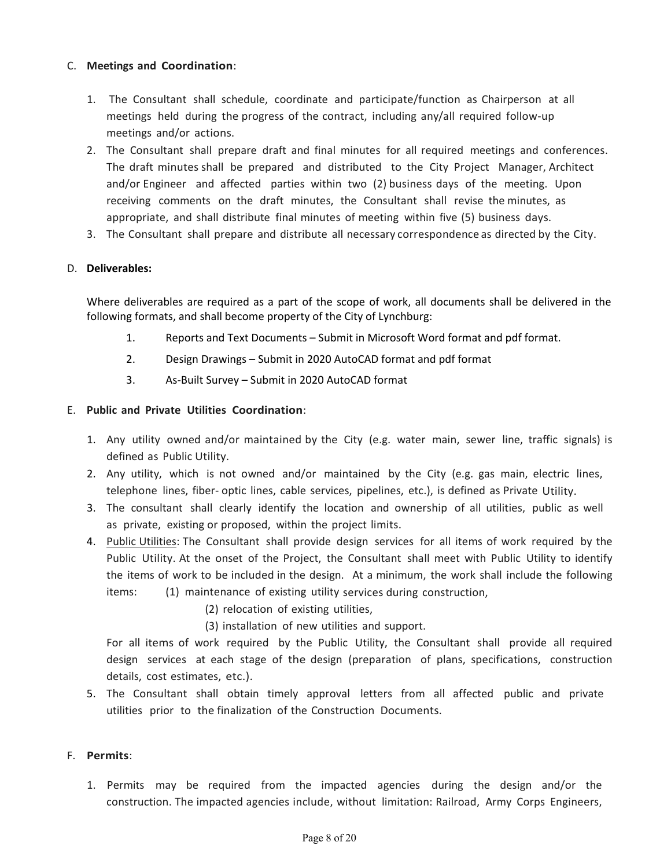#### C. **Meetings and Coordination**:

- 1. The Consultant shall schedule, coordinate and participate/function as Chairperson at all meetings held during the progress of the contract, including any/all required follow-up meetings and/or actions.
- 2. The Consultant shall prepare draft and final minutes for all required meetings and conferences. The draft minutes shall be prepared and distributed to the City Project Manager, Architect and/or Engineer and affected parties within two (2) business days of the meeting. Upon receiving comments on the draft minutes, the Consultant shall revise the minutes, as appropriate, and shall distribute final minutes of meeting within five (5) business days.
- 3. The Consultant shall prepare and distribute all necessary correspondence as directed by the City.

#### D. **Deliverables:**

Where deliverables are required as a part of the scope of work, all documents shall be delivered in the following formats, and shall become property of the City of Lynchburg:

- 1. Reports and Text Documents Submit in Microsoft Word format and pdf format.
- 2. Design Drawings Submit in 2020 AutoCAD format and pdf format
- 3. As‐Built Survey Submit in 2020 AutoCAD format

#### E. **Public and Private Utilities Coordination**:

- 1. Any utility owned and/or maintained by the City (e.g. water main, sewer line, traffic signals) is defined as Public Utility.
- 2. Any utility, which is not owned and/or maintained by the City (e.g. gas main, electric lines, telephone lines, fiber- optic lines, cable services, pipelines, etc.), is defined as Private Utility.
- 3. The consultant shall clearly identify the location and ownership of all utilities, public as well as private, existing or proposed, within the project limits.
- 4. Public Utilities: The Consultant shall provide design services for all items of work required by the Public Utility. At the onset of the Project, the Consultant shall meet with Public Utility to identify the items of work to be included in the design. At a minimum, the work shall include the following items: (1) maintenance of existing utility services during construction,
	- (2) relocation of existing utilities,
	- (3) installation of new utilities and support.

For all items of work required by the Public Utility, the Consultant shall provide all required design services at each stage of the design (preparation of plans, specifications, construction details, cost estimates, etc.).

5. The Consultant shall obtain timely approval letters from all affected public and private utilities prior to the finalization of the Construction Documents.

#### F. **Permits**:

1. Permits may be required from the impacted agencies during the design and/or the construction. The impacted agencies include, without limitation: Railroad, Army Corps Engineers,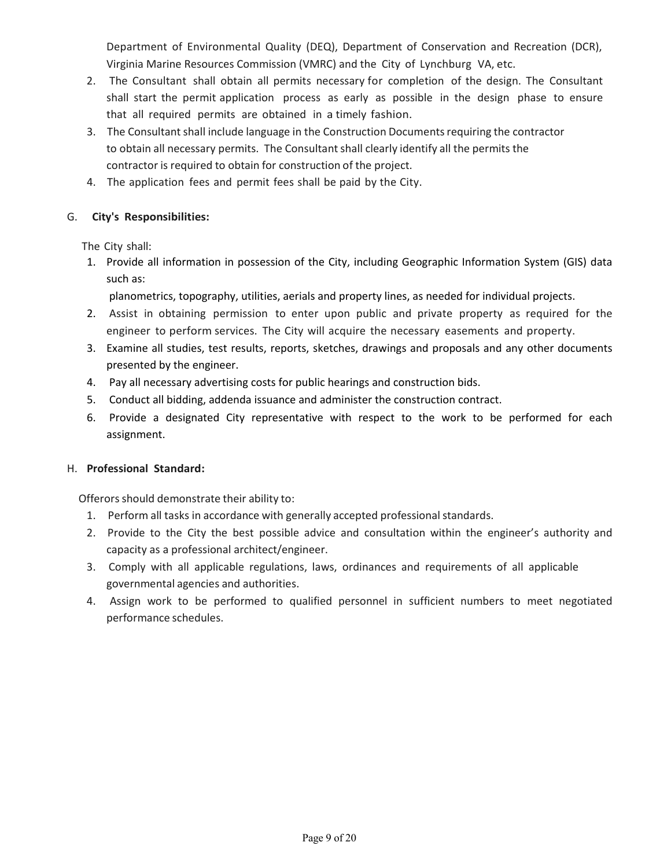Department of Environmental Quality (DEQ), Department of Conservation and Recreation (DCR), Virginia Marine Resources Commission (VMRC) and the City of Lynchburg VA, etc.

- 2. The Consultant shall obtain all permits necessary for completion of the design. The Consultant shall start the permit application process as early as possible in the design phase to ensure that all required permits are obtained in a timely fashion.
- 3. The Consultant shall include language in the Construction Documents requiring the contractor to obtain all necessary permits. The Consultant shall clearly identify all the permits the contractor is required to obtain for construction of the project.
- 4. The application fees and permit fees shall be paid by the City.

#### G.  **City's Responsibilities:**

The City shall:

- 1. Provide all information in possession of the City, including Geographic Information System (GIS) data such as:
	- planometrics, topography, utilities, aerials and property lines, as needed for individual projects.
- 2. Assist in obtaining permission to enter upon public and private property as required for the engineer to perform services. The City will acquire the necessary easements and property.
- 3. Examine all studies, test results, reports, sketches, drawings and proposals and any other documents presented by the engineer.
- 4. Pay all necessary advertising costs for public hearings and construction bids.
- 5. Conduct all bidding, addenda issuance and administer the construction contract.
- 6. Provide a designated City representative with respect to the work to be performed for each assignment.

#### H. **Professional Standard:**

Offerors should demonstrate their ability to:

- 1. Perform all tasks in accordance with generally accepted professional standards.
- 2. Provide to the City the best possible advice and consultation within the engineer's authority and capacity as a professional architect/engineer.
- 3. Comply with all applicable regulations, laws, ordinances and requirements of all applicable governmental agencies and authorities.
- 4. Assign work to be performed to qualified personnel in sufficient numbers to meet negotiated performance schedules.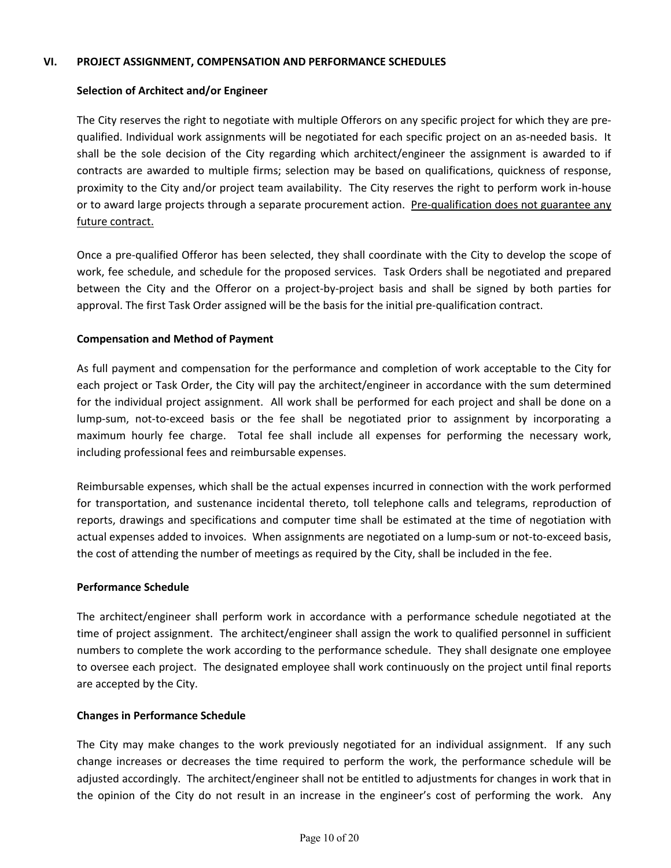#### **VI. PROJECT ASSIGNMENT, COMPENSATION AND PERFORMANCE SCHEDULES**

#### **Selection of Architect and/or Engineer**

 The City reserves the right to negotiate with multiple Offerors on any specific project for which they are pre‐ qualified. Individual work assignments will be negotiated for each specific project on an as‐needed basis. It shall be the sole decision of the City regarding which architect/engineer the assignment is awarded to if contracts are awarded to multiple firms; selection may be based on qualifications, quickness of response, proximity to the City and/or project team availability. The City reserves the right to perform work in‐house or to award large projects through a separate procurement action. Pre-qualification does not guarantee any future contract.

Once a pre‐qualified Offeror has been selected, they shall coordinate with the City to develop the scope of work, fee schedule, and schedule for the proposed services. Task Orders shall be negotiated and prepared between the City and the Offeror on a project-by-project basis and shall be signed by both parties for approval. The first Task Order assigned will be the basis for the initial pre-qualification contract.

#### **Compensation and Method of Payment**

 As full payment and compensation for the performance and completion of work acceptable to the City for each project or Task Order, the City will pay the architect/engineer in accordance with the sum determined for the individual project assignment. All work shall be performed for each project and shall be done on a lump-sum, not-to-exceed basis or the fee shall be negotiated prior to assignment by incorporating a maximum hourly fee charge. Total fee shall include all expenses for performing the necessary work, including professional fees and reimbursable expenses.

 Reimbursable expenses, which shall be the actual expenses incurred in connection with the work performed for transportation, and sustenance incidental thereto, toll telephone calls and telegrams, reproduction of reports, drawings and specifications and computer time shall be estimated at the time of negotiation with actual expenses added to invoices. When assignments are negotiated on a lump-sum or not-to-exceed basis, the cost of attending the number of meetings as required by the City, shall be included in the fee.

#### **Performance Schedule**

 The architect/engineer shall perform work in accordance with a performance schedule negotiated at the time of project assignment. The architect/engineer shall assign the work to qualified personnel in sufficient numbers to complete the work according to the performance schedule. They shall designate one employee to oversee each project. The designated employee shall work continuously on the project until final reports are accepted by the City.

#### **Changes in Performance Schedule**

The City may make changes to the work previously negotiated for an individual assignment. If any such change increases or decreases the time required to perform the work, the performance schedule will be adjusted accordingly. The architect/engineer shall not be entitled to adjustments for changes in work that in the opinion of the City do not result in an increase in the engineer's cost of performing the work. Any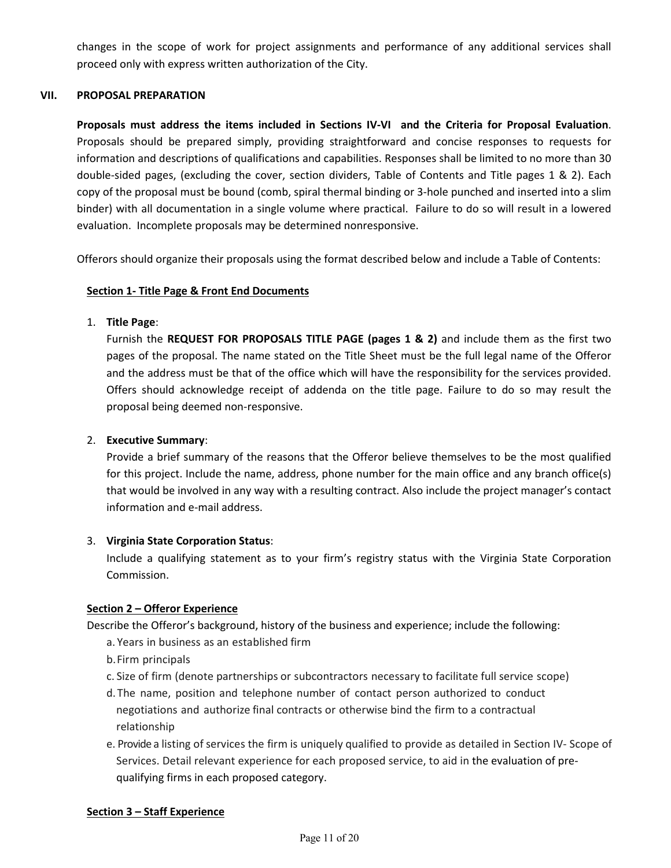changes in the scope of work for project assignments and performance of any additional services shall proceed only with express written authorization of the City.

#### **VII. PROPOSAL PREPARATION**

**Proposals must address the items included in Sections IV‐VI and the Criteria for Proposal Evaluation**. Proposals should be prepared simply, providing straightforward and concise responses to requests for information and descriptions of qualifications and capabilities. Responses shall be limited to no more than 30 double-sided pages, (excluding the cover, section dividers, Table of Contents and Title pages 1 & 2). Each copy of the proposal must be bound (comb, spiral thermal binding or 3‐hole punched and inserted into a slim binder) with all documentation in a single volume where practical. Failure to do so will result in a lowered evaluation. Incomplete proposals may be determined nonresponsive.

Offerors should organize their proposals using the format described below and include a Table of Contents:

#### **Section 1‐ Title Page & Front End Documents**

#### 1. **Title Page**:

Furnish the **REQUEST FOR PROPOSALS TITLE PAGE (pages 1 & 2)** and include them as the first two pages of the proposal. The name stated on the Title Sheet must be the full legal name of the Offeror and the address must be that of the office which will have the responsibility for the services provided. Offers should acknowledge receipt of addenda on the title page. Failure to do so may result the proposal being deemed non‐responsive.

#### 2. **Executive Summary**:

Provide a brief summary of the reasons that the Offeror believe themselves to be the most qualified for this project. Include the name, address, phone number for the main office and any branch office(s) that would be involved in any way with a resulting contract. Also include the project manager's contact information and e‐mail address.

#### 3. **Virginia State Corporation Status**:

Include a qualifying statement as to your firm's registry status with the Virginia State Corporation Commission.

#### **Section 2 – Offeror Experience**

Describe the Offeror's background, history of the business and experience; include the following:

- a. Years in business as an established firm
- b. Firm principals
- c. Size of firm (denote partnerships or subcontractors necessary to facilitate full service scope)
- d. The name, position and telephone number of contact person authorized to conduct negotiations and authorize final contracts or otherwise bind the firm to a contractual relationship
- e. Provide a listing of services the firm is uniquely qualified to provide as detailed in Section IV‐ Scope of Services. Detail relevant experience for each proposed service, to aid in the evaluation of pre‐ qualifying firms in each proposed category.

#### **Section 3 – Staff Experience**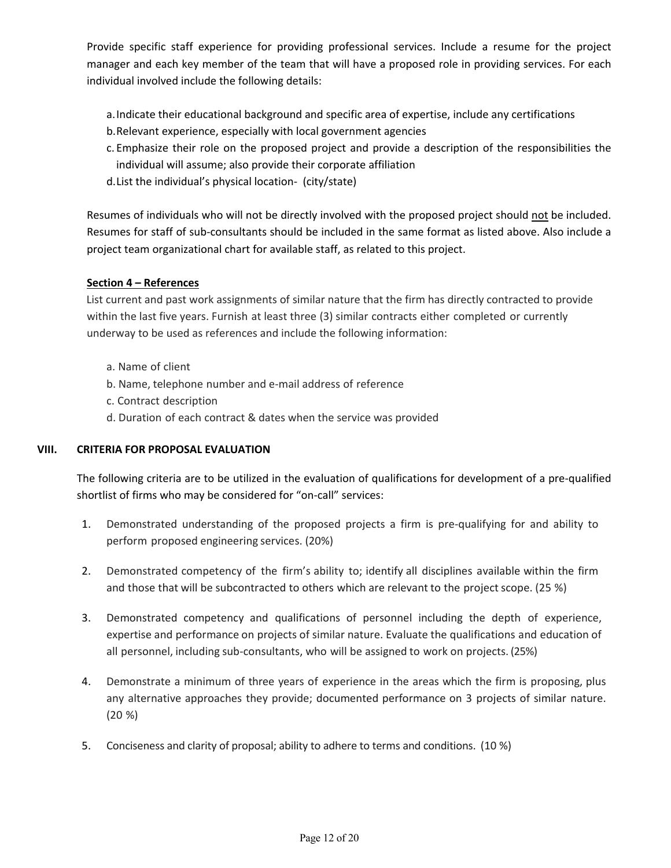Provide specific staff experience for providing professional services. Include a resume for the project manager and each key member of the team that will have a proposed role in providing services. For each individual involved include the following details:

- a.Indicate their educational background and specific area of expertise, include any certifications
- b.Relevant experience, especially with local government agencies
- c. Emphasize their role on the proposed project and provide a description of the responsibilities the individual will assume; also provide their corporate affiliation
- d.List the individual's physical location‐ (city/state)

Resumes of individuals who will not be directly involved with the proposed project should not be included. Resumes for staff of sub‐consultants should be included in the same format as listed above. Also include a project team organizational chart for available staff, as related to this project.

#### **Section 4 – References**

List current and past work assignments of similar nature that the firm has directly contracted to provide within the last five years. Furnish at least three (3) similar contracts either completed or currently underway to be used as references and include the following information:

- a. Name of client
- b. Name, telephone number and e‐mail address of reference
- c. Contract description
- d. Duration of each contract & dates when the service was provided

#### **VIII. CRITERIA FOR PROPOSAL EVALUATION**

The following criteria are to be utilized in the evaluation of qualifications for development of a pre‐qualified shortlist of firms who may be considered for "on‐call" services:

- 1. Demonstrated understanding of the proposed projects a firm is pre-qualifying for and ability to perform proposed engineering services. (20%)
- 2. Demonstrated competency of the firm's ability to; identify all disciplines available within the firm and those that will be subcontracted to others which are relevant to the project scope. (25 %)
- 3. Demonstrated competency and qualifications of personnel including the depth of experience, expertise and performance on projects of similar nature. Evaluate the qualifications and education of all personnel, including sub‐consultants, who will be assigned to work on projects. (25%)
- 4. Demonstrate a minimum of three years of experience in the areas which the firm is proposing, plus any alternative approaches they provide; documented performance on 3 projects of similar nature. (20 %)
- 5. Conciseness and clarity of proposal; ability to adhere to terms and conditions. (10 %)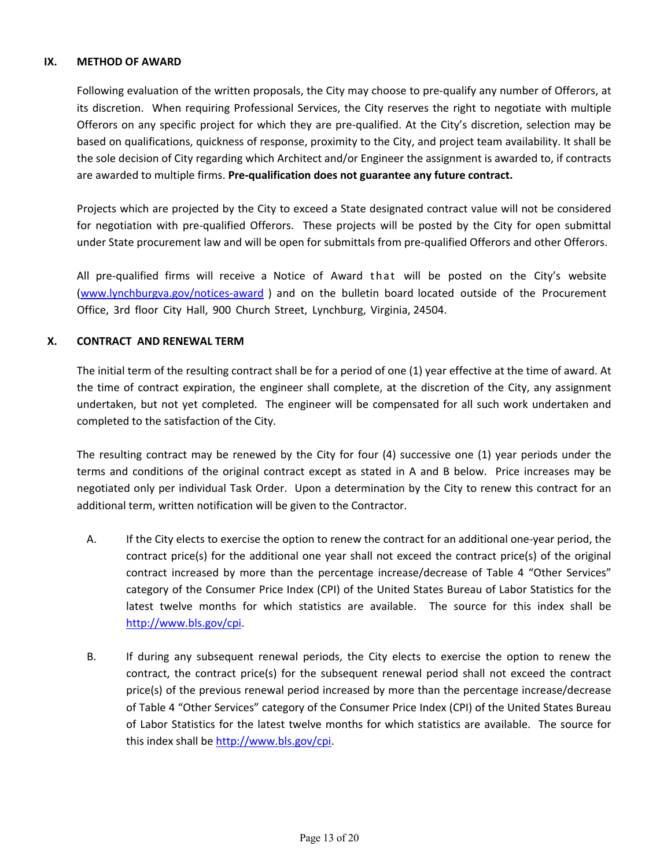#### **IX. METHOD OF AWARD**

Following evaluation of the written proposals, the City may choose to pre‐qualify any number of Offerors, at its discretion. When requiring Professional Services, the City reserves the right to negotiate with multiple Offerors on any specific project for which they are pre‐qualified. At the City's discretion, selection may be based on qualifications, quickness of response, proximity to the City, and project team availability. It shall be the sole decision of City regarding which Architect and/or Engineer the assignment is awarded to, if contracts are awarded to multiple firms. **Pre‐qualification does not guarantee any future contract.**

Projects which are projected by the City to exceed a State designated contract value will not be considered for negotiation with pre-qualified Offerors. These projects will be posted by the City for open submittal under State procurement law and will be open for submittals from pre‐qualified Offerors and other Offerors.

All pre-qualified firms will receive a Notice of Award that will be posted on the City's website (www.lynchburgva.gov/notices‐award ) and on the bulletin board located outside of the Procurement Office, 3rd floor City Hall, 900 Church Street, Lynchburg, Virginia, 24504.

#### **X. CONTRACT AND RENEWAL TERM**

The initial term of the resulting contract shall be for a period of one (1) year effective at the time of award. At the time of contract expiration, the engineer shall complete, at the discretion of the City, any assignment undertaken, but not yet completed. The engineer will be compensated for all such work undertaken and completed to the satisfaction of the City.

The resulting contract may be renewed by the City for four  $(4)$  successive one  $(1)$  year periods under the terms and conditions of the original contract except as stated in A and B below. Price increases may be negotiated only per individual Task Order. Upon a determination by the City to renew this contract for an additional term, written notification will be given to the Contractor.

- A. If the City elects to exercise the option to renew the contract for an additional one‐year period, the contract price(s) for the additional one year shall not exceed the contract price(s) of the original contract increased by more than the percentage increase/decrease of Table 4 "Other Services" category of the Consumer Price Index (CPI) of the United States Bureau of Labor Statistics for the latest twelve months for which statistics are available. The source for this index shall be http://www.bls.gov/cpi.
- B. If during any subsequent renewal periods, the City elects to exercise the option to renew the contract, the contract price(s) for the subsequent renewal period shall not exceed the contract price(s) of the previous renewal period increased by more than the percentage increase/decrease of Table 4 "Other Services" category of the Consumer Price Index (CPI) of the United States Bureau of Labor Statistics for the latest twelve months for which statistics are available. The source for this index shall be http://www.bls.gov/cpi.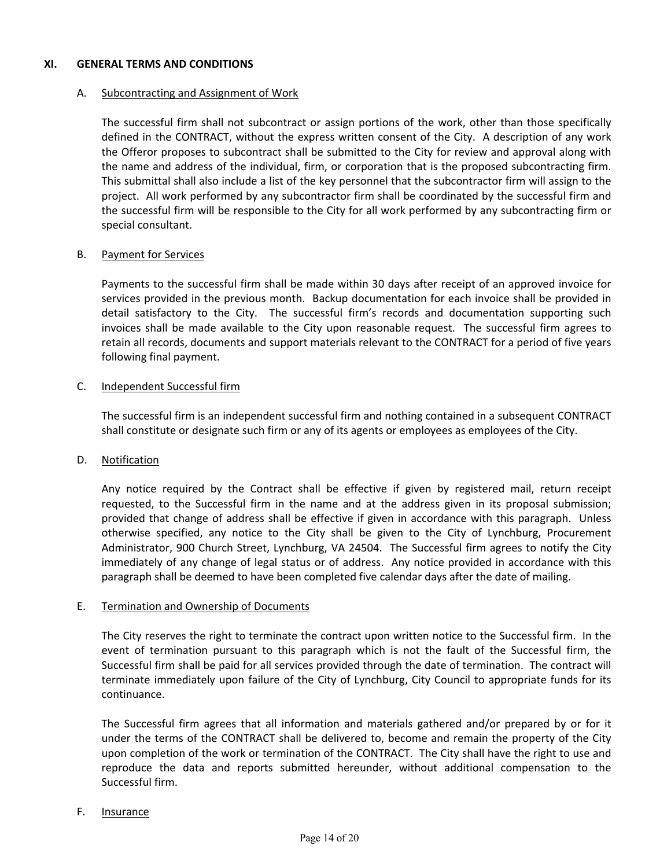#### **XI. GENERAL TERMS AND CONDITIONS**

#### A. Subcontracting and Assignment of Work

The successful firm shall not subcontract or assign portions of the work, other than those specifically defined in the CONTRACT, without the express written consent of the City. A description of any work the Offeror proposes to subcontract shall be submitted to the City for review and approval along with the name and address of the individual, firm, or corporation that is the proposed subcontracting firm. This submittal shall also include a list of the key personnel that the subcontractor firm will assign to the project. All work performed by any subcontractor firm shall be coordinated by the successful firm and the successful firm will be responsible to the City for all work performed by any subcontracting firm or special consultant.

#### B. Payment for Services

Payments to the successful firm shall be made within 30 days after receipt of an approved invoice for services provided in the previous month. Backup documentation for each invoice shall be provided in detail satisfactory to the City. The successful firm's records and documentation supporting such invoices shall be made available to the City upon reasonable request. The successful firm agrees to retain all records, documents and support materials relevant to the CONTRACT for a period of five years following final payment.

#### C. Independent Successful firm

The successful firm is an independent successful firm and nothing contained in a subsequent CONTRACT shall constitute or designate such firm or any of its agents or employees as employees of the City.

#### D. Notification

Any notice required by the Contract shall be effective if given by registered mail, return receipt requested, to the Successful firm in the name and at the address given in its proposal submission; provided that change of address shall be effective if given in accordance with this paragraph. Unless otherwise specified, any notice to the City shall be given to the City of Lynchburg, Procurement Administrator, 900 Church Street, Lynchburg, VA 24504. The Successful firm agrees to notify the City immediately of any change of legal status or of address. Any notice provided in accordance with this paragraph shall be deemed to have been completed five calendar days after the date of mailing.

#### E. Termination and Ownership of Documents

The City reserves the right to terminate the contract upon written notice to the Successful firm. In the event of termination pursuant to this paragraph which is not the fault of the Successful firm, the Successful firm shall be paid for all services provided through the date of termination. The contract will terminate immediately upon failure of the City of Lynchburg, City Council to appropriate funds for its continuance.

The Successful firm agrees that all information and materials gathered and/or prepared by or for it under the terms of the CONTRACT shall be delivered to, become and remain the property of the City upon completion of the work or termination of the CONTRACT. The City shall have the right to use and reproduce the data and reports submitted hereunder, without additional compensation to the Successful firm.

#### F. Insurance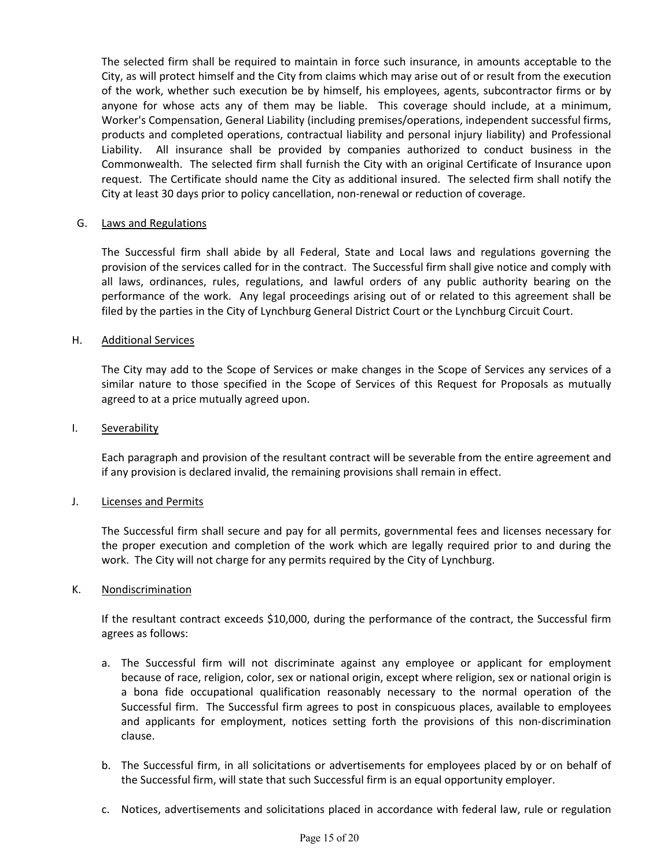The selected firm shall be required to maintain in force such insurance, in amounts acceptable to the City, as will protect himself and the City from claims which may arise out of or result from the execution of the work, whether such execution be by himself, his employees, agents, subcontractor firms or by anyone for whose acts any of them may be liable. This coverage should include, at a minimum, Worker's Compensation, General Liability (including premises/operations, independent successful firms, products and completed operations, contractual liability and personal injury liability) and Professional Liability. All insurance shall be provided by companies authorized to conduct business in the Commonwealth. The selected firm shall furnish the City with an original Certificate of Insurance upon request. The Certificate should name the City as additional insured. The selected firm shall notify the City at least 30 days prior to policy cancellation, non‐renewal or reduction of coverage.

#### G. Laws and Regulations

The Successful firm shall abide by all Federal, State and Local laws and regulations governing the provision of the services called for in the contract. The Successful firm shall give notice and comply with all laws, ordinances, rules, regulations, and lawful orders of any public authority bearing on the performance of the work. Any legal proceedings arising out of or related to this agreement shall be filed by the parties in the City of Lynchburg General District Court or the Lynchburg Circuit Court.

#### H. Additional Services

The City may add to the Scope of Services or make changes in the Scope of Services any services of a similar nature to those specified in the Scope of Services of this Request for Proposals as mutually agreed to at a price mutually agreed upon.

#### I. Severability

Each paragraph and provision of the resultant contract will be severable from the entire agreement and if any provision is declared invalid, the remaining provisions shall remain in effect.

#### J. **Licenses and Permits**

The Successful firm shall secure and pay for all permits, governmental fees and licenses necessary for the proper execution and completion of the work which are legally required prior to and during the work. The City will not charge for any permits required by the City of Lynchburg.

#### K. Nondiscrimination

If the resultant contract exceeds \$10,000, during the performance of the contract, the Successful firm agrees as follows:

- a. The Successful firm will not discriminate against any employee or applicant for employment because of race, religion, color, sex or national origin, except where religion, sex or national origin is a bona fide occupational qualification reasonably necessary to the normal operation of the Successful firm. The Successful firm agrees to post in conspicuous places, available to employees and applicants for employment, notices setting forth the provisions of this non-discrimination clause.
- b. The Successful firm, in all solicitations or advertisements for employees placed by or on behalf of the Successful firm, will state that such Successful firm is an equal opportunity employer.
- c. Notices, advertisements and solicitations placed in accordance with federal law, rule or regulation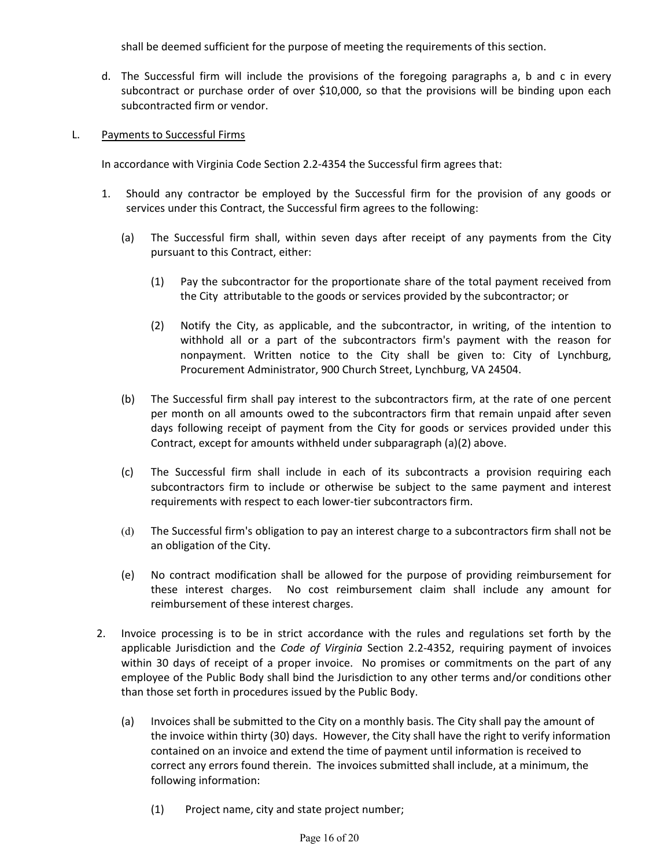shall be deemed sufficient for the purpose of meeting the requirements of this section.

d. The Successful firm will include the provisions of the foregoing paragraphs a, b and c in every subcontract or purchase order of over \$10,000, so that the provisions will be binding upon each subcontracted firm or vendor.

#### L. Payments to Successful Firms

In accordance with Virginia Code Section 2.2‐4354 the Successful firm agrees that:

- 1. Should any contractor be employed by the Successful firm for the provision of any goods or services under this Contract, the Successful firm agrees to the following:
	- (a) The Successful firm shall, within seven days after receipt of any payments from the City pursuant to this Contract, either:
		- (1) Pay the subcontractor for the proportionate share of the total payment received from the City attributable to the goods or services provided by the subcontractor; or
		- (2) Notify the City, as applicable, and the subcontractor, in writing, of the intention to withhold all or a part of the subcontractors firm's payment with the reason for nonpayment. Written notice to the City shall be given to: City of Lynchburg, Procurement Administrator, 900 Church Street, Lynchburg, VA 24504.
	- (b) The Successful firm shall pay interest to the subcontractors firm, at the rate of one percent per month on all amounts owed to the subcontractors firm that remain unpaid after seven days following receipt of payment from the City for goods or services provided under this Contract, except for amounts withheld under subparagraph (a)(2) above.
	- (c) The Successful firm shall include in each of its subcontracts a provision requiring each subcontractors firm to include or otherwise be subject to the same payment and interest requirements with respect to each lower-tier subcontractors firm.
	- (d) The Successful firm's obligation to pay an interest charge to a subcontractors firm shall not be an obligation of the City.
	- (e) No contract modification shall be allowed for the purpose of providing reimbursement for these interest charges. No cost reimbursement claim shall include any amount for reimbursement of these interest charges.
- 2. Invoice processing is to be in strict accordance with the rules and regulations set forth by the applicable Jurisdiction and the *Code of Virginia* Section 2.2-4352, requiring payment of invoices within 30 days of receipt of a proper invoice. No promises or commitments on the part of any employee of the Public Body shall bind the Jurisdiction to any other terms and/or conditions other than those set forth in procedures issued by the Public Body.
	- (a) Invoices shall be submitted to the City on a monthly basis. The City shall pay the amount of the invoice within thirty (30) days. However, the City shall have the right to verify information contained on an invoice and extend the time of payment until information is received to correct any errors found therein. The invoices submitted shall include, at a minimum, the following information:
		- (1) Project name, city and state project number;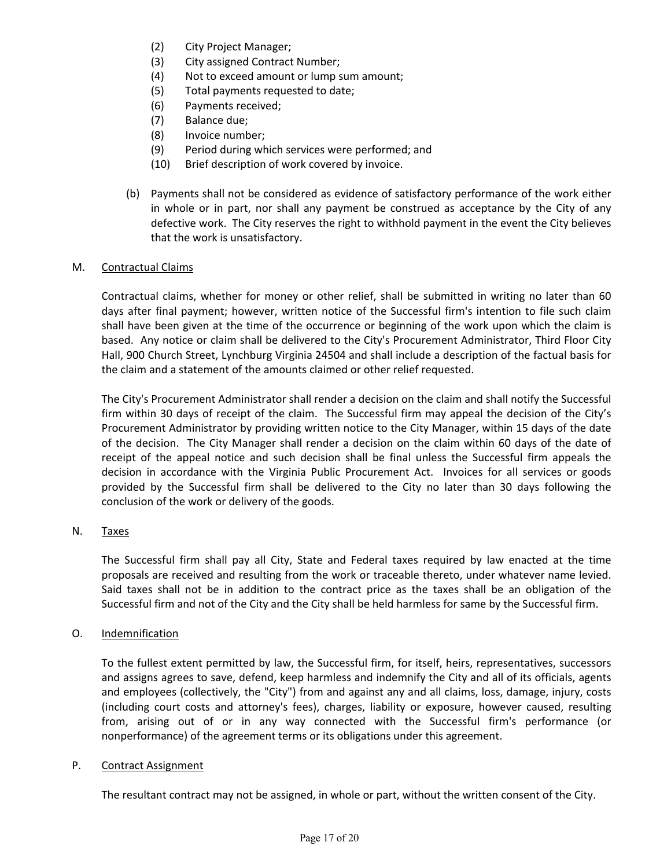- (2) City Project Manager;
- (3) City assigned Contract Number;
- (4) Not to exceed amount or lump sum amount;
- (5) Total payments requested to date;
- (6) Payments received;
- (7) Balance due;
- (8) Invoice number;
- (9) Period during which services were performed; and
- (10) Brief description of work covered by invoice.
- (b) Payments shall not be considered as evidence of satisfactory performance of the work either in whole or in part, nor shall any payment be construed as acceptance by the City of any defective work. The City reserves the right to withhold payment in the event the City believes that the work is unsatisfactory.

#### M. Contractual Claims

Contractual claims, whether for money or other relief, shall be submitted in writing no later than 60 days after final payment; however, written notice of the Successful firm's intention to file such claim shall have been given at the time of the occurrence or beginning of the work upon which the claim is based. Any notice or claim shall be delivered to the City's Procurement Administrator, Third Floor City Hall, 900 Church Street, Lynchburg Virginia 24504 and shall include a description of the factual basis for the claim and a statement of the amounts claimed or other relief requested.

The City's Procurement Administrator shall render a decision on the claim and shall notify the Successful firm within 30 days of receipt of the claim. The Successful firm may appeal the decision of the City's Procurement Administrator by providing written notice to the City Manager, within 15 days of the date of the decision. The City Manager shall render a decision on the claim within 60 days of the date of receipt of the appeal notice and such decision shall be final unless the Successful firm appeals the decision in accordance with the Virginia Public Procurement Act. Invoices for all services or goods provided by the Successful firm shall be delivered to the City no later than 30 days following the conclusion of the work or delivery of the goods.

#### N. Taxes

The Successful firm shall pay all City, State and Federal taxes required by law enacted at the time proposals are received and resulting from the work or traceable thereto, under whatever name levied. Said taxes shall not be in addition to the contract price as the taxes shall be an obligation of the Successful firm and not of the City and the City shall be held harmless for same by the Successful firm.

#### O. Indemnification

To the fullest extent permitted by law, the Successful firm, for itself, heirs, representatives, successors and assigns agrees to save, defend, keep harmless and indemnify the City and all of its officials, agents and employees (collectively, the "City") from and against any and all claims, loss, damage, injury, costs (including court costs and attorney's fees), charges, liability or exposure, however caused, resulting from, arising out of or in any way connected with the Successful firm's performance (or nonperformance) of the agreement terms or its obligations under this agreement.

#### P. Contract Assignment

The resultant contract may not be assigned, in whole or part, without the written consent of the City.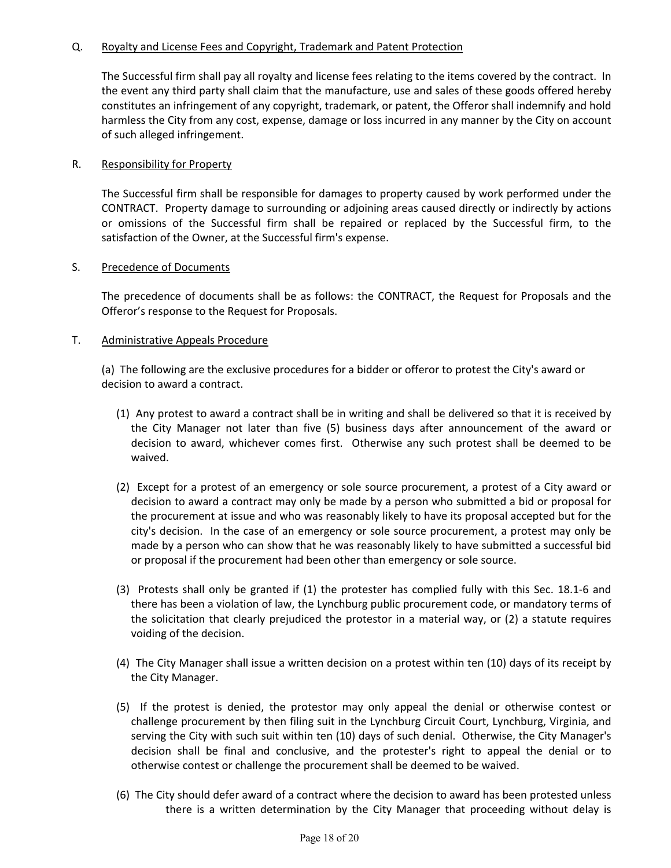#### Q. Royalty and License Fees and Copyright, Trademark and Patent Protection

The Successful firm shall pay all royalty and license fees relating to the items covered by the contract. In the event any third party shall claim that the manufacture, use and sales of these goods offered hereby constitutes an infringement of any copyright, trademark, or patent, the Offeror shall indemnify and hold harmless the City from any cost, expense, damage or loss incurred in any manner by the City on account of such alleged infringement.

#### R. Responsibility for Property

The Successful firm shall be responsible for damages to property caused by work performed under the CONTRACT. Property damage to surrounding or adjoining areas caused directly or indirectly by actions or omissions of the Successful firm shall be repaired or replaced by the Successful firm, to the satisfaction of the Owner, at the Successful firm's expense.

#### S. Precedence of Documents

The precedence of documents shall be as follows: the CONTRACT, the Request for Proposals and the Offeror's response to the Request for Proposals.

#### T. Administrative Appeals Procedure

(a) The following are the exclusive procedures for a bidder or offeror to protest the City's award or decision to award a contract.

- (1) Any protest to award a contract shall be in writing and shall be delivered so that it is received by the City Manager not later than five (5) business days after announcement of the award or decision to award, whichever comes first. Otherwise any such protest shall be deemed to be waived.
- (2) Except for a protest of an emergency or sole source procurement, a protest of a City award or decision to award a contract may only be made by a person who submitted a bid or proposal for the procurement at issue and who was reasonably likely to have its proposal accepted but for the city's decision. In the case of an emergency or sole source procurement, a protest may only be made by a person who can show that he was reasonably likely to have submitted a successful bid or proposal if the procurement had been other than emergency or sole source.
- (3) Protests shall only be granted if (1) the protester has complied fully with this Sec. 18.1‐6 and there has been a violation of law, the Lynchburg public procurement code, or mandatory terms of the solicitation that clearly prejudiced the protestor in a material way, or (2) a statute requires voiding of the decision.
- (4) The City Manager shall issue a written decision on a protest within ten (10) days of its receipt by the City Manager.
- (5) If the protest is denied, the protestor may only appeal the denial or otherwise contest or challenge procurement by then filing suit in the Lynchburg Circuit Court, Lynchburg, Virginia, and serving the City with such suit within ten (10) days of such denial. Otherwise, the City Manager's decision shall be final and conclusive, and the protester's right to appeal the denial or to otherwise contest or challenge the procurement shall be deemed to be waived.
- (6) The City should defer award of a contract where the decision to award has been protested unless there is a written determination by the City Manager that proceeding without delay is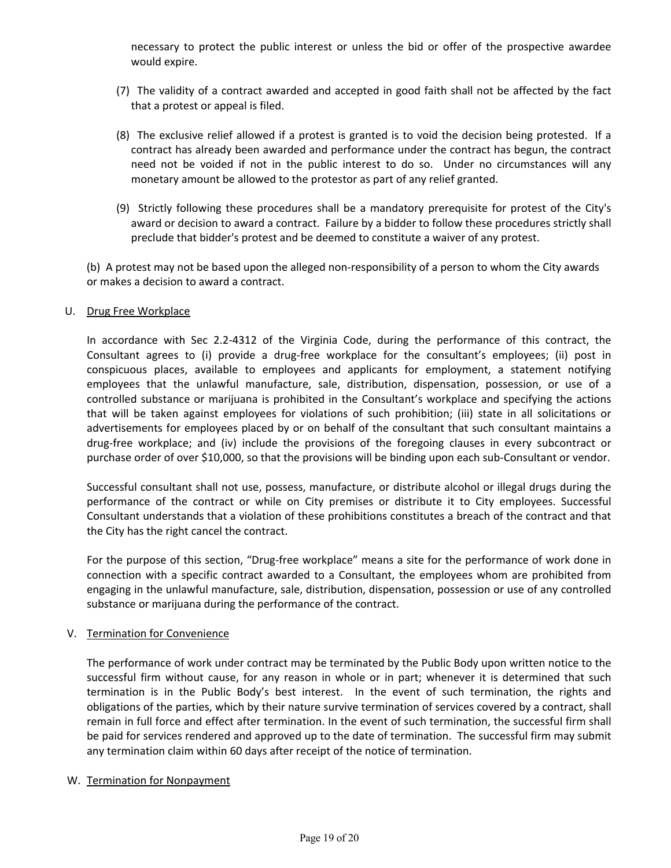necessary to protect the public interest or unless the bid or offer of the prospective awardee would expire.

- (7) The validity of a contract awarded and accepted in good faith shall not be affected by the fact that a protest or appeal is filed.
- (8) The exclusive relief allowed if a protest is granted is to void the decision being protested. If a contract has already been awarded and performance under the contract has begun, the contract need not be voided if not in the public interest to do so. Under no circumstances will any monetary amount be allowed to the protestor as part of any relief granted.
- (9) Strictly following these procedures shall be a mandatory prerequisite for protest of the City's award or decision to award a contract. Failure by a bidder to follow these procedures strictly shall preclude that bidder's protest and be deemed to constitute a waiver of any protest.

 (b) A protest may not be based upon the alleged non‐responsibility of a person to whom the City awards or makes a decision to award a contract.

#### U. Drug Free Workplace

In accordance with Sec 2.2-4312 of the Virginia Code, during the performance of this contract, the Consultant agrees to (i) provide a drug-free workplace for the consultant's employees; (ii) post in conspicuous places, available to employees and applicants for employment, a statement notifying employees that the unlawful manufacture, sale, distribution, dispensation, possession, or use of a controlled substance or marijuana is prohibited in the Consultant's workplace and specifying the actions that will be taken against employees for violations of such prohibition; (iii) state in all solicitations or advertisements for employees placed by or on behalf of the consultant that such consultant maintains a drug‐free workplace; and (iv) include the provisions of the foregoing clauses in every subcontract or purchase order of over \$10,000, so that the provisions will be binding upon each sub-Consultant or vendor.

Successful consultant shall not use, possess, manufacture, or distribute alcohol or illegal drugs during the performance of the contract or while on City premises or distribute it to City employees. Successful Consultant understands that a violation of these prohibitions constitutes a breach of the contract and that the City has the right cancel the contract.

For the purpose of this section, "Drug‐free workplace" means a site for the performance of work done in connection with a specific contract awarded to a Consultant, the employees whom are prohibited from engaging in the unlawful manufacture, sale, distribution, dispensation, possession or use of any controlled substance or marijuana during the performance of the contract.

#### V. Termination for Convenience

The performance of work under contract may be terminated by the Public Body upon written notice to the successful firm without cause, for any reason in whole or in part; whenever it is determined that such termination is in the Public Body's best interest. In the event of such termination, the rights and obligations of the parties, which by their nature survive termination of services covered by a contract, shall remain in full force and effect after termination. In the event of such termination, the successful firm shall be paid for services rendered and approved up to the date of termination. The successful firm may submit any termination claim within 60 days after receipt of the notice of termination.

#### W. Termination for Nonpayment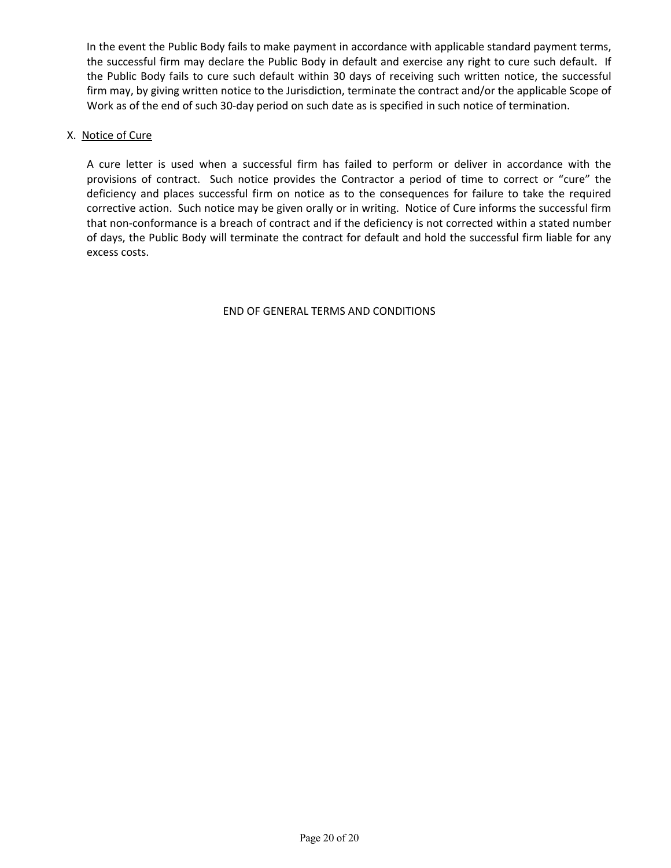In the event the Public Body fails to make payment in accordance with applicable standard payment terms, the successful firm may declare the Public Body in default and exercise any right to cure such default. If the Public Body fails to cure such default within 30 days of receiving such written notice, the successful firm may, by giving written notice to the Jurisdiction, terminate the contract and/or the applicable Scope of Work as of the end of such 30‐day period on such date as is specified in such notice of termination.

#### X. Notice of Cure

A cure letter is used when a successful firm has failed to perform or deliver in accordance with the provisions of contract. Such notice provides the Contractor a period of time to correct or "cure" the deficiency and places successful firm on notice as to the consequences for failure to take the required corrective action. Such notice may be given orally or in writing. Notice of Cure informs the successful firm that non‐conformance is a breach of contract and if the deficiency is not corrected within a stated number of days, the Public Body will terminate the contract for default and hold the successful firm liable for any excess costs.

#### END OF GENERAL TERMS AND CONDITIONS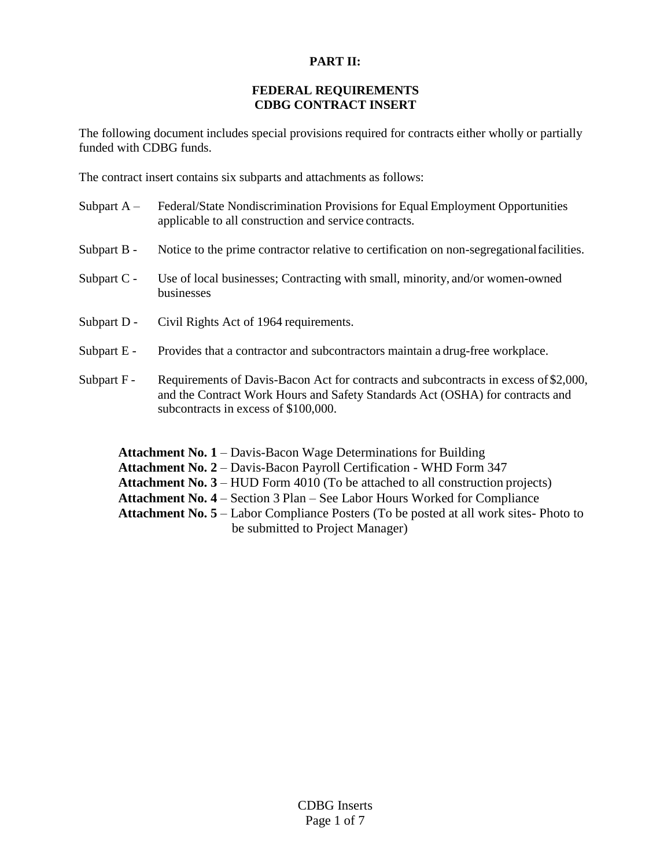#### **PART II:**

#### **FEDERAL REQUIREMENTS CDBG CONTRACT INSERT**

The following document includes special provisions required for contracts either wholly or partially funded with CDBG funds.

The contract insert contains six subparts and attachments as follows:

- Subpart A Federal/State Nondiscrimination Provisions for Equal Employment Opportunities applicable to all construction and service contracts.
- Subpart B Notice to the prime contractor relative to certification on non-segregational facilities.
- Subpart C Use of local businesses; Contracting with small, minority, and/or women-owned businesses
- Subpart D Civil Rights Act of 1964 requirements.
- Subpart E Provides that a contractor and subcontractors maintain a drug-free workplace.
- Subpart F Requirements of Davis-Bacon Act for contracts and subcontracts in excess of \$2,000, and the Contract Work Hours and Safety Standards Act (OSHA) for contracts and subcontracts in excess of \$100,000.

Attachment No. 1 – Davis-Bacon Wage Determinations for Building **Attachment No. 2** – Davis-Bacon Payroll Certification - WHD Form 347 **Attachment No. 3** – HUD Form 4010 (To be attached to all construction projects) **Attachment No. 4** – Section 3 Plan – See Labor Hours Worked for Compliance **Attachment No. 5** – Labor Compliance Posters (To be posted at all work sites- Photo to be submitted to Project Manager)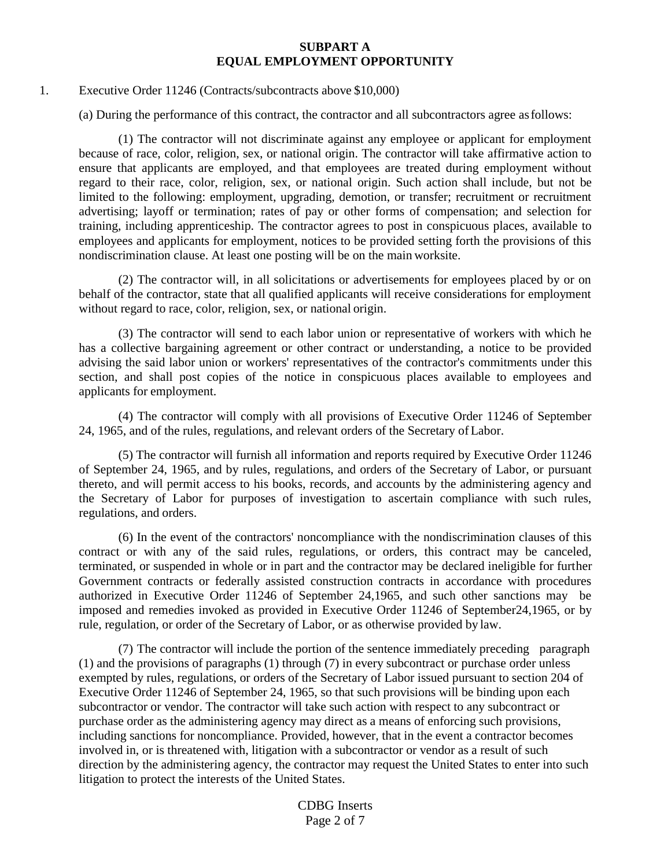#### **SUBPART A EQUAL EMPLOYMENT OPPORTUNITY**

#### 1. Executive Order 11246 (Contracts/subcontracts above \$10,000)

(a) During the performance of this contract, the contractor and all subcontractors agree asfollows:

(1) The contractor will not discriminate against any employee or applicant for employment because of race, color, religion, sex, or national origin. The contractor will take affirmative action to ensure that applicants are employed, and that employees are treated during employment without regard to their race, color, religion, sex, or national origin. Such action shall include, but not be limited to the following: employment, upgrading, demotion, or transfer; recruitment or recruitment advertising; layoff or termination; rates of pay or other forms of compensation; and selection for training, including apprenticeship. The contractor agrees to post in conspicuous places, available to employees and applicants for employment, notices to be provided setting forth the provisions of this nondiscrimination clause. At least one posting will be on the main worksite.

(2) The contractor will, in all solicitations or advertisements for employees placed by or on behalf of the contractor, state that all qualified applicants will receive considerations for employment without regard to race, color, religion, sex, or national origin.

(3) The contractor will send to each labor union or representative of workers with which he has a collective bargaining agreement or other contract or understanding, a notice to be provided advising the said labor union or workers' representatives of the contractor's commitments under this section, and shall post copies of the notice in conspicuous places available to employees and applicants for employment.

(4) The contractor will comply with all provisions of Executive Order 11246 of September 24, 1965, and of the rules, regulations, and relevant orders of the Secretary of Labor.

(5) The contractor will furnish all information and reports required by Executive Order 11246 of September 24, 1965, and by rules, regulations, and orders of the Secretary of Labor, or pursuant thereto, and will permit access to his books, records, and accounts by the administering agency and the Secretary of Labor for purposes of investigation to ascertain compliance with such rules, regulations, and orders.

(6) In the event of the contractors' noncompliance with the nondiscrimination clauses of this contract or with any of the said rules, regulations, or orders, this contract may be canceled, terminated, or suspended in whole or in part and the contractor may be declared ineligible for further Government contracts or federally assisted construction contracts in accordance with procedures authorized in Executive Order 11246 of September 24,1965, and such other sanctions may be imposed and remedies invoked as provided in Executive Order 11246 of September24,1965, or by rule, regulation, or order of the Secretary of Labor, or as otherwise provided by law.

(7) The contractor will include the portion of the sentence immediately preceding paragraph (1) and the provisions of paragraphs (1) through (7) in every subcontract or purchase order unless exempted by rules, regulations, or orders of the Secretary of Labor issued pursuant to section 204 of Executive Order 11246 of September 24, 1965, so that such provisions will be binding upon each subcontractor or vendor. The contractor will take such action with respect to any subcontract or purchase order as the administering agency may direct as a means of enforcing such provisions, including sanctions for noncompliance. Provided, however, that in the event a contractor becomes involved in, or is threatened with, litigation with a subcontractor or vendor as a result of such direction by the administering agency, the contractor may request the United States to enter into such litigation to protect the interests of the United States.

> CDBG Inserts Page 2 of 7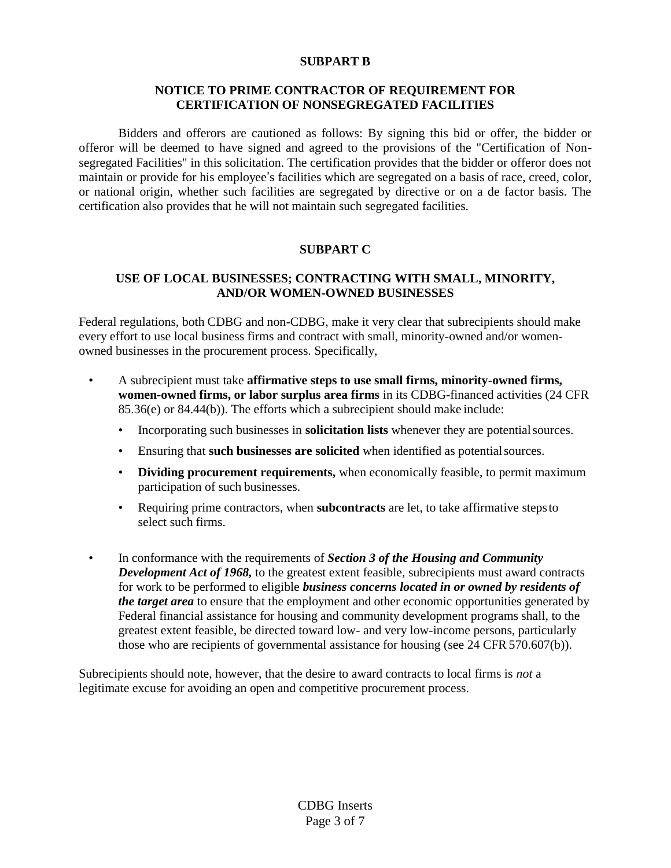#### **SUBPART B**

#### **NOTICE TO PRIME CONTRACTOR OF REQUIREMENT FOR CERTIFICATION OF NONSEGREGATED FACILITIES**

Bidders and offerors are cautioned as follows: By signing this bid or offer, the bidder or offeror will be deemed to have signed and agreed to the provisions of the "Certification of Nonsegregated Facilities" in this solicitation. The certification provides that the bidder or offeror does not maintain or provide for his employee's facilities which are segregated on a basis of race, creed, color, or national origin, whether such facilities are segregated by directive or on a de factor basis. The certification also provides that he will not maintain such segregated facilities.

#### **SUBPART C**

#### **USE OF LOCAL BUSINESSES; CONTRACTING WITH SMALL, MINORITY, AND/OR WOMEN-OWNED BUSINESSES**

Federal regulations, both CDBG and non-CDBG, make it very clear that subrecipients should make every effort to use local business firms and contract with small, minority-owned and/or womenowned businesses in the procurement process. Specifically,

- A subrecipient must take **affirmative steps to use small firms, minority-owned firms, women-owned firms, or labor surplus area firms** in its CDBG-financed activities (24 CFR 85.36(e) or 84.44(b)). The efforts which a subrecipient should make include:
	- Incorporating such businesses in **solicitation lists** whenever they are potentialsources.
	- Ensuring that **such businesses are solicited** when identified as potentialsources.
	- **Dividing procurement requirements,** when economically feasible, to permit maximum participation of such businesses.
	- Requiring prime contractors, when **subcontracts** are let, to take affirmative stepsto select such firms.
- In conformance with the requirements of *Section 3 of the Housing and Community Development Act of 1968,* to the greatest extent feasible, subrecipients must award contracts for work to be performed to eligible *business concerns located in or owned by residents of the target area* to ensure that the employment and other economic opportunities generated by Federal financial assistance for housing and community development programs shall, to the greatest extent feasible, be directed toward low- and very low-income persons, particularly those who are recipients of governmental assistance for housing (see 24 CFR 570.607(b)).

Subrecipients should note, however, that the desire to award contracts to local firms is *not* a legitimate excuse for avoiding an open and competitive procurement process.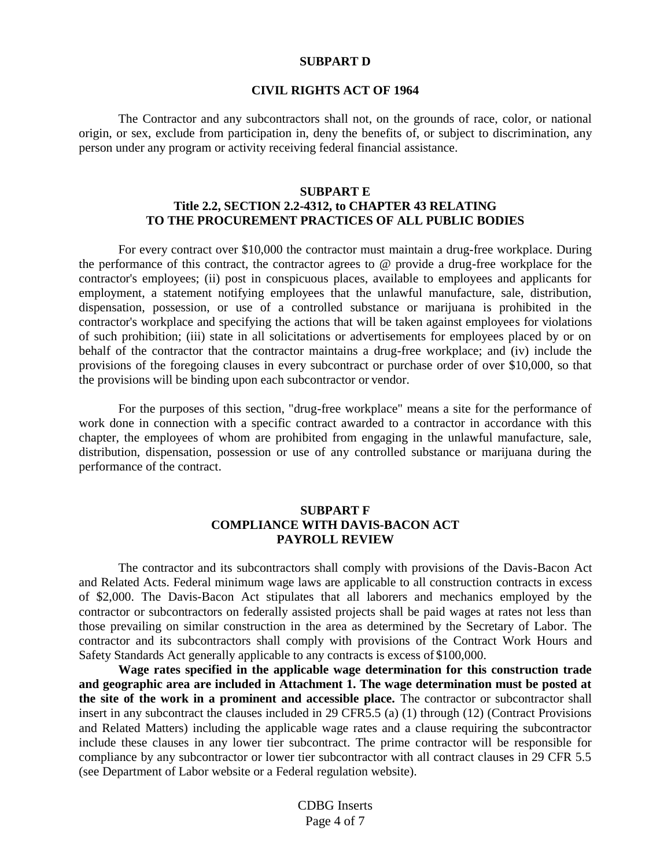#### **SUBPART D**

#### **CIVIL RIGHTS ACT OF 1964**

The Contractor and any subcontractors shall not, on the grounds of race, color, or national origin, or sex, exclude from participation in, deny the benefits of, or subject to discrimination, any person under any program or activity receiving federal financial assistance.

#### **SUBPART E Title 2.2, SECTION 2.2-4312, to CHAPTER 43 RELATING TO THE PROCUREMENT PRACTICES OF ALL PUBLIC BODIES**

For every contract over \$10,000 the contractor must maintain a drug-free workplace. During the performance of this contract, the contractor agrees to @ provide a drug-free workplace for the contractor's employees; (ii) post in conspicuous places, available to employees and applicants for employment, a statement notifying employees that the unlawful manufacture, sale, distribution, dispensation, possession, or use of a controlled substance or marijuana is prohibited in the contractor's workplace and specifying the actions that will be taken against employees for violations of such prohibition; (iii) state in all solicitations or advertisements for employees placed by or on behalf of the contractor that the contractor maintains a drug-free workplace; and (iv) include the provisions of the foregoing clauses in every subcontract or purchase order of over \$10,000, so that the provisions will be binding upon each subcontractor or vendor.

For the purposes of this section, "drug-free workplace" means a site for the performance of work done in connection with a specific contract awarded to a contractor in accordance with this chapter, the employees of whom are prohibited from engaging in the unlawful manufacture, sale, distribution, dispensation, possession or use of any controlled substance or marijuana during the performance of the contract.

#### **SUBPART F COMPLIANCE WITH DAVIS-BACON ACT PAYROLL REVIEW**

The contractor and its subcontractors shall comply with provisions of the Davis-Bacon Act and Related Acts. Federal minimum wage laws are applicable to all construction contracts in excess of \$2,000. The Davis-Bacon Act stipulates that all laborers and mechanics employed by the contractor or subcontractors on federally assisted projects shall be paid wages at rates not less than those prevailing on similar construction in the area as determined by the Secretary of Labor. The contractor and its subcontractors shall comply with provisions of the Contract Work Hours and Safety Standards Act generally applicable to any contracts is excess of \$100,000.

**Wage rates specified in the applicable wage determination for this construction trade and geographic area are included in Attachment 1. The wage determination must be posted at the site of the work in a prominent and accessible place.** The contractor or subcontractor shall insert in any subcontract the clauses included in 29 CFR5.5 (a) (1) through (12) (Contract Provisions and Related Matters) including the applicable wage rates and a clause requiring the subcontractor include these clauses in any lower tier subcontract. The prime contractor will be responsible for compliance by any subcontractor or lower tier subcontractor with all contract clauses in 29 CFR 5.5 (see Department of Labor website or a Federal regulation website).

> CDBG Inserts Page 4 of 7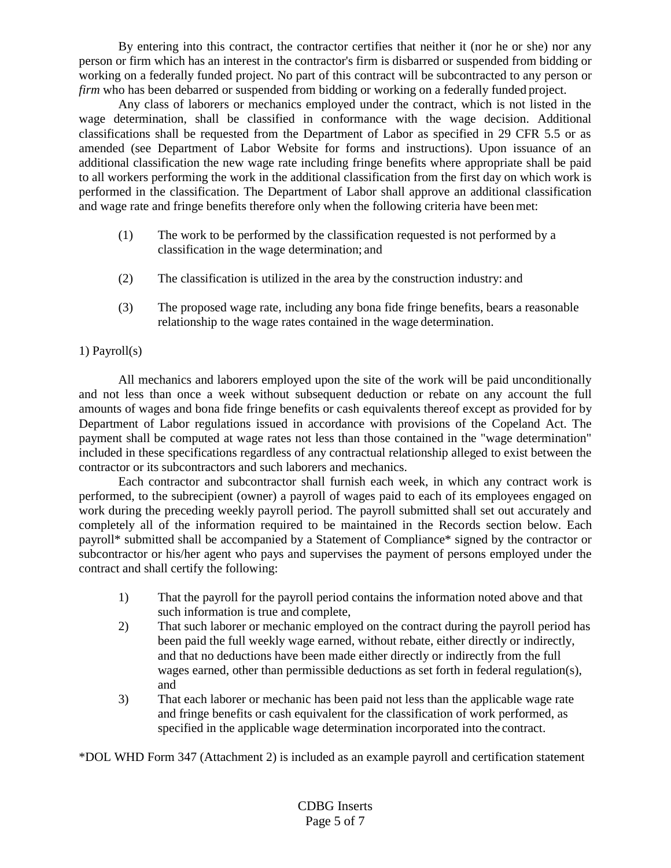By entering into this contract, the contractor certifies that neither it (nor he or she) nor any person or firm which has an interest in the contractor's firm is disbarred or suspended from bidding or working on a federally funded project. No part of this contract will be subcontracted to any person or *firm* who has been debarred or suspended from bidding or working on a federally funded project.

Any class of laborers or mechanics employed under the contract, which is not listed in the wage determination, shall be classified in conformance with the wage decision. Additional classifications shall be requested from the Department of Labor as specified in 29 CFR 5.5 or as amended (see Department of Labor Website for forms and instructions). Upon issuance of an additional classification the new wage rate including fringe benefits where appropriate shall be paid to all workers performing the work in the additional classification from the first day on which work is performed in the classification. The Department of Labor shall approve an additional classification and wage rate and fringe benefits therefore only when the following criteria have beenmet:

- (1) The work to be performed by the classification requested is not performed by a classification in the wage determination; and
- (2) The classification is utilized in the area by the construction industry: and
- (3) The proposed wage rate, including any bona fide fringe benefits, bears a reasonable relationship to the wage rates contained in the wage determination.

#### 1) Payroll(s)

All mechanics and laborers employed upon the site of the work will be paid unconditionally and not less than once a week without subsequent deduction or rebate on any account the full amounts of wages and bona fide fringe benefits or cash equivalents thereof except as provided for by Department of Labor regulations issued in accordance with provisions of the Copeland Act. The payment shall be computed at wage rates not less than those contained in the "wage determination" included in these specifications regardless of any contractual relationship alleged to exist between the contractor or its subcontractors and such laborers and mechanics.

Each contractor and subcontractor shall furnish each week, in which any contract work is performed, to the subrecipient (owner) a payroll of wages paid to each of its employees engaged on work during the preceding weekly payroll period. The payroll submitted shall set out accurately and completely all of the information required to be maintained in the Records section below. Each payroll\* submitted shall be accompanied by a Statement of Compliance\* signed by the contractor or subcontractor or his/her agent who pays and supervises the payment of persons employed under the contract and shall certify the following:

- 1) That the payroll for the payroll period contains the information noted above and that such information is true and complete,
- 2) That such laborer or mechanic employed on the contract during the payroll period has been paid the full weekly wage earned, without rebate, either directly or indirectly, and that no deductions have been made either directly or indirectly from the full wages earned, other than permissible deductions as set forth in federal regulation(s), and
- 3) That each laborer or mechanic has been paid not less than the applicable wage rate and fringe benefits or cash equivalent for the classification of work performed, as specified in the applicable wage determination incorporated into the contract.

\*DOL WHD Form 347 (Attachment 2) is included as an example payroll and certification statement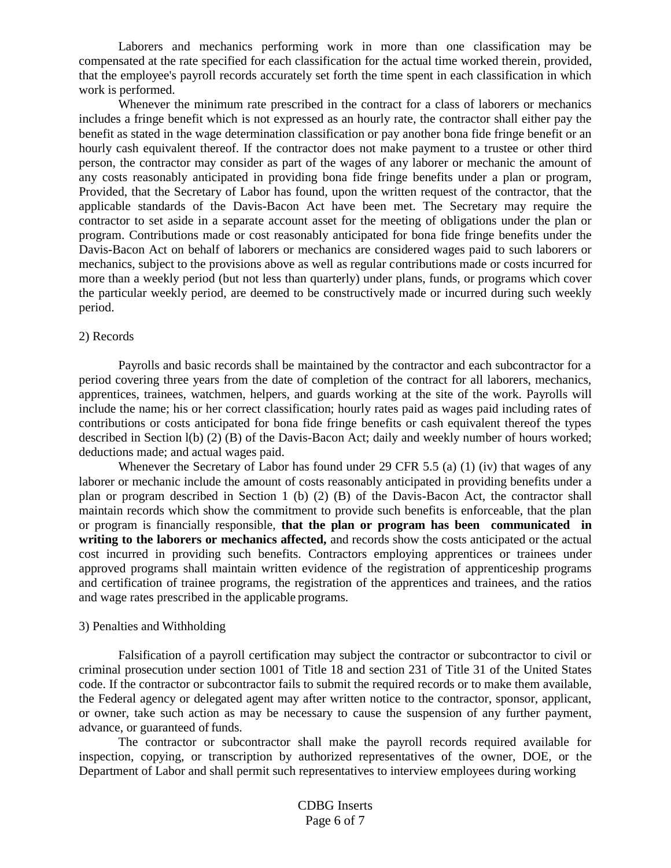Laborers and mechanics performing work in more than one classification may be compensated at the rate specified for each classification for the actual time worked therein, provided, that the employee's payroll records accurately set forth the time spent in each classification in which work is performed.

Whenever the minimum rate prescribed in the contract for a class of laborers or mechanics includes a fringe benefit which is not expressed as an hourly rate, the contractor shall either pay the benefit as stated in the wage determination classification or pay another bona fide fringe benefit or an hourly cash equivalent thereof. If the contractor does not make payment to a trustee or other third person, the contractor may consider as part of the wages of any laborer or mechanic the amount of any costs reasonably anticipated in providing bona fide fringe benefits under a plan or program, Provided, that the Secretary of Labor has found, upon the written request of the contractor, that the applicable standards of the Davis-Bacon Act have been met. The Secretary may require the contractor to set aside in a separate account asset for the meeting of obligations under the plan or program. Contributions made or cost reasonably anticipated for bona fide fringe benefits under the Davis-Bacon Act on behalf of laborers or mechanics are considered wages paid to such laborers or mechanics, subject to the provisions above as well as regular contributions made or costs incurred for more than a weekly period (but not less than quarterly) under plans, funds, or programs which cover the particular weekly period, are deemed to be constructively made or incurred during such weekly period.

#### 2) Records

Payrolls and basic records shall be maintained by the contractor and each subcontractor for a period covering three years from the date of completion of the contract for all laborers, mechanics, apprentices, trainees, watchmen, helpers, and guards working at the site of the work. Payrolls will include the name; his or her correct classification; hourly rates paid as wages paid including rates of contributions or costs anticipated for bona fide fringe benefits or cash equivalent thereof the types described in Section l(b) (2) (B) of the Davis-Bacon Act; daily and weekly number of hours worked; deductions made; and actual wages paid.

Whenever the Secretary of Labor has found under 29 CFR 5.5 (a) (1) (iv) that wages of any laborer or mechanic include the amount of costs reasonably anticipated in providing benefits under a plan or program described in Section 1 (b) (2) (B) of the Davis-Bacon Act, the contractor shall maintain records which show the commitment to provide such benefits is enforceable, that the plan or program is financially responsible, **that the plan or program has been communicated in writing to the laborers or mechanics affected,** and records show the costs anticipated or the actual cost incurred in providing such benefits. Contractors employing apprentices or trainees under approved programs shall maintain written evidence of the registration of apprenticeship programs and certification of trainee programs, the registration of the apprentices and trainees, and the ratios and wage rates prescribed in the applicable programs.

#### 3) Penalties and Withholding

Falsification of a payroll certification may subject the contractor or subcontractor to civil or criminal prosecution under section 1001 of Title 18 and section 231 of Title 31 of the United States code. If the contractor or subcontractor fails to submit the required records or to make them available, the Federal agency or delegated agent may after written notice to the contractor, sponsor, applicant, or owner, take such action as may be necessary to cause the suspension of any further payment, advance, or guaranteed of funds.

The contractor or subcontractor shall make the payroll records required available for inspection, copying, or transcription by authorized representatives of the owner, DOE, or the Department of Labor and shall permit such representatives to interview employees during working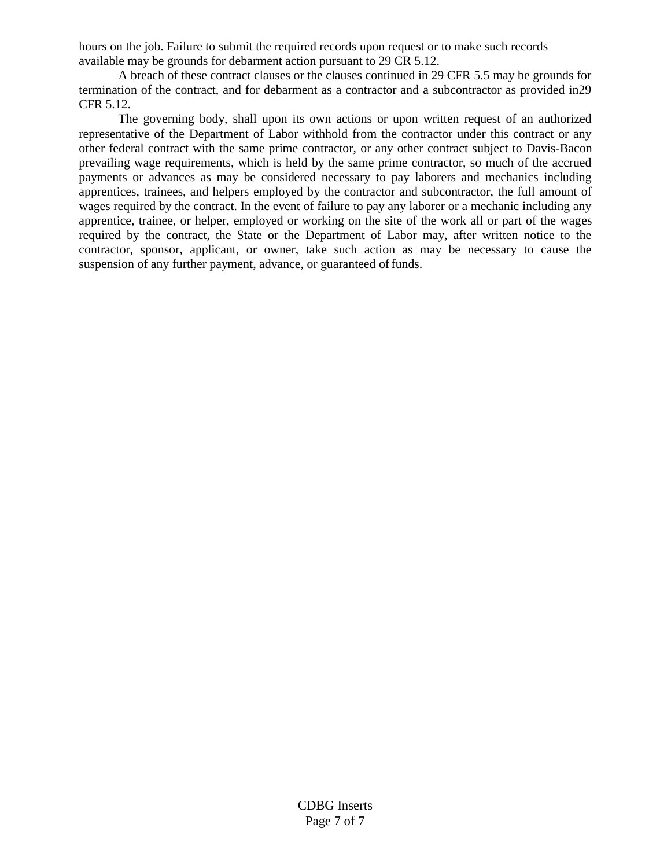hours on the job. Failure to submit the required records upon request or to make such records available may be grounds for debarment action pursuant to 29 CR 5.12.

A breach of these contract clauses or the clauses continued in 29 CFR 5.5 may be grounds for termination of the contract, and for debarment as a contractor and a subcontractor as provided in29 CFR 5.12.

The governing body, shall upon its own actions or upon written request of an authorized representative of the Department of Labor withhold from the contractor under this contract or any other federal contract with the same prime contractor, or any other contract subject to Davis-Bacon prevailing wage requirements, which is held by the same prime contractor, so much of the accrued payments or advances as may be considered necessary to pay laborers and mechanics including apprentices, trainees, and helpers employed by the contractor and subcontractor, the full amount of wages required by the contract. In the event of failure to pay any laborer or a mechanic including any apprentice, trainee, or helper, employed or working on the site of the work all or part of the wages required by the contract, the State or the Department of Labor may, after written notice to the contractor, sponsor, applicant, or owner, take such action as may be necessary to cause the suspension of any further payment, advance, or guaranteed of funds.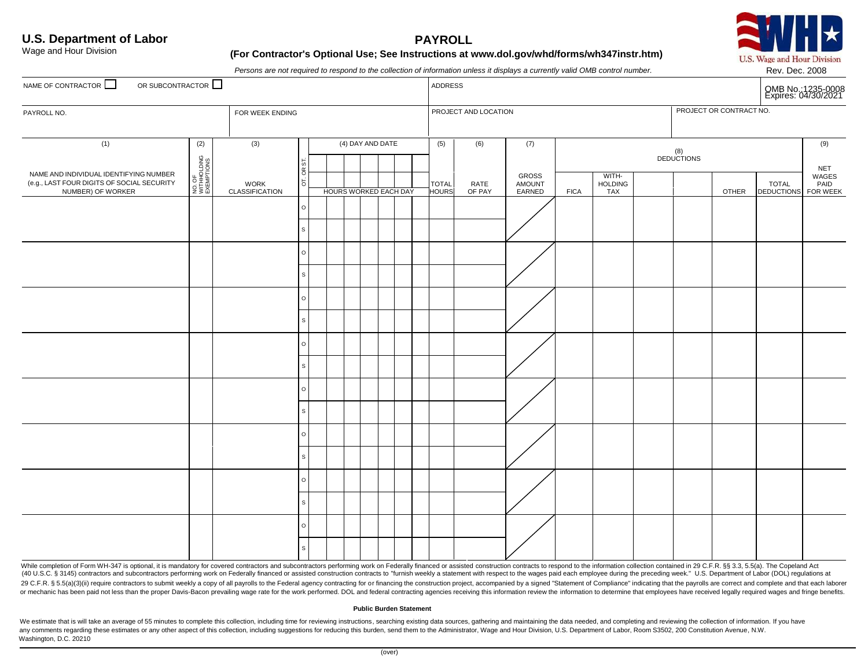

#### **U.S. Department of Labor PAYROLL** Wage and Hour Division **(For Contractor's Optional Use; See Instructions at [www.dol.gov/whd/forms/wh347instr.htm\)](http://www.dol.gov/whd/forms/wh347instr.htm))**

Persons are not required to respond to the collection of information unless it displays a currently valid OMB control number.<br>
Rev. Dec. 2008

| NAME OF CONTRACTOR<br>OR SUBCONTRACTOR $\Box$                                                             |                                     |                                      |                                                 | ADDRESS               |                  |  |                       |                | OMB No.: 1235-0008<br>Expires: 04/30/2021 |             |                                |  |                   |       |                                   |                                         |
|-----------------------------------------------------------------------------------------------------------|-------------------------------------|--------------------------------------|-------------------------------------------------|-----------------------|------------------|--|-----------------------|----------------|-------------------------------------------|-------------|--------------------------------|--|-------------------|-------|-----------------------------------|-----------------------------------------|
| PAYROLL NO.<br>FOR WEEK ENDING                                                                            |                                     |                                      | PROJECT OR CONTRACT NO.<br>PROJECT AND LOCATION |                       |                  |  |                       |                |                                           |             |                                |  |                   |       |                                   |                                         |
| (1)                                                                                                       | (2)                                 | (3)                                  |                                                 |                       | (4) DAY AND DATE |  | (5)                   | (6)            | (7)                                       |             |                                |  | (8)<br>DEDUCTIONS |       |                                   | (9)                                     |
| NAME AND INDIVIDUAL IDENTIFYING NUMBER<br>(e.g., LAST FOUR DIGITS OF SOCIAL SECURITY<br>NUMBER) OF WORKER | NO. OF<br>WITHHOLDING<br>EXEMPTIONS | <b>WORK</b><br><b>CLASSIFICATION</b> | OT. OR ST.                                      | HOURS WORKED EACH DAY |                  |  | <b>TOTAL</b><br>HOURS | RATE<br>OF PAY | <b>GROSS</b><br>AMOUNT<br>EARNED          | <b>FICA</b> | WITH-<br><b>HOLDING</b><br>TAX |  |                   | OTHER | <b>TOTAL</b><br><b>DEDUCTIONS</b> | <b>NET</b><br>WAGES<br>PAID<br>FOR WEEK |
|                                                                                                           |                                     |                                      | $\circ$                                         |                       |                  |  |                       |                |                                           |             |                                |  |                   |       |                                   |                                         |
|                                                                                                           |                                     |                                      | $\mathbb S$                                     |                       |                  |  |                       |                |                                           |             |                                |  |                   |       |                                   |                                         |
|                                                                                                           |                                     |                                      | $\circ$                                         |                       |                  |  |                       |                |                                           |             |                                |  |                   |       |                                   |                                         |
|                                                                                                           |                                     |                                      | $\mathbb S$                                     |                       |                  |  |                       |                |                                           |             |                                |  |                   |       |                                   |                                         |
|                                                                                                           |                                     |                                      | $\circ$                                         |                       |                  |  |                       |                |                                           |             |                                |  |                   |       |                                   |                                         |
|                                                                                                           |                                     |                                      | $\mathsf{s}$                                    |                       |                  |  |                       |                |                                           |             |                                |  |                   |       |                                   |                                         |
|                                                                                                           |                                     |                                      | $\circ$                                         |                       |                  |  |                       |                |                                           |             |                                |  |                   |       |                                   |                                         |
|                                                                                                           |                                     |                                      | $\mathsf{s}$                                    |                       |                  |  |                       |                |                                           |             |                                |  |                   |       |                                   |                                         |
|                                                                                                           |                                     |                                      | $\circ$                                         |                       |                  |  |                       |                |                                           |             |                                |  |                   |       |                                   |                                         |
|                                                                                                           |                                     |                                      | $\mathsf{s}$                                    |                       |                  |  |                       |                |                                           |             |                                |  |                   |       |                                   |                                         |
|                                                                                                           |                                     |                                      | $\circ$                                         |                       |                  |  |                       |                |                                           |             |                                |  |                   |       |                                   |                                         |
|                                                                                                           |                                     |                                      | $\mathsf{s}$                                    |                       |                  |  |                       |                |                                           |             |                                |  |                   |       |                                   |                                         |
|                                                                                                           |                                     |                                      | $\circ$                                         |                       |                  |  |                       |                |                                           |             |                                |  |                   |       |                                   |                                         |
|                                                                                                           |                                     |                                      | $\mathsf{s}$                                    |                       |                  |  |                       |                |                                           |             |                                |  |                   |       |                                   |                                         |
|                                                                                                           |                                     |                                      | $\circ$                                         |                       |                  |  |                       |                |                                           |             |                                |  |                   |       |                                   |                                         |
|                                                                                                           |                                     |                                      | $\mathsf{s}$                                    |                       |                  |  |                       |                |                                           |             |                                |  |                   |       |                                   |                                         |

While completion of Form WH-347 is optional, it is mandatory for covered contractors and subcontractors performing work on Federally financed or assisted construction contracts to respond to the information collection cont (40 U.S.C. § 3145) contractors and subcontractors performing work on Federally financed or assisted construction contracts to "furnish weekly a statement with respect to the wages paid each employee during the preceding we 29 C.F.R. § 5.5(a)(3)(ii) require contractors to submit weekly a copy of all payrolls to the Federal agency contracting for or financing the construction project, accompanied by a signed "Statement of Compliance" indicatin or mechanic has been paid not less than the proper Davis-Bacon prevailing wage rate for the work performed. DOL and federal contracting agencies receiving this information review the information to determine that employees

#### **Public Burden Statement**

We estimate that is will take an average of 55 minutes to complete this collection, including time for reviewing instructions, searching existing data sources, gathering and maintaining the data needed, and completing and any comments regarding these estimates or any other aspect of this collection, including suggestions for reducing this burden, send them to the Administrator, Wage and Hour Division, U.S. Department of Labor, Room S3502, 2 Washington, D.C. 20210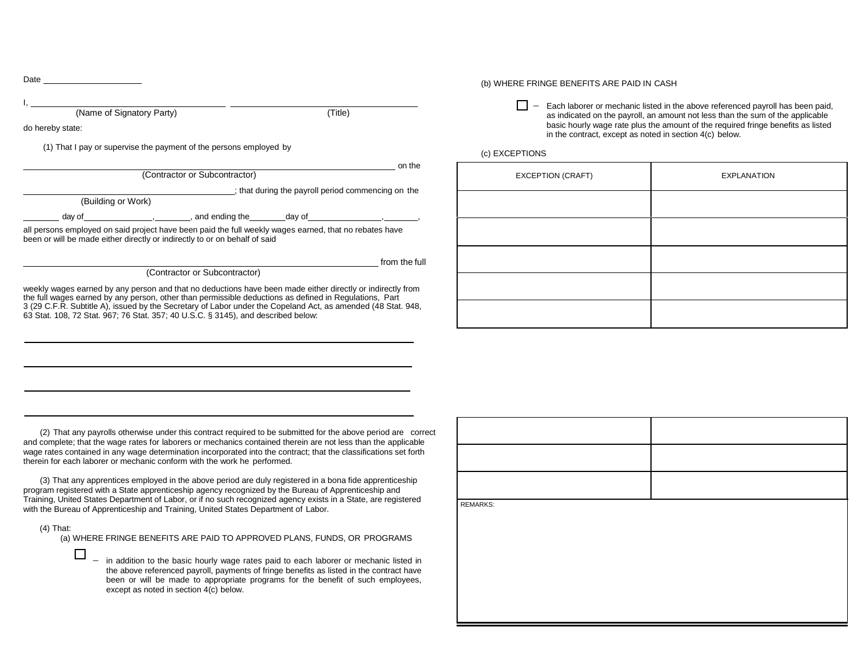#### Date I, (Name of Signatory Party) (Title) do hereby state: (1) That I pay or supervise the payment of the persons employed by on the (Contractor or Subcontractor) : that during the payroll period commencing on the (Building or Work) day of , , , and ending the day of all persons employed on said project have been paid the full weekly wages earned, that no rebates have been or will be made either directly or indirectly to or on behalf of said from the full (Contractor or Subcontractor) weekly wages earned by any person and that no deductions have been made either directly or indirectly from the full wages earned by any person, other than permissible deductions as defined in Regulations, Part

3 (29 C.F.R. Subtitle A), issued by the Secretary of Labor under the Copeland Act, as amended (48 Stat. 948,

63 Stat. 108, 72 Stat. 967; 76 Stat. 357; 40 U.S.C. § 3145), and described below:

(b) WHERE FRINGE BENEFITS ARE PAID IN CASH

 $\Box$ − Each laborer or mechanic listed in the above referenced payroll has been paid, as indicated on the payroll, an amount not less than the sum of the applicable basic hourly wage rate plus the amount of the required fringe benefits as listed in the contract, except as noted in section 4(c) below.

#### (c) EXCEPTIONS

| EXCEPTION (CRAFT) | <b>EXPLANATION</b> |
|-------------------|--------------------|
|                   |                    |
|                   |                    |
|                   |                    |
|                   |                    |
|                   |                    |

(2) That any payrolls otherwise under this contract required to be submitted for the above period are correct and complete; that the wage rates for laborers or mechanics contained therein are not less than the applicable wage rates contained in any wage determination incorporated into the contract; that the classifications set forth therein for each laborer or mechanic conform with the work he performed.

(3) That any apprentices employed in the above period are duly registered in a bona fide apprenticeship program registered with a State apprenticeship agency recognized by the Bureau of Apprenticeship and Training, United States Department of Labor, or if no such recognized agency exists in a State, are registered with the Bureau of Apprenticeship and Training, United States Department of Labor.

(4) That:

(a) WHERE FRINGE BENEFITS ARE PAID TO APPROVED PLANS, FUNDS, OR PROGRAMS

 $\Box$ − in addition to the basic hourly wage rates paid to each laborer or mechanic listed in the above referenced payroll, payments of fringe benefits as listed in the contract have been or will be made to appropriate programs for the benefit of such employees, except as noted in section 4(c) below.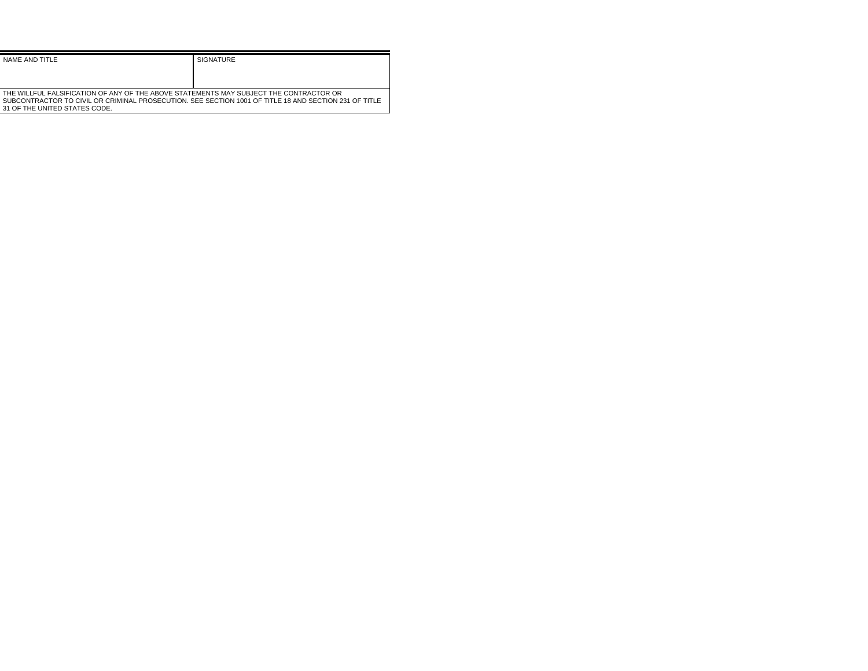| NAME AND TITLE                                                                                        | SIGNATURE |
|-------------------------------------------------------------------------------------------------------|-----------|
|                                                                                                       |           |
|                                                                                                       |           |
| THE WILLFUL FALSIFICATION OF ANY OF THE ABOVE STATEMENTS MAY SUBJECT THE CONTRACTOR OR                |           |
| SUBCONTRACTOR TO CIVIL OR CRIMINAL PROSECUTION. SEE SECTION 1001 OF TITLE 18 AND SECTION 231 OF TITLE |           |
| 31 OF THE UNITED STATES CODE.                                                                         |           |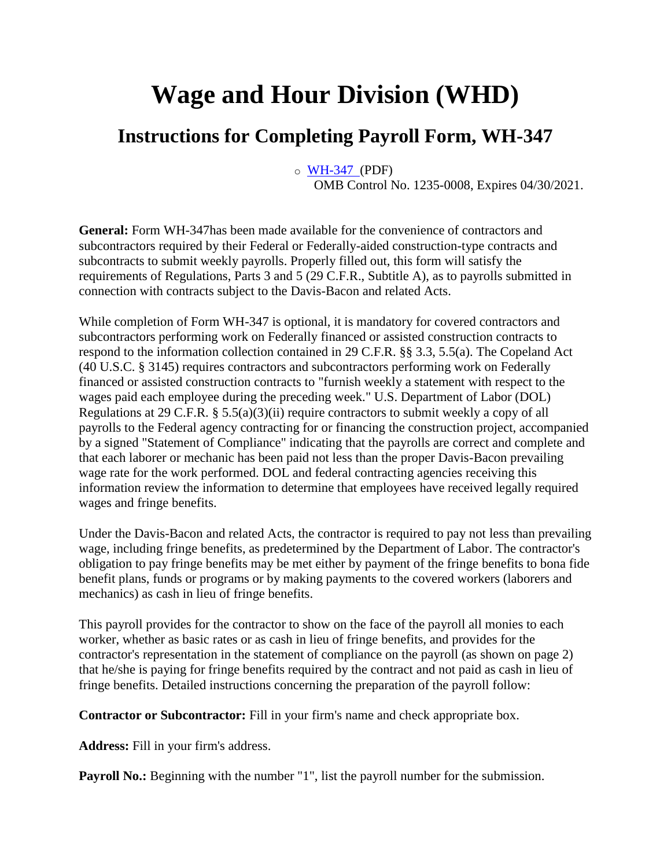## **Wage and Hour Division (WHD)**

### **Instructions for Completing Payroll Form, WH-347**

o [WH-347 \(](https://www.dol.gov/whd/forms/wh347.pdf)PDF) OMB Control No. 1235-0008, Expires 04/30/2021.

**General:** Form WH-347has been made available for the convenience of contractors and subcontractors required by their Federal or Federally-aided construction-type contracts and subcontracts to submit weekly payrolls. Properly filled out, this form will satisfy the requirements of Regulations, Parts 3 and 5 (29 C.F.R., Subtitle A), as to payrolls submitted in connection with contracts subject to the Davis-Bacon and related Acts.

While completion of Form WH-347 is optional, it is mandatory for covered contractors and subcontractors performing work on Federally financed or assisted construction contracts to respond to the information collection contained in 29 C.F.R. §§ 3.3, 5.5(a). The Copeland Act (40 U.S.C. § 3145) requires contractors and subcontractors performing work on Federally financed or assisted construction contracts to "furnish weekly a statement with respect to the wages paid each employee during the preceding week." U.S. Department of Labor (DOL) Regulations at 29 C.F.R.  $\S$  5.5(a)(3)(ii) require contractors to submit weekly a copy of all payrolls to the Federal agency contracting for or financing the construction project, accompanied by a signed "Statement of Compliance" indicating that the payrolls are correct and complete and that each laborer or mechanic has been paid not less than the proper Davis-Bacon prevailing wage rate for the work performed. DOL and federal contracting agencies receiving this information review the information to determine that employees have received legally required wages and fringe benefits.

Under the Davis-Bacon and related Acts, the contractor is required to pay not less than prevailing wage, including fringe benefits, as predetermined by the Department of Labor. The contractor's obligation to pay fringe benefits may be met either by payment of the fringe benefits to bona fide benefit plans, funds or programs or by making payments to the covered workers (laborers and mechanics) as cash in lieu of fringe benefits.

This payroll provides for the contractor to show on the face of the payroll all monies to each worker, whether as basic rates or as cash in lieu of fringe benefits, and provides for the contractor's representation in the statement of compliance on the payroll (as shown on page 2) that he/she is paying for fringe benefits required by the contract and not paid as cash in lieu of fringe benefits. Detailed instructions concerning the preparation of the payroll follow:

**Contractor or Subcontractor:** Fill in your firm's name and check appropriate box.

**Address:** Fill in your firm's address.

**Payroll No.:** Beginning with the number "1", list the payroll number for the submission.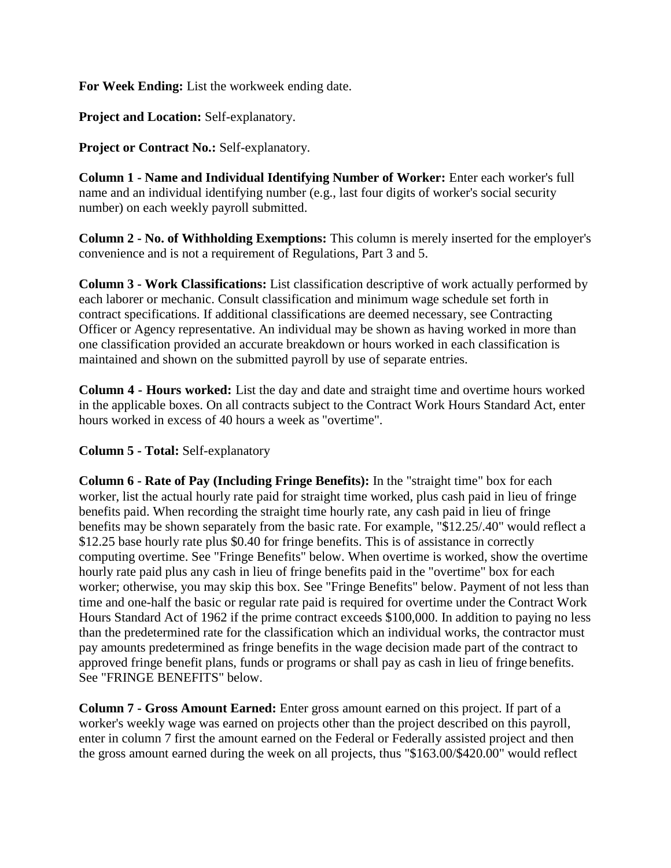**For Week Ending:** List the workweek ending date.

**Project and Location:** Self-explanatory.

**Project or Contract No.:** Self-explanatory.

**Column 1 - Name and Individual Identifying Number of Worker:** Enter each worker's full name and an individual identifying number (e.g., last four digits of worker's social security number) on each weekly payroll submitted.

**Column 2 - No. of Withholding Exemptions:** This column is merely inserted for the employer's convenience and is not a requirement of Regulations, Part 3 and 5.

**Column 3 - Work Classifications:** List classification descriptive of work actually performed by each laborer or mechanic. Consult classification and minimum wage schedule set forth in contract specifications. If additional classifications are deemed necessary, see Contracting Officer or Agency representative. An individual may be shown as having worked in more than one classification provided an accurate breakdown or hours worked in each classification is maintained and shown on the submitted payroll by use of separate entries.

**Column 4 - Hours worked:** List the day and date and straight time and overtime hours worked in the applicable boxes. On all contracts subject to the Contract Work Hours Standard Act, enter hours worked in excess of 40 hours a week as "overtime".

**Column 5 - Total:** Self-explanatory

**Column 6 - Rate of Pay (Including Fringe Benefits):** In the "straight time" box for each worker, list the actual hourly rate paid for straight time worked, plus cash paid in lieu of fringe benefits paid. When recording the straight time hourly rate, any cash paid in lieu of fringe benefits may be shown separately from the basic rate. For example, "\$12.25/.40" would reflect a \$12.25 base hourly rate plus \$0.40 for fringe benefits. This is of assistance in correctly computing overtime. See "Fringe Benefits" below. When overtime is worked, show the overtime hourly rate paid plus any cash in lieu of fringe benefits paid in the "overtime" box for each worker; otherwise, you may skip this box. See "Fringe Benefits" below. Payment of not less than time and one-half the basic or regular rate paid is required for overtime under the Contract Work Hours Standard Act of 1962 if the prime contract exceeds \$100,000. In addition to paying no less than the predetermined rate for the classification which an individual works, the contractor must pay amounts predetermined as fringe benefits in the wage decision made part of the contract to approved fringe benefit plans, funds or programs or shall pay as cash in lieu of fringe benefits. See "FRINGE BENEFITS" below.

**Column 7 - Gross Amount Earned:** Enter gross amount earned on this project. If part of a worker's weekly wage was earned on projects other than the project described on this payroll, enter in column 7 first the amount earned on the Federal or Federally assisted project and then the gross amount earned during the week on all projects, thus "\$163.00/\$420.00" would reflect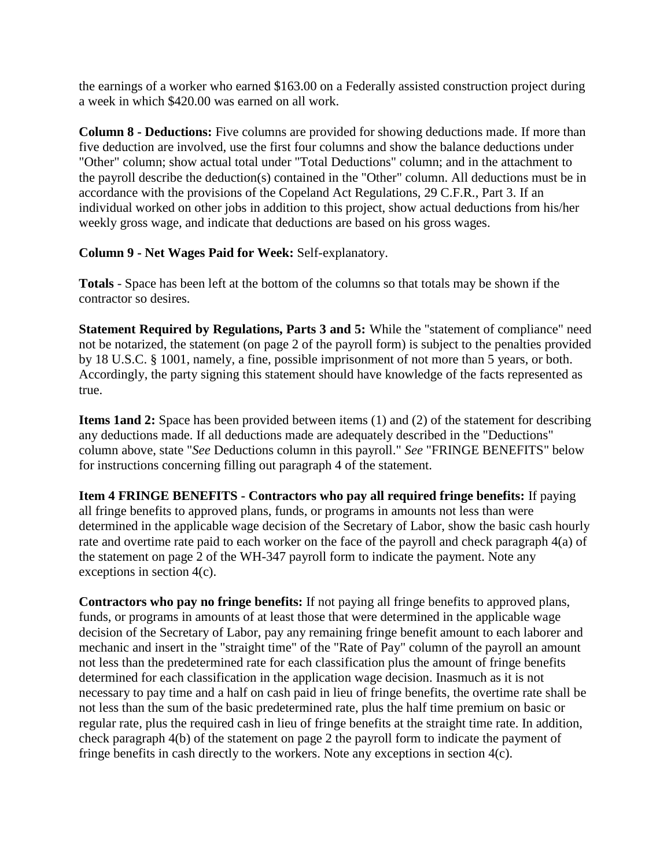the earnings of a worker who earned \$163.00 on a Federally assisted construction project during a week in which \$420.00 was earned on all work.

**Column 8 - Deductions:** Five columns are provided for showing deductions made. If more than five deduction are involved, use the first four columns and show the balance deductions under "Other" column; show actual total under "Total Deductions" column; and in the attachment to the payroll describe the deduction(s) contained in the "Other" column. All deductions must be in accordance with the provisions of the Copeland Act Regulations, 29 C.F.R., Part 3. If an individual worked on other jobs in addition to this project, show actual deductions from his/her weekly gross wage, and indicate that deductions are based on his gross wages.

#### **Column 9 - Net Wages Paid for Week:** Self-explanatory.

**Totals** - Space has been left at the bottom of the columns so that totals may be shown if the contractor so desires.

**Statement Required by Regulations, Parts 3 and 5:** While the "statement of compliance" need not be notarized, the statement (on page 2 of the payroll form) is subject to the penalties provided by 18 U.S.C. § 1001, namely, a fine, possible imprisonment of not more than 5 years, or both. Accordingly, the party signing this statement should have knowledge of the facts represented as true.

**Items 1and 2:** Space has been provided between items (1) and (2) of the statement for describing any deductions made. If all deductions made are adequately described in the "Deductions" column above, state "*See* Deductions column in this payroll." *See* "FRINGE BENEFITS" below for instructions concerning filling out paragraph 4 of the statement.

**Item 4 FRINGE BENEFITS - Contractors who pay all required fringe benefits:** If paying all fringe benefits to approved plans, funds, or programs in amounts not less than were determined in the applicable wage decision of the Secretary of Labor, show the basic cash hourly rate and overtime rate paid to each worker on the face of the payroll and check paragraph 4(a) of the statement on page 2 of the WH-347 payroll form to indicate the payment. Note any exceptions in section 4(c).

**Contractors who pay no fringe benefits:** If not paying all fringe benefits to approved plans, funds, or programs in amounts of at least those that were determined in the applicable wage decision of the Secretary of Labor, pay any remaining fringe benefit amount to each laborer and mechanic and insert in the "straight time" of the "Rate of Pay" column of the payroll an amount not less than the predetermined rate for each classification plus the amount of fringe benefits determined for each classification in the application wage decision. Inasmuch as it is not necessary to pay time and a half on cash paid in lieu of fringe benefits, the overtime rate shall be not less than the sum of the basic predetermined rate, plus the half time premium on basic or regular rate, plus the required cash in lieu of fringe benefits at the straight time rate. In addition, check paragraph 4(b) of the statement on page 2 the payroll form to indicate the payment of fringe benefits in cash directly to the workers. Note any exceptions in section 4(c).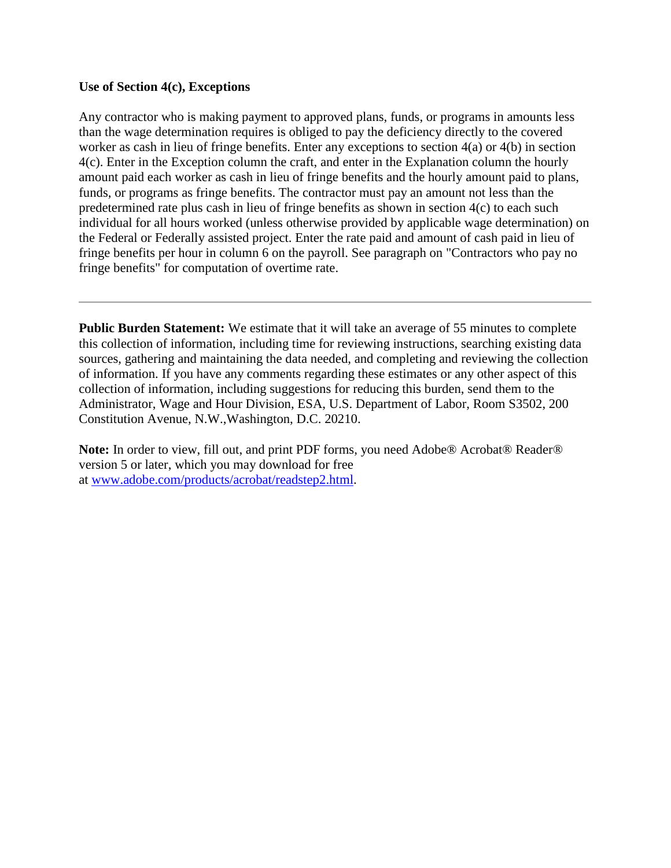#### **Use of Section 4(c), Exceptions**

Any contractor who is making payment to approved plans, funds, or programs in amounts less than the wage determination requires is obliged to pay the deficiency directly to the covered worker as cash in lieu of fringe benefits. Enter any exceptions to section 4(a) or 4(b) in section 4(c). Enter in the Exception column the craft, and enter in the Explanation column the hourly amount paid each worker as cash in lieu of fringe benefits and the hourly amount paid to plans, funds, or programs as fringe benefits. The contractor must pay an amount not less than the predetermined rate plus cash in lieu of fringe benefits as shown in section 4(c) to each such individual for all hours worked (unless otherwise provided by applicable wage determination) on the Federal or Federally assisted project. Enter the rate paid and amount of cash paid in lieu of fringe benefits per hour in column 6 on the payroll. See paragraph on "Contractors who pay no fringe benefits" for computation of overtime rate.

**Public Burden Statement:** We estimate that it will take an average of 55 minutes to complete this collection of information, including time for reviewing instructions, searching existing data sources, gathering and maintaining the data needed, and completing and reviewing the collection of information. If you have any comments regarding these estimates or any other aspect of this collection of information, including suggestions for reducing this burden, send them to the Administrator, Wage and Hour Division, ESA, U.S. Department of Labor, Room S3502, 200 Constitution Avenue, N.W.,Washington, D.C. 20210.

**Note:** In order to view, fill out, and print PDF forms, you need Adobe® Acrobat® Reader® version 5 or later, which you may download for free at [www.adobe.com/products/acrobat/readstep2.html.](http://www.adobe.com/products/acrobat/readstep2.html)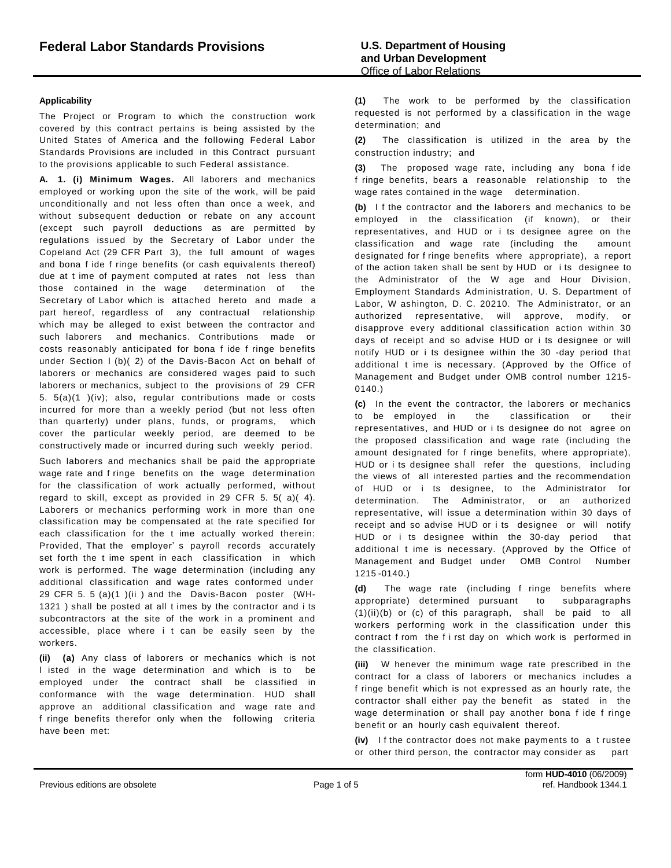#### **Applicability**

The Project or Program to which the construction work covered by this contract pertains is being assisted by the United States of America and the following Federal Labor Standards Provisions are included in this Contract pursuant to the provisions applicable to such Federal assistance.

**A. 1. (i) Minimum Wages.** All laborers and mechanics employed or working upon the site of the work, will be paid unconditionally and not less often than once a week, and without subsequent deduction or rebate on any account (except such payroll deductions as are permitted by regulations issued by the Secretary of Labor under the Copeland Act (29 CFR Part 3), the full amount of wages and bona f ide f ringe benefits (or cash equivalents thereof) due at t ime of payment computed at rates not less than those contained in the wage determination of the Secretary of Labor which is attached hereto and made a part hereof, regardless of any contractual relationship which may be alleged to exist between the contractor and such laborers and mechanics. Contributions made or costs reasonably anticipated for bona f ide f ringe benefits under Section l (b)( 2) of the Davis-Bacon Act on behalf of laborers or mechanics are considered wages paid to such laborers or mechanics, subject to the provisions of 29 CFR 5. 5(a)(1 )(iv); also, regular contributions made or costs incurred for more than a weekly period (but not less often than quarterly) under plans, funds, or programs, which cover the particular weekly period, are deemed to be constructively made or incurred during such weekly period.

Such laborers and mechanics shall be paid the appropriate wage rate and f ringe benefits on the wage determination for the classification of work actually performed, without regard to skill, except as provided in 29 CFR 5. 5( a)( 4). Laborers or mechanics performing work in more than one classification may be compensated at the rate specified for each classification for the t ime actually worked therein: Provided, That the employer' s payroll records accurately set forth the t ime spent in each classification in which work is performed. The wage determination (including any additional classification and wage rates conformed under 29 CFR 5. 5 (a)(1 )(ii ) and the Davis-Bacon poster (WH-1321 ) shall be posted at all t imes by the contractor and i ts subcontractors at the site of the work in a prominent and accessible, place where i t can be easily seen by the workers.

**(ii) (a)** Any class of laborers or mechanics which is not l isted in the wage determination and which is to be employed under the contract shall be classified in conformance with the wage determination. HUD shall approve an additional classification and wage rate and f ringe benefits therefor only when the following criteria have been met:

**(1)** The work to be performed by the classification requested is not performed by a classification in the wage determination; and

**(2)** The classification is utilized in the area by the construction industry; and

**(3)** The proposed wage rate, including any bona f ide f ringe benefits, bears a reasonable relationship to the wage rates contained in the wage determination.

**(b)** I f the contractor and the laborers and mechanics to be employed in the classification (if known), or their representatives, and HUD or i ts designee agree on the classification and wage rate (including the amount designated for f ringe benefits where appropriate), a report of the action taken shall be sent by HUD or i ts designee to the Administrator of the W age and Hour Division, Employment Standards Administration, U. S. Department of Labor, W ashington, D. C. 20210. The Administrator, or an authorized representative, will approve, modify, or disapprove every additional classification action within 30 days of receipt and so advise HUD or i ts designee or will notify HUD or i ts designee within the 30 -day period that additional t ime is necessary. (Approved by the Office of Management and Budget under OMB control number 1215- 0140.)

**(c)** In the event the contractor, the laborers or mechanics to be employed in the classification or their representatives, and HUD or i ts designee do not agree on the proposed classification and wage rate (including the amount designated for f ringe benefits, where appropriate), HUD or i ts designee shall refer the questions, including the views of all interested parties and the recommendation of HUD or i ts designee, to the Administrator for determination. The Administrator, or an authorized representative, will issue a determination within 30 days of receipt and so advise HUD or i ts designee or will notify HUD or i ts designee within the 30-day period that additional t ime is necessary. (Approved by the Office of Management and Budget under OMB Control Number 1215 -0140.)

**(d)** The wage rate (including f ringe benefits where appropriate) determined pursuant to subparagraphs (1)(ii)(b) or (c) of this paragraph, shall be paid to all workers performing work in the classification under this contract f rom the f i rst day on which work is performed in the classification.

**(iii)** W henever the minimum wage rate prescribed in the contract for a class of laborers or mechanics includes a f ringe benefit which is not expressed as an hourly rate, the contractor shall either pay the benefit as stated in the wage determination or shall pay another bona f ide f ringe benefit or an hourly cash equivalent thereof.

**(iv)** I f the contractor does not make payments to a t rustee or other third person, the contractor may consider as part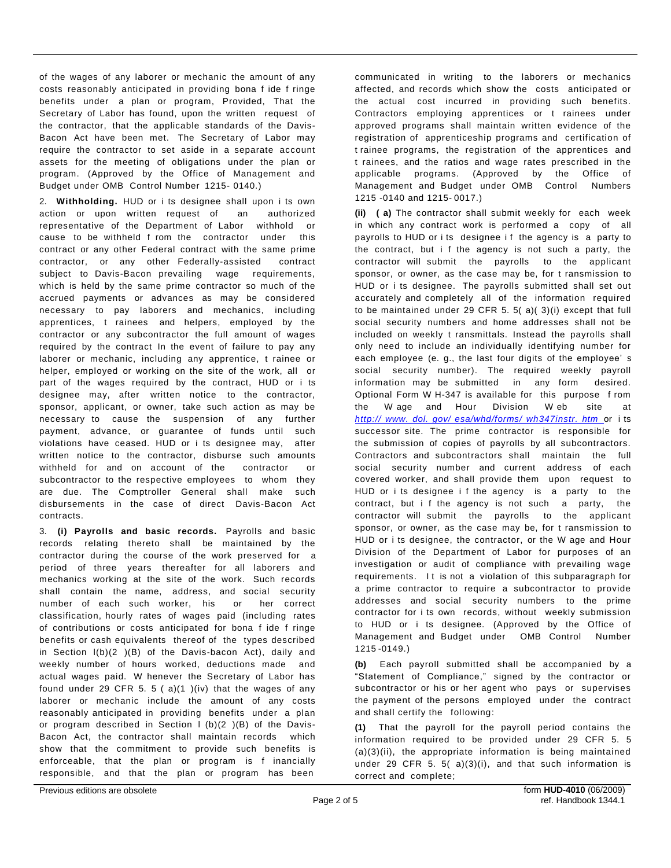of the wages of any laborer or mechanic the amount of any costs reasonably anticipated in providing bona f ide f ringe benefits under a plan or program, Provided, That the Secretary of Labor has found, upon the written request of the contractor, that the applicable standards of the Davis-Bacon Act have been met. The Secretary of Labor may require the contractor to set aside in a separate account assets for the meeting of obligations under the plan or program. (Approved by the Office of Management and Budget under OMB Control Number 1215- 0140.)

2. **Withholding.** HUD or i ts designee shall upon i ts own action or upon written request of an authorized representative of the Department of Labor withhold or cause to be withheld f rom the contractor under this contract or any other Federal contract with the same prime contractor, or any other Federally-assisted contract subject to Davis-Bacon prevailing wage requirements, which is held by the same prime contractor so much of the accrued payments or advances as may be considered necessary to pay laborers and mechanics, including apprentices, t rainees and helpers, employed by the contractor or any subcontractor the full amount of wages required by the contract In the event of failure to pay any laborer or mechanic, including any apprentice, t rainee or helper, employed or working on the site of the work, all or part of the wages required by the contract, HUD or i ts designee may, after written notice to the contractor, sponsor, applicant, or owner, take such action as may be necessary to cause the suspension of any further payment, advance, or guarantee of funds until such violations have ceased. HUD or i ts designee may, after written notice to the contractor, disburse such amounts withheld for and on account of the contractor or subcontractor to the respective employees to whom they are due. The Comptroller General shall make such disbursements in the case of direct Davis-Bacon Act contracts.

3. **(i) Payrolls and basic records.** Payrolls and basic records relating thereto shall be maintained by the contractor during the course of the work preserved for a period of three years thereafter for all laborers and mechanics working at the site of the work. Such records shall contain the name, address, and social security number of each such worker, his or her correct classification, hourly rates of wages paid (including rates of contributions or costs anticipated for bona f ide f ringe benefits or cash equivalents thereof of the types described in Section l(b)(2 )(B) of the Davis-bacon Act), daily and weekly number of hours worked, deductions made and actual wages paid. W henever the Secretary of Labor has found under 29 CFR 5. 5 ( $a$ )(1)(iv) that the wages of any laborer or mechanic include the amount of any costs reasonably anticipated in providing benefits under a plan or program described in Section I (b) $(2)$  (B) of the Davis-Bacon Act, the contractor shall maintain records which show that the commitment to provide such benefits is enforceable, that the plan or program is f inancially responsible, and that the plan or program has been

communicated in writing to the laborers or mechanics affected, and records which show the costs anticipated or the actual cost incurred in providing such benefits. Contractors employing apprentices or t rainees under approved programs shall maintain written evidence of the registration of apprenticeship programs and certification of t rainee programs, the registration of the apprentices and t rainees, and the ratios and wage rates prescribed in the applicable programs. (Approved by the Office of Management and Budget under OMB Control Numbers 1215 -0140 and 1215- 0017.)

**(ii) ( a)** The contractor shall submit weekly for each week in which any contract work is performed a copy of all payrolls to HUD or i ts designee if the agency is a party to the contract, but i f the agency is not such a party, the contractor will submit the payrolls to the applicant sponsor, or owner, as the case may be, for t ransmission to HUD or i ts designee. The payrolls submitted shall set out accurately and completely all of the information required to be maintained under 29 CFR 5. 5( a)( 3)(i) except that full social security numbers and home addresses shall not be included on weekly t ransmittals. Instead the payrolls shall only need to include an individually identifying number for each employee (e. g., the last four digits of the employee' s social security number). The required weekly payroll information may be submitted in any form desired. Optional Form W H-347 is available for this purpose f rom the W age and Hour Division W eb site at *http:// www. dol. gov/ [esa/whd/forms/](http://www.dol.gov/esa/whd/forms/wh347instr.htm) wh347instr. htm* or i ts successor site. The prime contractor is responsible for the submission of copies of payrolls by all subcontractors. Contractors and subcontractors shall maintain the full social security number and current address of each covered worker, and shall provide them upon request to HUD or i ts designee i f the agency is a party to the contract, but i f the agency is not such a party, the contractor will submit the payrolls to the applicant sponsor, or owner, as the case may be, for t ransmission to HUD or i ts designee, the contractor, or the W age and Hour Division of the Department of Labor for purposes of an investigation or audit of compliance with prevailing wage requirements. I t is not a violation of this subparagraph for a prime contractor to require a subcontractor to provide addresses and social security numbers to the prime contractor for i ts own records, without weekly submission to HUD or i ts designee. (Approved by the Office of Management and Budget under OMB Control Number 1215 -0149.)

**(b)** Each payroll submitted shall be accompanied by a "Statement of Compliance," signed by the contractor or subcontractor or his or her agent who pays or supervises the payment of the persons employed under the contract and shall certify the following:

**(1)** That the payroll for the payroll period contains the information required to be provided under 29 CFR 5. 5  $(a)(3)(ii)$ , the appropriate information is being maintained under 29 CFR 5. 5( $a)(3)(i)$ , and that such information is correct and complete;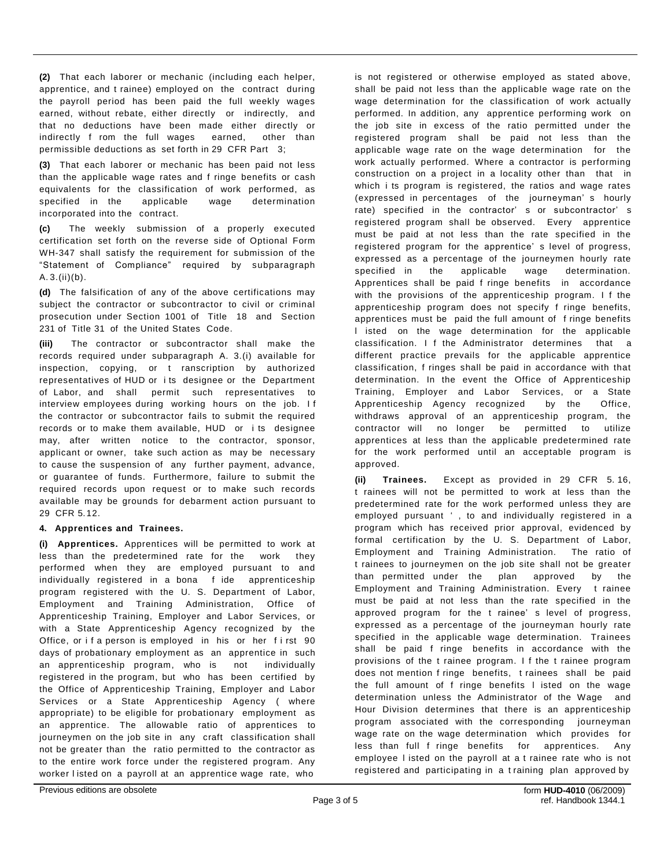**(2)** That each laborer or mechanic (including each helper, apprentice, and t rainee) employed on the contract during the payroll period has been paid the full weekly wages earned, without rebate, either directly or indirectly, and that no deductions have been made either directly or indirectly f rom the full wages earned, other than permissible deductions as set forth in 29 CFR Part 3;

**(3)** That each laborer or mechanic has been paid not less than the applicable wage rates and f ringe benefits or cash equivalents for the classification of work performed, as specified in the applicable wage determination incorporated into the contract.

**(c)** The weekly submission of a properly executed certification set forth on the reverse side of Optional Form WH-347 shall satisfy the requirement for submission of the "Statement of Compliance" required by subparagraph A. 3.(ii)(b).

**(d)** The falsification of any of the above certifications may subject the contractor or subcontractor to civil or criminal prosecution under Section 1001 of Title 18 and Section 231 of Title 31 of the United States Code.

**(iii)** The contractor or subcontractor shall make the records required under subparagraph A. 3.(i) available for inspection, copying, or t ranscription by authorized representatives of HUD or i ts designee or the Department of Labor, and shall permit such representatives to interview employees during working hours on the job. I f the contractor or subcontractor fails to submit the required records or to make them available, HUD or i ts designee may, after written notice to the contractor, sponsor, applicant or owner, take such action as may be necessary to cause the suspension of any further payment, advance, or guarantee of funds. Furthermore, failure to submit the required records upon request or to make such records available may be grounds for debarment action pursuant to 29 CFR 5.12.

#### **4. Apprentices and Trainees.**

**(i) Apprentices.** Apprentices will be permitted to work at less than the predetermined rate for the work they performed when they are employed pursuant to and individually registered in a bona f ide apprenticeship program registered with the U. S. Department of Labor, Employment and Training Administration, Office of Apprenticeship Training, Employer and Labor Services, or with a State Apprenticeship Agency recognized by the Office, or if a person is employed in his or her first 90 days of probationary employment as an apprentice in such an apprenticeship program, who is not individually registered in the program, but who has been certified by the Office of Apprenticeship Training, Employer and Labor Services or a State Apprenticeship Agency ( where appropriate) to be eligible for probationary employment as an apprentice. The allowable ratio of apprentices to journeymen on the job site in any craft classification shall not be greater than the ratio permitted to the contractor as to the entire work force under the registered program. Any worker l isted on a payroll at an apprentice wage rate, who

is not registered or otherwise employed as stated above, shall be paid not less than the applicable wage rate on the wage determination for the classification of work actually performed. In addition, any apprentice performing work on the job site in excess of the ratio permitted under the registered program shall be paid not less than the applicable wage rate on the wage determination for the work actually performed. Where a contractor is performing construction on a project in a locality other than that in which i ts program is registered, the ratios and wage rates (expressed in percentages of the journeyman' s hourly rate) specified in the contractor' s or subcontractor' s registered program shall be observed. Every apprentice must be paid at not less than the rate specified in the registered program for the apprentice' s level of progress, expressed as a percentage of the journeymen hourly rate specified in the applicable wage determination. Apprentices shall be paid f ringe benefits in accordance with the provisions of the apprenticeship program. I f the apprenticeship program does not specify f ringe benefits, apprentices must be paid the full amount of f ringe benefits l isted on the wage determination for the applicable classification. I f the Administrator determines that a different practice prevails for the applicable apprentice classification, f ringes shall be paid in accordance with that determination. In the event the Office of Apprenticeship Training, Employer and Labor Services, or a State Apprenticeship Agency recognized by the Office, withdraws approval of an apprenticeship program, the contractor will no longer be permitted to utilize apprentices at less than the applicable predetermined rate for the work performed until an acceptable program is approved.

**(ii) Trainees.** Except as provided in 29 CFR 5. 16, t rainees will not be permitted to work at less than the predetermined rate for the work performed unless they are employed pursuant ' , to and individually registered in a program which has received prior approval, evidenced by formal certification by the U. S. Department of Labor, Employment and Training Administration. The ratio of t rainees to journeymen on the job site shall not be greater than permitted under the plan approved by the Employment and Training Administration. Every t rainee must be paid at not less than the rate specified in the approved program for the t rainee' s level of progress, expressed as a percentage of the journeyman hourly rate specified in the applicable wage determination. Trainees shall be paid f ringe benefits in accordance with the provisions of the t rainee program. I f the t rainee program does not mention f ringe benefits, t rainees shall be paid the full amount of f ringe benefits l isted on the wage determination unless the Administrator of the Wage and Hour Division determines that there is an apprenticeship program associated with the corresponding journeyman wage rate on the wage determination which provides for less than full f ringe benefits for apprentices. Any employee l isted on the payroll at a t rainee rate who is not registered and participating in a t raining plan approved by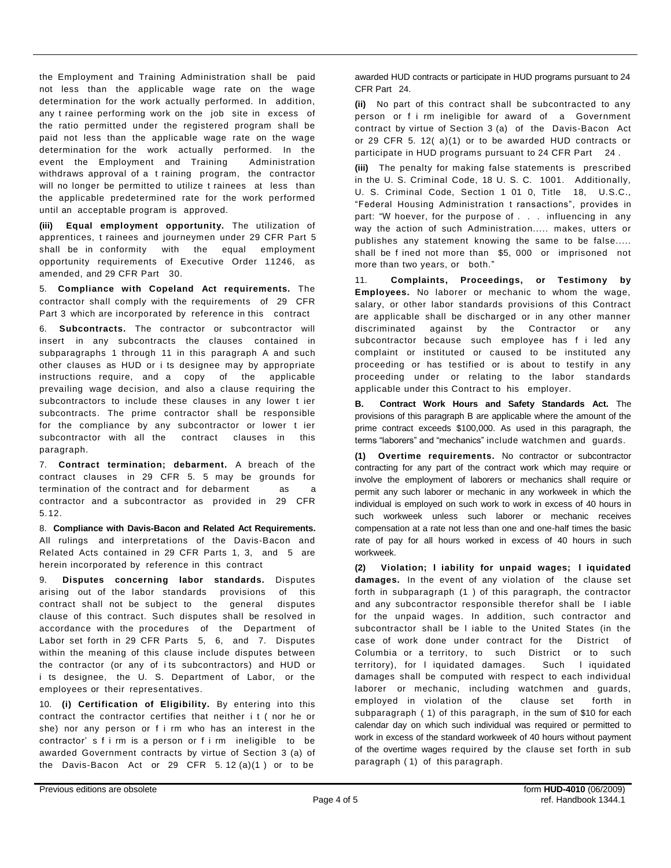the Employment and Training Administration shall be paid not less than the applicable wage rate on the wage determination for the work actually performed. In addition, any t rainee performing work on the job site in excess of the ratio permitted under the registered program shall be paid not less than the applicable wage rate on the wage determination for the work actually performed. In the event the Employment and Training Administration withdraws approval of a t raining program, the contractor will no longer be permitted to utilize t rainees at less than the applicable predetermined rate for the work performed until an acceptable program is approved.

**(iii) Equal employment opportunity.** The utilization of apprentices, t rainees and journeymen under 29 CFR Part 5 shall be in conformity with the equal employment opportunity requirements of Executive Order 11246, as amended, and 29 CFR Part 30.

5. **Compliance with Copeland Act requirements.** The contractor shall comply with the requirements of 29 CFR Part 3 which are incorporated by reference in this contract

6. **Subcontracts.** The contractor or subcontractor will insert in any subcontracts the clauses contained in subparagraphs 1 through 11 in this paragraph A and such other clauses as HUD or i ts designee may by appropriate instructions require, and a copy of the applicable prevailing wage decision, and also a clause requiring the subcontractors to include these clauses in any lower t ier subcontracts. The prime contractor shall be responsible for the compliance by any subcontractor or lower t ier subcontractor with all the contract clauses in this paragraph.

7. **Contract termination; debarment.** A breach of the contract clauses in 29 CFR 5. 5 may be grounds for termination of the contract and for debarment as a contractor and a subcontractor as provided in 29 CFR 5. 12.

8. **Compliance with Davis-Bacon and Related Act Requirements.**  All rulings and interpretations of the Davis-Bacon and Related Acts contained in 29 CFR Parts 1, 3, and 5 are herein incorporated by reference in this contract

9. **Disputes concerning labor standards.** Disputes arising out of the labor standards provisions of this contract shall not be subject to the general disputes clause of this contract. Such disputes shall be resolved in accordance with the procedures of the Department of Labor set forth in 29 CFR Parts 5, 6, and 7. Disputes within the meaning of this clause include disputes between the contractor (or any of i ts subcontractors) and HUD or i ts designee, the U. S. Department of Labor, or the employees or their representatives.

10. **(i) Certification of Eligibility.** By entering into this contract the contractor certifies that neither i t ( nor he or she) nor any person or f i rm who has an interest in the contractor' s f i rm is a person or f i rm ineligible to be awarded Government contracts by virtue of Section 3 (a) of the Davis-Bacon Act or 29 CFR 5. 12 (a)(1 ) or to be

awarded HUD contracts or participate in HUD programs pursuant to 24 CFR Part 24.

**(ii)** No part of this contract shall be subcontracted to any person or f i rm ineligible for award of a Government contract by virtue of Section 3 (a) of the Davis-Bacon Act or 29 CFR 5. 12( a)(1) or to be awarded HUD contracts or participate in HUD programs pursuant to 24 CFR Part 24.

**(iii)** The penalty for making false statements is prescribed in the U. S. Criminal Code, 18 U. S. C. 1001. Additionally, U. S. Criminal Code, Section 1 01 0, Title 18, U.S.C., "Federal Housing Administration t ransactions", provides in part: "W hoever, for the purpose of . . . influencing in any way the action of such Administration..... makes, utters or publishes any statement knowing the same to be false..... shall be f ined not more than \$5, 000 or imprisoned not more than two years, or both."

11. **Complaints, Proceedings, or Testimony by Employees.** No laborer or mechanic to whom the wage, salary, or other labor standards provisions of this Contract are applicable shall be discharged or in any other manner discriminated against by the Contractor or any subcontractor because such employee has f i led any complaint or instituted or caused to be instituted any proceeding or has testified or is about to testify in any proceeding under or relating to the labor standards applicable under this Contract to his employer.

**B. Contract Work Hours and Safety Standards Act.** The provisions of this paragraph B are applicable where the amount of the prime contract exceeds \$100,000. As used in this paragraph, the terms "laborers" and "mechanics" include watchmen and guards.

**(1) Overtime requirements.** No contractor or subcontractor contracting for any part of the contract work which may require or involve the employment of laborers or mechanics shall require or permit any such laborer or mechanic in any workweek in which the individual is employed on such work to work in excess of 40 hours in such workweek unless such laborer or mechanic receives compensation at a rate not less than one and one-half times the basic rate of pay for all hours worked in excess of 40 hours in such workweek.

**(2) Violation; l iability for unpaid wages; l iquidated damages.** In the event of any violation of the clause set forth in subparagraph (1 ) of this paragraph, the contractor and any subcontractor responsible therefor shall be l iable for the unpaid wages. In addition, such contractor and subcontractor shall be l iable to the United States (in the case of work done under contract for the District of Columbia or a territory, to such District or to such territory), for l iquidated damages. Such l iquidated damages shall be computed with respect to each individual laborer or mechanic, including watchmen and guards, employed in violation of the clause set forth in subparagraph ( 1) of this paragraph, in the sum of \$10 for each calendar day on which such individual was required or permitted to work in excess of the standard workweek of 40 hours without payment of the overtime wages required by the clause set forth in sub paragraph ( 1) of this paragraph.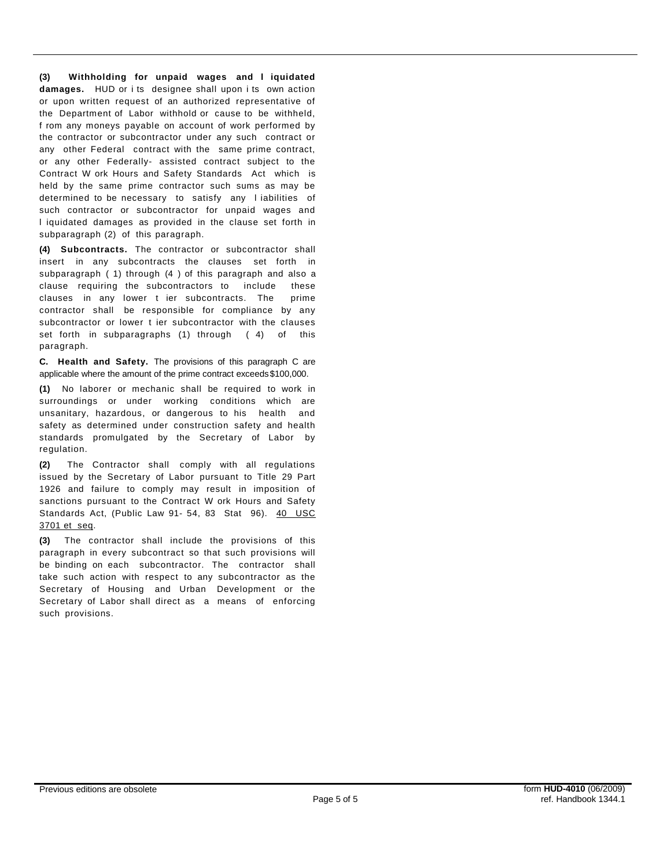**(3) Withholding for unpaid wages and l iquidated damages.** HUD or i ts designee shall upon i ts own action or upon written request of an authorized representative of the Department of Labor withhold or cause to be withheld, f rom any moneys payable on account of work performed by the contractor or subcontractor under any such contract or any other Federal contract with the same prime contract, or any other Federally- assisted contract subject to the Contract W ork Hours and Safety Standards Act which is held by the same prime contractor such sums as may be determined to be necessary to satisfy any l iabilities of such contractor or subcontractor for unpaid wages and l iquidated damages as provided in the clause set forth in subparagraph (2) of this paragraph.

**(4) Subcontracts.** The contractor or subcontractor shall insert in any subcontracts the clauses set forth in subparagraph ( 1) through (4 ) of this paragraph and also a clause requiring the subcontractors to include these clauses in any lower t ier subcontracts. The prime contractor shall be responsible for compliance by any subcontractor or lower t ier subcontractor with the clauses set forth in subparagraphs (1) through ( 4) of this paragraph.

**C. Health and Safety.** The provisions of this paragraph C are applicable where the amount of the prime contract exceeds\$100,000.

**(1)** No laborer or mechanic shall be required to work in surroundings or under working conditions which are unsanitary, hazardous, or dangerous to his health and safety as determined under construction safety and health standards promulgated by the Secretary of Labor by regulation.

**(2)** The Contractor shall comply with all regulations issued by the Secretary of Labor pursuant to Title 29 Part 1926 and failure to comply may result in imposition of sanctions pursuant to the Contract W ork Hours and Safety Standards Act, (Public Law 91- 54, 83 Stat 96). 40 USC 3701 et seq.

**(3)** The contractor shall include the provisions of this paragraph in every subcontract so that such provisions will be binding on each subcontractor. The contractor shall take such action with respect to any subcontractor as the Secretary of Housing and Urban Development or the Secretary of Labor shall direct as a means of enforcing such provisions.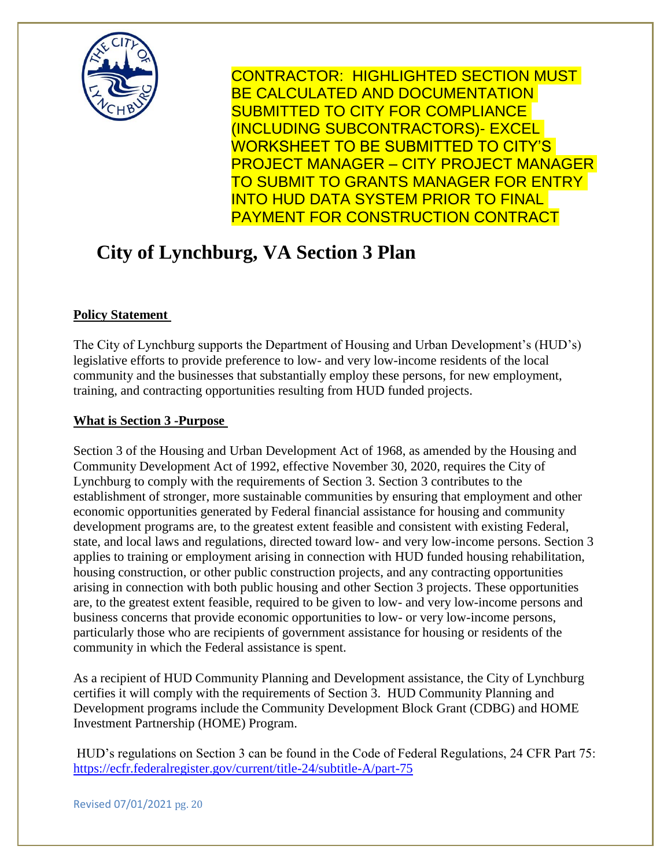

CONTRACTOR: HIGHLIGHTED SECTION MUST BE CALCULATED AND DOCUMENTATION SUBMITTED TO CITY FOR COMPLIANCE (INCLUDING SUBCONTRACTORS)- EXCEL WORKSHEET TO BE SUBMITTED TO CITY'S PROJECT MANAGER – CITY PROJECT MANAGER TO SUBMIT TO GRANTS MANAGER FOR ENTRY INTO HUD DATA SYSTEM PRIOR TO FINAL PAYMENT FOR CONSTRUCTION CONTRACT

## **City of Lynchburg, VA Section 3 Plan**

### **Policy Statement**

The City of Lynchburg supports the Department of Housing and Urban Development's (HUD's) legislative efforts to provide preference to low- and very low-income residents of the local community and the businesses that substantially employ these persons, for new employment, training, and contracting opportunities resulting from HUD funded projects.

#### **What is Section 3 -Purpose**

Section 3 of the Housing and Urban Development Act of 1968, as amended by the Housing and Community Development Act of 1992, effective November 30, 2020, requires the City of Lynchburg to comply with the requirements of Section 3. Section 3 contributes to the establishment of stronger, more sustainable communities by ensuring that employment and other economic opportunities generated by Federal financial assistance for housing and community development programs are, to the greatest extent feasible and consistent with existing Federal, state, and local laws and regulations, directed toward low- and very low-income persons. Section 3 applies to training or employment arising in connection with HUD funded housing rehabilitation, housing construction, or other public construction projects, and any contracting opportunities arising in connection with both public housing and other Section 3 projects. These opportunities are, to the greatest extent feasible, required to be given to low- and very low-income persons and business concerns that provide economic opportunities to low- or very low-income persons, particularly those who are recipients of government assistance for housing or residents of the community in which the Federal assistance is spent.

As a recipient of HUD Community Planning and Development assistance, the City of Lynchburg certifies it will comply with the requirements of Section 3. HUD Community Planning and Development programs include the Community Development Block Grant (CDBG) and HOME Investment Partnership (HOME) Program.

HUD's regulations on Section 3 can be found in the Code of Federal Regulations, 24 CFR Part 75: <https://ecfr.federalregister.gov/current/title-24/subtitle-A/part-75>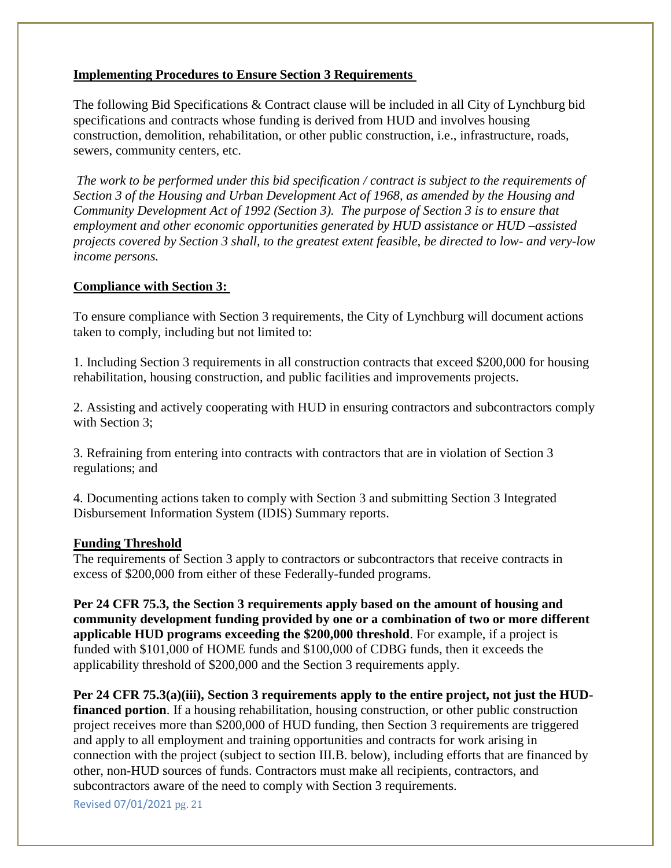#### **Implementing Procedures to Ensure Section 3 Requirements**

The following Bid Specifications & Contract clause will be included in all City of Lynchburg bid specifications and contracts whose funding is derived from HUD and involves housing construction, demolition, rehabilitation, or other public construction, i.e., infrastructure, roads, sewers, community centers, etc.

*The work to be performed under this bid specification / contract is subject to the requirements of Section 3 of the Housing and Urban Development Act of 1968, as amended by the Housing and Community Development Act of 1992 (Section 3). The purpose of Section 3 is to ensure that employment and other economic opportunities generated by HUD assistance or HUD –assisted projects covered by Section 3 shall, to the greatest extent feasible, be directed to low- and very-low income persons.* 

#### **Compliance with Section 3:**

To ensure compliance with Section 3 requirements, the City of Lynchburg will document actions taken to comply, including but not limited to:

1. Including Section 3 requirements in all construction contracts that exceed \$200,000 for housing rehabilitation, housing construction, and public facilities and improvements projects.

2. Assisting and actively cooperating with HUD in ensuring contractors and subcontractors comply with Section 3:

3. Refraining from entering into contracts with contractors that are in violation of Section 3 regulations; and

4. Documenting actions taken to comply with Section 3 and submitting Section 3 Integrated Disbursement Information System (IDIS) Summary reports.

#### **Funding Threshold**

The requirements of Section 3 apply to contractors or subcontractors that receive contracts in excess of \$200,000 from either of these Federally-funded programs.

**Per 24 CFR 75.3, the Section 3 requirements apply based on the amount of housing and community development funding provided by one or a combination of two or more different applicable HUD programs exceeding the \$200,000 threshold**. For example, if a project is funded with \$101,000 of HOME funds and \$100,000 of CDBG funds, then it exceeds the applicability threshold of \$200,000 and the Section 3 requirements apply.

**Per 24 CFR 75.3(a)(iii), Section 3 requirements apply to the entire project, not just the HUDfinanced portion**. If a housing rehabilitation, housing construction, or other public construction project receives more than \$200,000 of HUD funding, then Section 3 requirements are triggered and apply to all employment and training opportunities and contracts for work arising in connection with the project (subject to section III.B. below), including efforts that are financed by other, non-HUD sources of funds. Contractors must make all recipients, contractors, and subcontractors aware of the need to comply with Section 3 requirements.

Revised 07/01/2021 pg. 21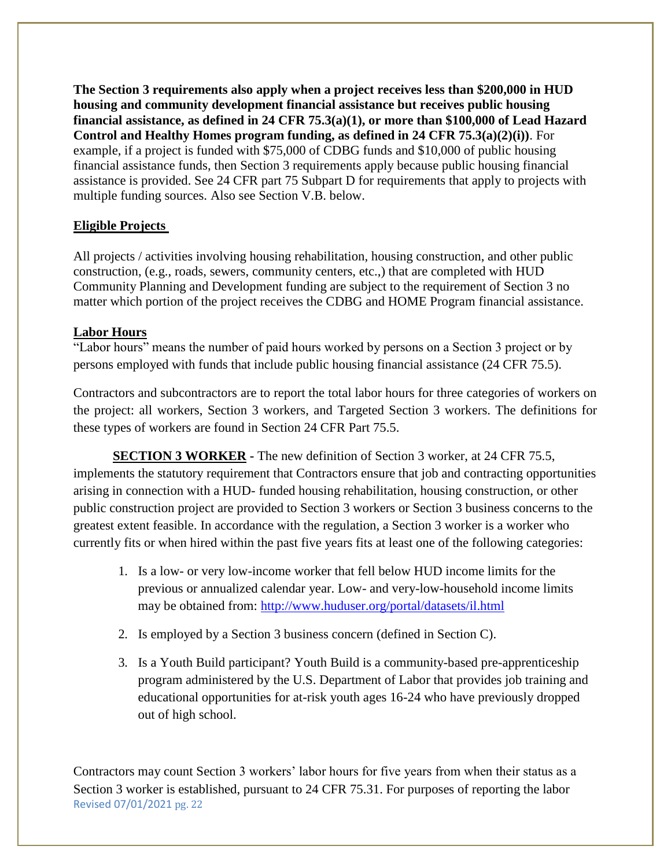**The Section 3 requirements also apply when a project receives less than \$200,000 in HUD housing and community development financial assistance but receives public housing financial assistance, as defined in 24 CFR 75.3(a)(1), or more than \$100,000 of Lead Hazard Control and Healthy Homes program funding, as defined in 24 CFR 75.3(a)(2)(i))**. For example, if a project is funded with \$75,000 of CDBG funds and \$10,000 of public housing financial assistance funds, then Section 3 requirements apply because public housing financial assistance is provided. See 24 CFR part 75 Subpart D for requirements that apply to projects with multiple funding sources. Also see Section V.B. below.

#### **Eligible Projects**

All projects / activities involving housing rehabilitation, housing construction, and other public construction, (e.g., roads, sewers, community centers, etc.,) that are completed with HUD Community Planning and Development funding are subject to the requirement of Section 3 no matter which portion of the project receives the CDBG and HOME Program financial assistance.

#### **Labor Hours**

"Labor hours" means the number of paid hours worked by persons on a Section 3 project or by persons employed with funds that include public housing financial assistance (24 CFR 75.5).

Contractors and subcontractors are to report the total labor hours for three categories of workers on the project: all workers, Section 3 workers, and Targeted Section 3 workers. The definitions for these types of workers are found in Section 24 CFR Part 75.5.

**SECTION 3 WORKER -** The new definition of Section 3 worker, at 24 CFR 75.5, implements the statutory requirement that Contractors ensure that job and contracting opportunities arising in connection with a HUD- funded housing rehabilitation, housing construction, or other public construction project are provided to Section 3 workers or Section 3 business concerns to the greatest extent feasible. In accordance with the regulation, a Section 3 worker is a worker who currently fits or when hired within the past five years fits at least one of the following categories:

- 1. Is a low- or very low-income worker that fell below HUD income limits for the previous or annualized calendar year. Low- and very-low-household income limits may be obtained from:<http://www.huduser.org/portal/datasets/il.html>
- 2. Is employed by a Section 3 business concern (defined in Section C).
- 3. Is a Youth Build participant? Youth Build is a community-based pre-apprenticeship program administered by the U.S. Department of Labor that provides job training and educational opportunities for at-risk youth ages 16-24 who have previously dropped out of high school.

Revised 07/01/2021 pg. 22 Contractors may count Section 3 workers' labor hours for five years from when their status as a Section 3 worker is established, pursuant to 24 CFR 75.31. For purposes of reporting the labor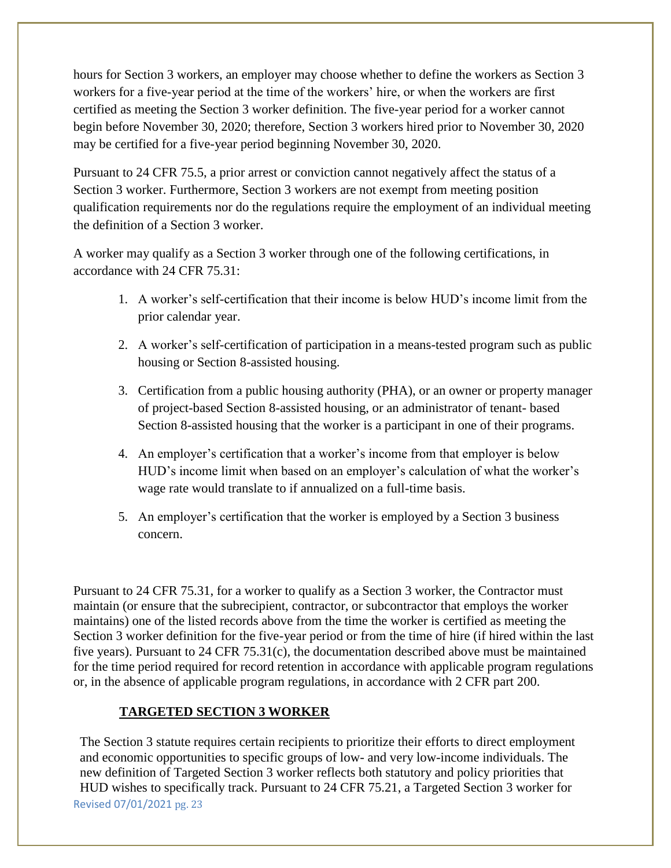hours for Section 3 workers, an employer may choose whether to define the workers as Section 3 workers for a five-year period at the time of the workers' hire, or when the workers are first certified as meeting the Section 3 worker definition. The five-year period for a worker cannot begin before November 30, 2020; therefore, Section 3 workers hired prior to November 30, 2020 may be certified for a five-year period beginning November 30, 2020.

Pursuant to 24 CFR 75.5, a prior arrest or conviction cannot negatively affect the status of a Section 3 worker. Furthermore, Section 3 workers are not exempt from meeting position qualification requirements nor do the regulations require the employment of an individual meeting the definition of a Section 3 worker.

A worker may qualify as a Section 3 worker through one of the following certifications, in accordance with 24 CFR 75.31:

- 1. A worker's self-certification that their income is below HUD's income limit from the prior calendar year.
- 2. A worker's self-certification of participation in a means-tested program such as public housing or Section 8-assisted housing.
- 3. Certification from a public housing authority (PHA), or an owner or property manager of project-based Section 8-assisted housing, or an administrator of tenant- based Section 8-assisted housing that the worker is a participant in one of their programs.
- 4. An employer's certification that a worker's income from that employer is below HUD's income limit when based on an employer's calculation of what the worker's wage rate would translate to if annualized on a full-time basis.
- 5. An employer's certification that the worker is employed by a Section 3 business concern.

Pursuant to 24 CFR 75.31, for a worker to qualify as a Section 3 worker, the Contractor must maintain (or ensure that the subrecipient, contractor, or subcontractor that employs the worker maintains) one of the listed records above from the time the worker is certified as meeting the Section 3 worker definition for the five-year period or from the time of hire (if hired within the last five years). Pursuant to 24 CFR 75.31(c), the documentation described above must be maintained for the time period required for record retention in accordance with applicable program regulations or, in the absence of applicable program regulations, in accordance with 2 CFR part 200.

#### **TARGETED SECTION 3 WORKER**

Revised 07/01/2021 pg. 23 The Section 3 statute requires certain recipients to prioritize their efforts to direct employment and economic opportunities to specific groups of low- and very low-income individuals. The new definition of Targeted Section 3 worker reflects both statutory and policy priorities that HUD wishes to specifically track. Pursuant to 24 CFR 75.21, a Targeted Section 3 worker for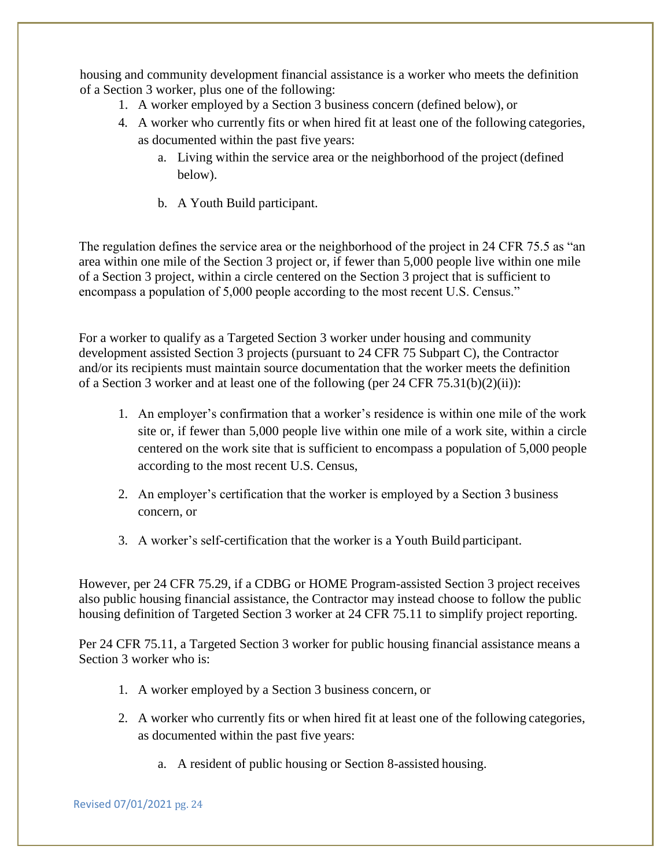housing and community development financial assistance is a worker who meets the definition of a Section 3 worker, plus one of the following:

- 1. A worker employed by a Section 3 business concern (defined below), or
- 4. A worker who currently fits or when hired fit at least one of the following categories, as documented within the past five years:
	- a. Living within the service area or the neighborhood of the project (defined below).
	- b. A Youth Build participant.

The regulation defines the service area or the neighborhood of the project in 24 CFR 75.5 as "an area within one mile of the Section 3 project or, if fewer than 5,000 people live within one mile of a Section 3 project, within a circle centered on the Section 3 project that is sufficient to encompass a population of 5,000 people according to the most recent U.S. Census."

For a worker to qualify as a Targeted Section 3 worker under housing and community development assisted Section 3 projects (pursuant to 24 CFR 75 Subpart C), the Contractor and/or its recipients must maintain source documentation that the worker meets the definition of a Section 3 worker and at least one of the following (per 24 CFR 75.31(b)(2)(ii)):

- 1. An employer's confirmation that a worker's residence is within one mile of the work site or, if fewer than 5,000 people live within one mile of a work site, within a circle centered on the work site that is sufficient to encompass a population of 5,000 people according to the most recent U.S. Census,
- 2. An employer's certification that the worker is employed by a Section 3 business concern, or
- 3. A worker's self-certification that the worker is a Youth Build participant.

However, per 24 CFR 75.29, if a CDBG or HOME Program-assisted Section 3 project receives also public housing financial assistance, the Contractor may instead choose to follow the public housing definition of Targeted Section 3 worker at 24 CFR 75.11 to simplify project reporting.

Per 24 CFR 75.11, a Targeted Section 3 worker for public housing financial assistance means a Section 3 worker who is:

- 1. A worker employed by a Section 3 business concern, or
- 2. A worker who currently fits or when hired fit at least one of the following categories, as documented within the past five years:
	- a. A resident of public housing or Section 8-assisted housing.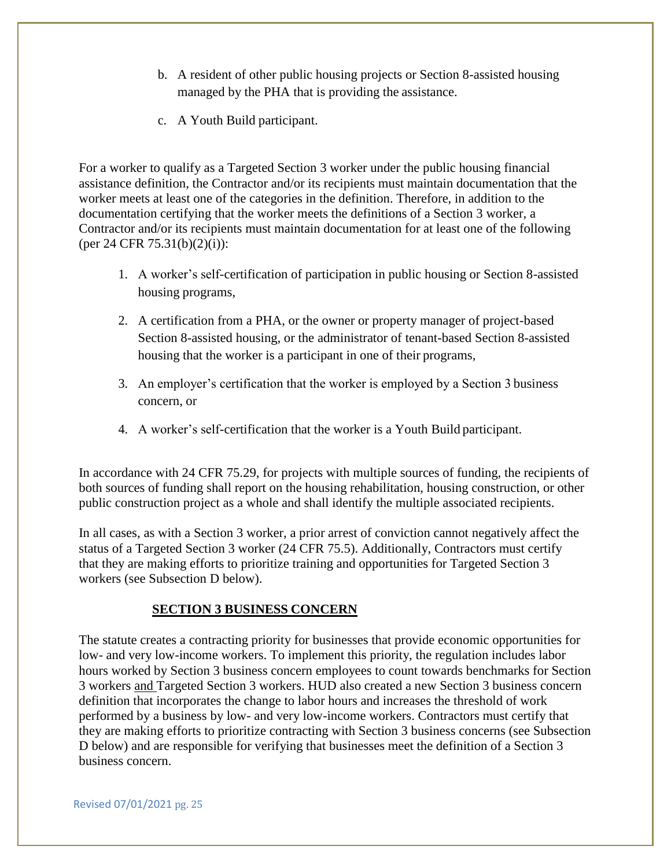- b. A resident of other public housing projects or Section 8-assisted housing managed by the PHA that is providing the assistance.
- c. A Youth Build participant.

For a worker to qualify as a Targeted Section 3 worker under the public housing financial assistance definition, the Contractor and/or its recipients must maintain documentation that the worker meets at least one of the categories in the definition. Therefore, in addition to the documentation certifying that the worker meets the definitions of a Section 3 worker, a Contractor and/or its recipients must maintain documentation for at least one of the following (per 24 CFR 75.31(b)(2)(i)):

- 1. A worker's self-certification of participation in public housing or Section 8-assisted housing programs,
- 2. A certification from a PHA, or the owner or property manager of project-based Section 8-assisted housing, or the administrator of tenant-based Section 8-assisted housing that the worker is a participant in one of their programs,
- 3. An employer's certification that the worker is employed by a Section 3 business concern, or
- 4. A worker's self-certification that the worker is a Youth Build participant.

In accordance with 24 CFR 75.29, for projects with multiple sources of funding, the recipients of both sources of funding shall report on the housing rehabilitation, housing construction, or other public construction project as a whole and shall identify the multiple associated recipients.

In all cases, as with a Section 3 worker, a prior arrest of conviction cannot negatively affect the status of a Targeted Section 3 worker (24 CFR 75.5). Additionally, Contractors must certify that they are making efforts to prioritize training and opportunities for Targeted Section 3 workers (see Subsection D below).

#### **SECTION 3 BUSINESS CONCERN**

The statute creates a contracting priority for businesses that provide economic opportunities for low- and very low-income workers. To implement this priority, the regulation includes labor hours worked by Section 3 business concern employees to count towards benchmarks for Section 3 workers and Targeted Section 3 workers. HUD also created a new Section 3 business concern definition that incorporates the change to labor hours and increases the threshold of work performed by a business by low- and very low-income workers. Contractors must certify that they are making efforts to prioritize contracting with Section 3 business concerns (see Subsection D below) and are responsible for verifying that businesses meet the definition of a Section 3 business concern.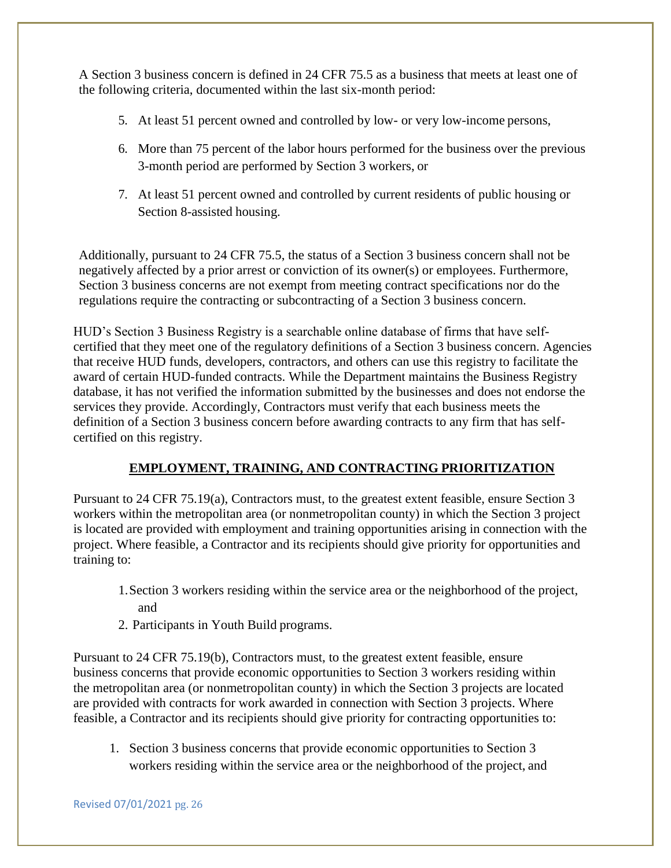A Section 3 business concern is defined in 24 CFR 75.5 as a business that meets at least one of the following criteria, documented within the last six-month period:

- 5. At least 51 percent owned and controlled by low- or very low-income persons,
- 6. More than 75 percent of the labor hours performed for the business over the previous 3-month period are performed by Section 3 workers, or
- 7. At least 51 percent owned and controlled by current residents of public housing or Section 8-assisted housing.

Additionally, pursuant to 24 CFR 75.5, the status of a Section 3 business concern shall not be negatively affected by a prior arrest or conviction of its owner(s) or employees. Furthermore, Section 3 business concerns are not exempt from meeting contract specifications nor do the regulations require the contracting or subcontracting of a Section 3 business concern.

HUD's Section 3 Business Registry is a searchable online database of firms that have selfcertified that they meet one of the regulatory definitions of a Section 3 business concern. Agencies that receive HUD funds, developers, contractors, and others can use this registry to facilitate the award of certain HUD-funded contracts. While the Department maintains the Business Registry database, it has not verified the information submitted by the businesses and does not endorse the services they provide. Accordingly, Contractors must verify that each business meets the definition of a Section 3 business concern before awarding contracts to any firm that has selfcertified on this registry.

#### **EMPLOYMENT, TRAINING, AND CONTRACTING PRIORITIZATION**

Pursuant to 24 CFR 75.19(a), Contractors must, to the greatest extent feasible, ensure Section 3 workers within the metropolitan area (or nonmetropolitan county) in which the Section 3 project is located are provided with employment and training opportunities arising in connection with the project. Where feasible, a Contractor and its recipients should give priority for opportunities and training to:

- 1.Section 3 workers residing within the service area or the neighborhood of the project, and
- 2. Participants in Youth Build programs.

Pursuant to 24 CFR 75.19(b), Contractors must, to the greatest extent feasible, ensure business concerns that provide economic opportunities to Section 3 workers residing within the metropolitan area (or nonmetropolitan county) in which the Section 3 projects are located are provided with contracts for work awarded in connection with Section 3 projects. Where feasible, a Contractor and its recipients should give priority for contracting opportunities to:

1. Section 3 business concerns that provide economic opportunities to Section 3 workers residing within the service area or the neighborhood of the project, and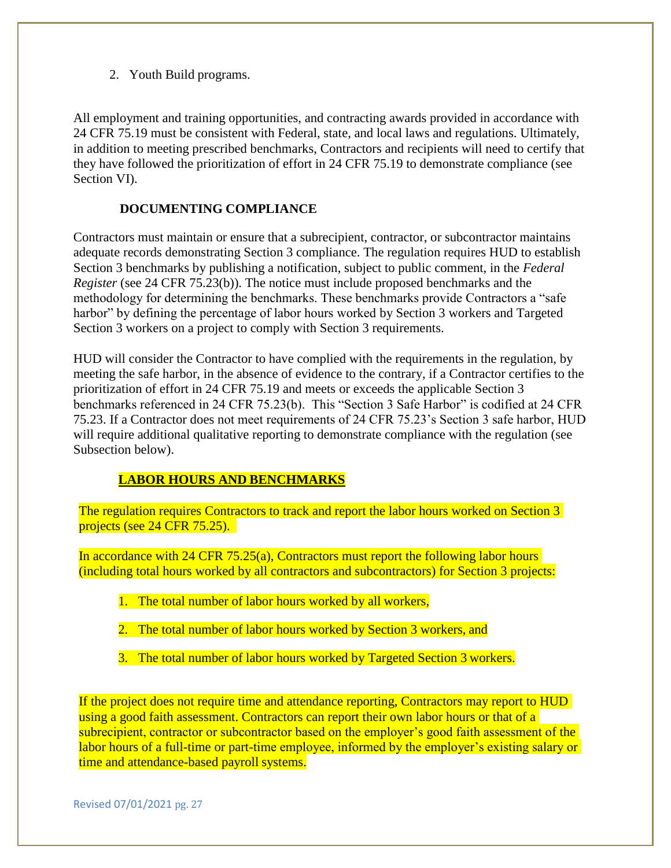2. Youth Build programs.

All employment and training opportunities, and contracting awards provided in accordance with 24 CFR 75.19 must be consistent with Federal, state, and local laws and regulations. Ultimately, in addition to meeting prescribed benchmarks, Contractors and recipients will need to certify that they have followed the prioritization of effort in 24 CFR 75.19 to demonstrate compliance (see Section VI).

#### **DOCUMENTING COMPLIANCE**

Contractors must maintain or ensure that a subrecipient, contractor, or subcontractor maintains adequate records demonstrating Section 3 compliance. The regulation requires HUD to establish Section 3 benchmarks by publishing a notification, subject to public comment, in the *Federal Register* (see 24 CFR 75.23(b)). The notice must include proposed benchmarks and the methodology for determining the benchmarks. These benchmarks provide Contractors a "safe harbor" by defining the percentage of labor hours worked by Section 3 workers and Targeted Section 3 workers on a project to comply with Section 3 requirements.

HUD will consider the Contractor to have complied with the requirements in the regulation, by meeting the safe harbor, in the absence of evidence to the contrary, if a Contractor certifies to the prioritization of effort in 24 CFR 75.19 and meets or exceeds the applicable Section 3 benchmarks referenced in 24 CFR 75.23(b). This "Section 3 Safe Harbor" is codified at 24 CFR 75.23. If a Contractor does not meet requirements of 24 CFR 75.23's Section 3 safe harbor, HUD will require additional qualitative reporting to demonstrate compliance with the regulation (see Subsection below).

#### **LABOR HOURS AND BENCHMARKS**

The regulation requires Contractors to track and report the labor hours worked on Section 3 projects (see 24 CFR 75.25).

In accordance with 24 CFR 75.25(a), Contractors must report the following labor hours (including total hours worked by all contractors and subcontractors) for Section 3 projects:

- 1. The total number of labor hours worked by all workers,
- 2. The total number of labor hours worked by Section 3 workers, and
- 3. The total number of labor hours worked by Targeted Section 3 workers.

If the project does not require time and attendance reporting, Contractors may report to HUD using a good faith assessment. Contractors can report their own labor hours or that of a subrecipient, contractor or subcontractor based on the employer's good faith assessment of the labor hours of a full-time or part-time employee, informed by the employer's existing salary or time and attendance-based payroll systems.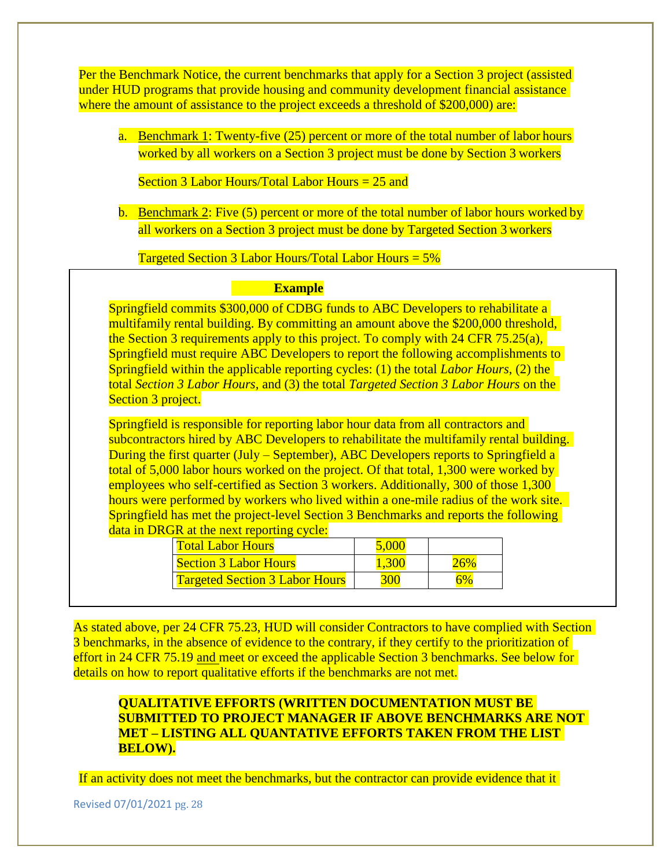Per the Benchmark Notice, the current benchmarks that apply for a Section 3 project (assisted under HUD programs that provide housing and community development financial assistance where the amount of assistance to the project exceeds a threshold of \$200,000) are:

a. Benchmark 1: Twenty-five (25) percent or more of the total number of labor hours worked by all workers on a Section 3 project must be done by Section 3 workers

Section 3 Labor Hours/Total Labor Hours = 25 and

b. Benchmark 2: Five (5) percent or more of the total number of labor hours worked by all workers on a Section 3 project must be done by Targeted Section 3 workers

Targeted Section 3 Labor Hours/Total Labor Hours = 5%

#### **Example**

Springfield commits \$300,000 of CDBG funds to ABC Developers to rehabilitate a multifamily rental building. By committing an amount above the \$200,000 threshold, the Section 3 requirements apply to this project. To comply with 24 CFR 75.25(a), Springfield must require ABC Developers to report the following accomplishments to Springfield within the applicable reporting cycles: (1) the total *Labor Hours*, (2) the total *Section 3 Labor Hours*, and (3) the total *Targeted Section 3 Labor Hours* on the Section 3 project.

Springfield is responsible for reporting labor hour data from all contractors and subcontractors hired by ABC Developers to rehabilitate the multifamily rental building. During the first quarter (July – September), ABC Developers reports to Springfield a total of 5,000 labor hours worked on the project. Of that total, 1,300 were worked by employees who self-certified as Section 3 workers. Additionally, 300 of those 1,300 hours were performed by workers who lived within a one-mile radius of the work site. Springfield has met the project-level Section 3 Benchmarks and reports the following data in DRGR at the next reporting cycle:

| Total Labor Hours                     |  |
|---------------------------------------|--|
| Section 3 Labor Hours                 |  |
| <b>Targeted Section 3 Labor Hours</b> |  |

As stated above, per 24 CFR 75.23, HUD will consider Contractors to have complied with Section 3 benchmarks, in the absence of evidence to the contrary, if they certify to the prioritization of effort in 24 CFR 75.19 and meet or exceed the applicable Section 3 benchmarks. See below for details on how to report qualitative efforts if the benchmarks are not met.

#### **QUALITATIVE EFFORTS (WRITTEN DOCUMENTATION MUST BE SUBMITTED TO PROJECT MANAGER IF ABOVE BENCHMARKS ARE NOT MET – LISTING ALL QUANTATIVE EFFORTS TAKEN FROM THE LIST BELOW).**

If an activity does not meet the benchmarks, but the contractor can provide evidence that it

Revised 07/01/2021 pg. 28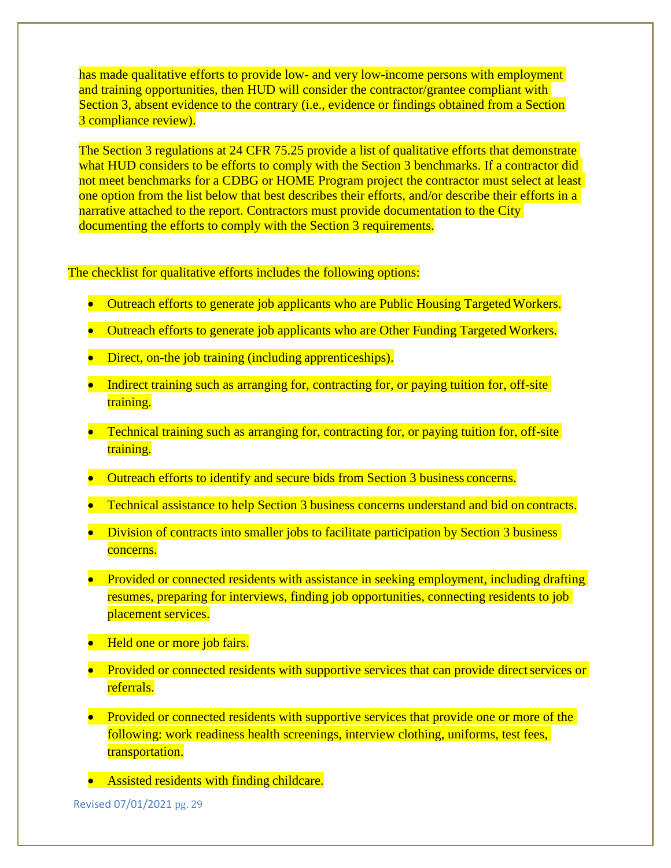has made qualitative efforts to provide low- and very low-income persons with employment and training opportunities, then HUD will consider the contractor/grantee compliant with Section 3, absent evidence to the contrary (*i.e.*, evidence or findings obtained from a Section 3 compliance review).

The Section 3 regulations at 24 CFR 75.25 provide a list of qualitative efforts that demonstrate what HUD considers to be efforts to comply with the Section 3 benchmarks. If a contractor did not meet benchmarks for a CDBG or HOME Program project the contractor must select at least one option from the list below that best describes their efforts, and/or describe their efforts in a narrative attached to the report. Contractors must provide documentation to the City documenting the efforts to comply with the Section 3 requirements.

The checklist for qualitative efforts includes the following options:

- Outreach efforts to generate job applicants who are Public Housing Targeted Workers.
- Outreach efforts to generate job applicants who are Other Funding Targeted Workers.
- Direct, on-the job training (including apprenticeships).
- Indirect training such as arranging for, contracting for, or paying tuition for, off-site training.
- Technical training such as arranging for, contracting for, or paying tuition for, off-site training.
- Outreach efforts to identify and secure bids from Section 3 business concerns.
- Technical assistance to help Section 3 business concerns understand and bid on contracts.
- Division of contracts into smaller jobs to facilitate participation by Section 3 business concerns.
- Provided or connected residents with assistance in seeking employment, including drafting resumes, preparing for interviews, finding job opportunities, connecting residents to job placement services.
- Held one or more job fairs.
- Provided or connected residents with supportive services that can provide direct services or referrals.
- Provided or connected residents with supportive services that provide one or more of the following: work readiness health screenings, interview clothing, uniforms, test fees, transportation.
- Assisted residents with finding childcare.

Revised 07/01/2021 pg. 29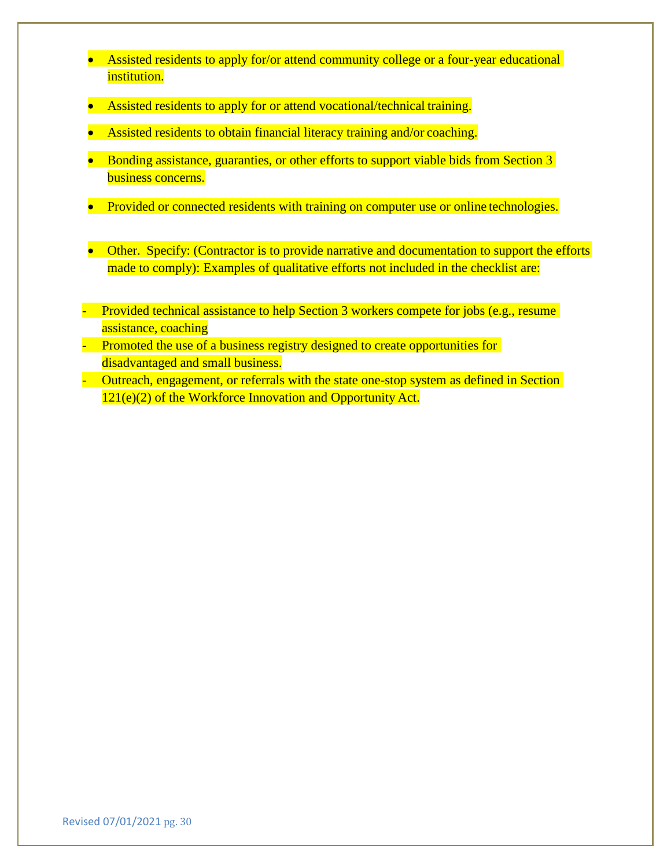- Assisted residents to apply for/or attend community college or a four-year educational institution.
- Assisted residents to apply for or attend vocational/technical training.
- Assisted residents to obtain financial literacy training and/or coaching.
- Bonding assistance, guaranties, or other efforts to support viable bids from Section 3 business concerns.
- Provided or connected residents with training on computer use or online technologies.
- Other. Specify: (Contractor is to provide narrative and documentation to support the efforts made to comply): Examples of qualitative efforts not included in the checklist are:
- Provided technical assistance to help Section 3 workers compete for jobs (e.g., resume assistance, coaching
- Promoted the use of a business registry designed to create opportunities for disadvantaged and small business.
- Outreach, engagement, or referrals with the state one-stop system as defined in Section 121(e)(2) of the Workforce Innovation and Opportunity Act.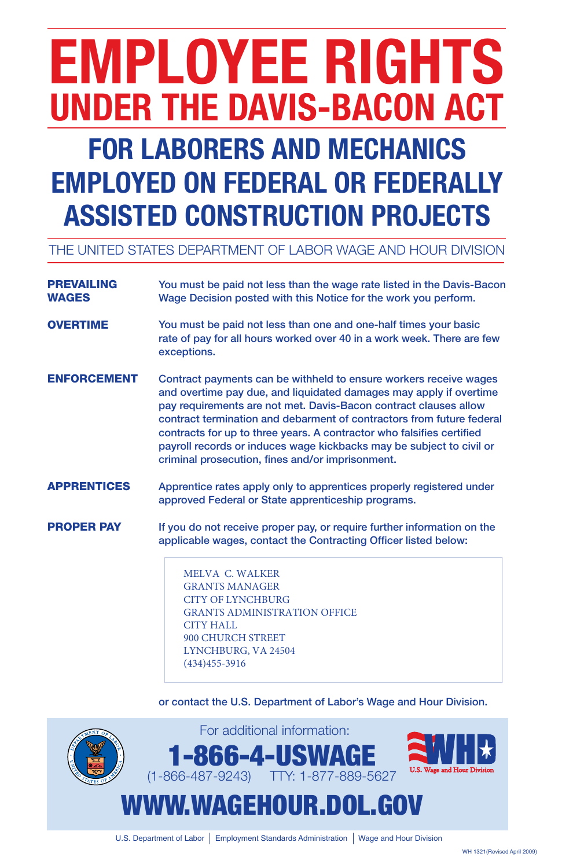# **EMPLOYEE RIGHTS UNDER THE DAVIS-BACON ACT fOR LABORERS AND MECHANICS**

# **EMPLOYED ON fEDERAL OR fEDERALLY ASSISTED CONSTRUCTION PROjECTS**

## THE UNITED STATES DEPARTMENT OF LABOR WAGE AND HOUR DIVISION

| <b>PREVAILING</b><br><b>WAGES</b> | You must be paid not less than the wage rate listed in the Davis-Bacon<br>Wage Decision posted with this Notice for the work you perform.                                                                                                                                                                                                                                                                                                                                                 |  |  |  |  |
|-----------------------------------|-------------------------------------------------------------------------------------------------------------------------------------------------------------------------------------------------------------------------------------------------------------------------------------------------------------------------------------------------------------------------------------------------------------------------------------------------------------------------------------------|--|--|--|--|
| <b>OVERTIME</b>                   | You must be paid not less than one and one-half times your basic<br>rate of pay for all hours worked over 40 in a work week. There are few<br>exceptions.                                                                                                                                                                                                                                                                                                                                 |  |  |  |  |
| <b>ENFORCEMENT</b>                | Contract payments can be withheld to ensure workers receive wages<br>and overtime pay due, and liquidated damages may apply if overtime<br>pay requirements are not met. Davis-Bacon contract clauses allow<br>contract termination and debarment of contractors from future federal<br>contracts for up to three years. A contractor who falsifies certified<br>payroll records or induces wage kickbacks may be subject to civil or<br>criminal prosecution, fines and/or imprisonment. |  |  |  |  |
| <b>APPRENTICES</b>                | Apprentice rates apply only to apprentices properly registered under<br>approved Federal or State apprenticeship programs.                                                                                                                                                                                                                                                                                                                                                                |  |  |  |  |
| <b>PROPER PAY</b>                 | If you do not receive proper pay, or require further information on the<br>applicable wages, contact the Contracting Officer listed below:<br><b>MELVA C. WALKER</b><br><b>GRANTS MANAGER</b><br><b>CITY OF LYNCHBURG</b><br><b>GRANTS ADMINISTRATION OFFICE</b>                                                                                                                                                                                                                          |  |  |  |  |

### or contact the U.S. Department of Labor's Wage and Hour Division.



U.S. Department of Labor | Employment Standards Administration | Wage and Hour Division

WH 1321(Revised April 2009)

CITY HALL

900 CHURCH STREET LYNCHBURG, VA 24504 (434)455-3916